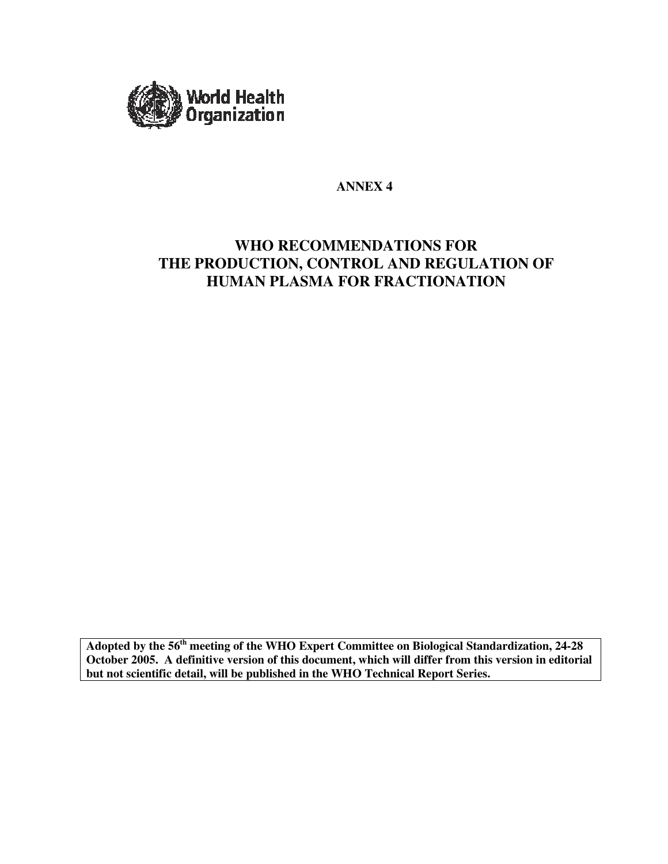

## **ANNEX 4**

# **WHO RECOMMENDATIONS FOR THE PRODUCTION, CONTROL AND REGULATION OF HUMAN PLASMA FOR FRACTIONATION**

**Adopted by the 56 th meeting of the WHO Expert Committee on Biological Standardization, 24-28 October 2005. A definitive version of this document, which will differ from this version in editorial but not scientific detail, will be published in the WHO Technical Report Series.**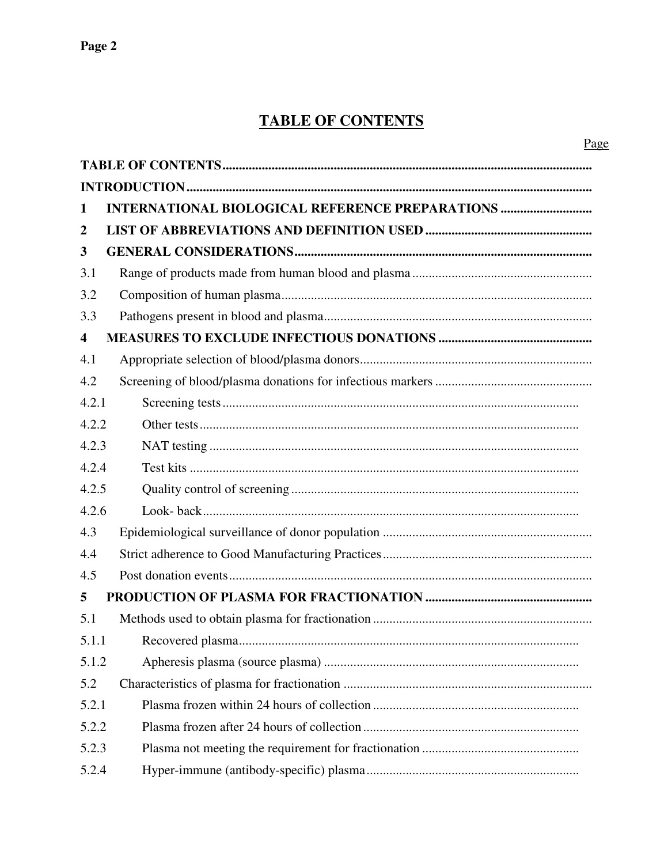# **TABLE OF CONTENTS**

| 1                       | <b>INTERNATIONAL BIOLOGICAL REFERENCE PREPARATIONS </b> |  |  |
|-------------------------|---------------------------------------------------------|--|--|
| $\boldsymbol{2}$        |                                                         |  |  |
| 3                       |                                                         |  |  |
| 3.1                     |                                                         |  |  |
| 3.2                     |                                                         |  |  |
| 3.3                     |                                                         |  |  |
| $\overline{\mathbf{4}}$ |                                                         |  |  |
| 4.1                     |                                                         |  |  |
| 4.2                     |                                                         |  |  |
| 4.2.1                   |                                                         |  |  |
| 4.2.2                   |                                                         |  |  |
| 4.2.3                   |                                                         |  |  |
| 4.2.4                   |                                                         |  |  |
| 4.2.5                   |                                                         |  |  |
| 4.2.6                   |                                                         |  |  |
| 4.3                     |                                                         |  |  |
| 4.4                     |                                                         |  |  |
| 4.5                     |                                                         |  |  |
| 5                       |                                                         |  |  |
| 5.1                     |                                                         |  |  |
|                         | 5.1.1                                                   |  |  |
| 5.1.2                   |                                                         |  |  |
| 5.2                     |                                                         |  |  |
| 5.2.1                   |                                                         |  |  |
| 5.2.2                   |                                                         |  |  |
| 5.2.3                   |                                                         |  |  |
| 5.2.4                   |                                                         |  |  |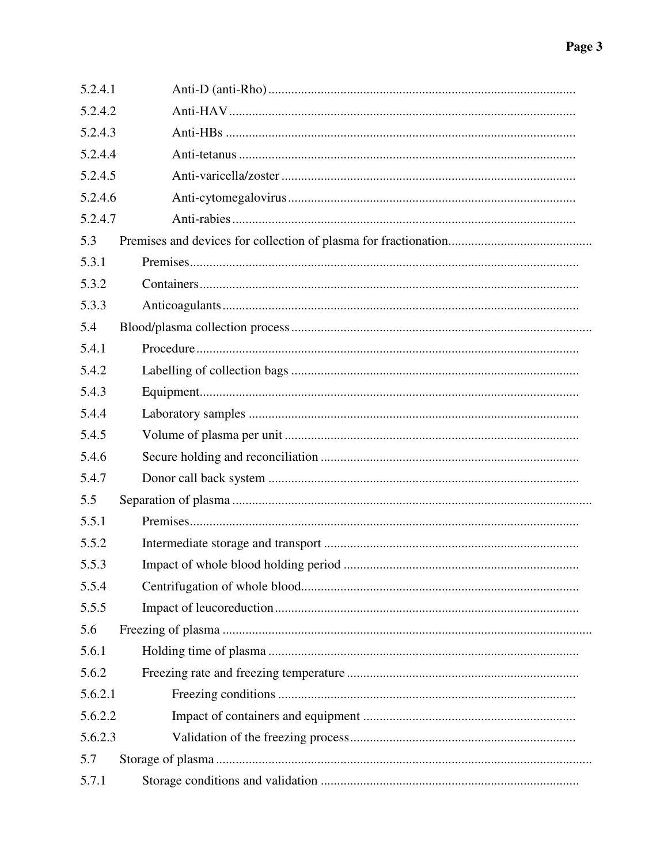| 5.2.4.1 |  |
|---------|--|
| 5.2.4.2 |  |
| 5.2.4.3 |  |
| 5.2.4.4 |  |
| 5.2.4.5 |  |
| 5.2.4.6 |  |
| 5.2.4.7 |  |
| 5.3     |  |
| 5.3.1   |  |
| 5.3.2   |  |
| 5.3.3   |  |
| 5.4     |  |
| 5.4.1   |  |
| 5.4.2   |  |
| 5.4.3   |  |
| 5.4.4   |  |
| 5.4.5   |  |
| 5.4.6   |  |
| 5.4.7   |  |
| 5.5     |  |
| 5.5.1   |  |
| 5.5.2   |  |
| 5.5.3   |  |
| 5.5.4   |  |
| 5.5.5   |  |
| 5.6     |  |
| 5.6.1   |  |
| 5.6.2   |  |
| 5.6.2.1 |  |
| 5.6.2.2 |  |
| 5.6.2.3 |  |
| 5.7     |  |
| 5.7.1   |  |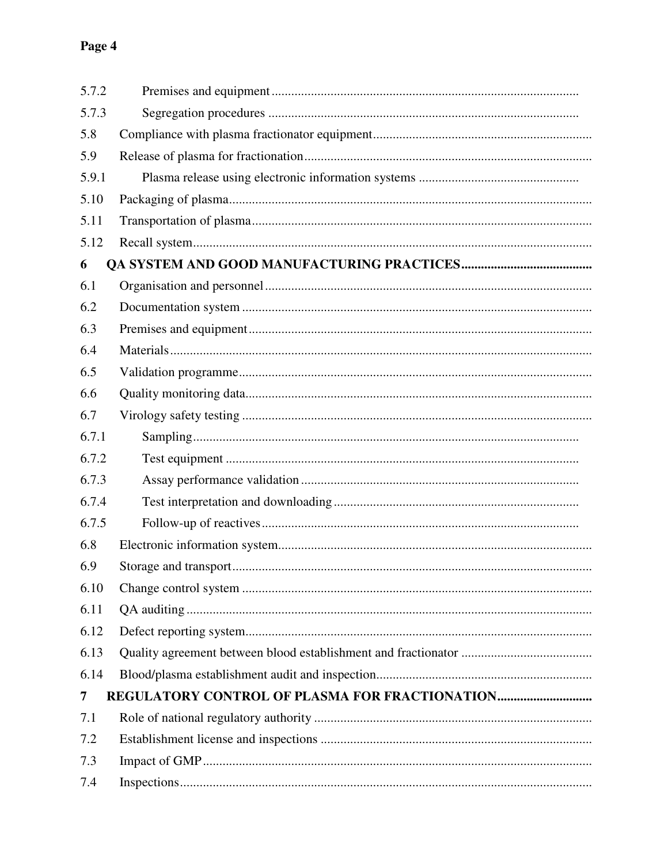# Page 4

| 5.7.2 |                                                |
|-------|------------------------------------------------|
| 5.7.3 |                                                |
| 5.8   |                                                |
| 5.9   |                                                |
| 5.9.1 |                                                |
| 5.10  |                                                |
| 5.11  |                                                |
| 5.12  |                                                |
| 6     |                                                |
| 6.1   |                                                |
| 6.2   |                                                |
| 6.3   |                                                |
| 6.4   |                                                |
| 6.5   |                                                |
| 6.6   |                                                |
| 6.7   |                                                |
| 6.7.1 |                                                |
| 6.7.2 |                                                |
| 6.7.3 |                                                |
| 6.7.4 |                                                |
| 6.7.5 |                                                |
| 6.8   |                                                |
| 6.9   |                                                |
| 6.10  |                                                |
| 6.11  |                                                |
| 6.12  |                                                |
| 6.13  |                                                |
| 6.14  |                                                |
| 7     | REGULATORY CONTROL OF PLASMA FOR FRACTIONATION |
| 7.1   |                                                |
| 7.2   |                                                |
| 7.3   |                                                |
| 7.4   |                                                |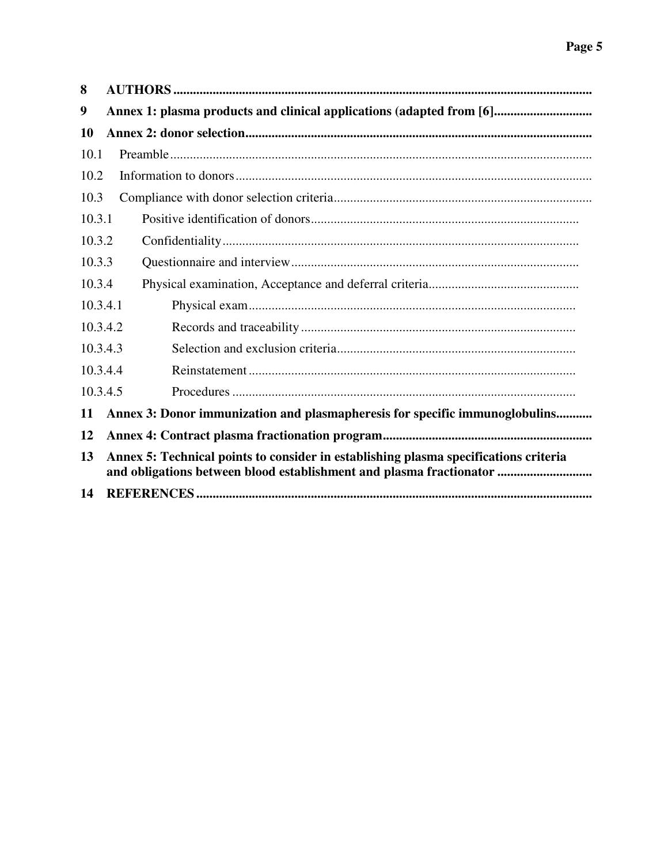| 8        |                                                                                                                                                             |
|----------|-------------------------------------------------------------------------------------------------------------------------------------------------------------|
| 9        | Annex 1: plasma products and clinical applications (adapted from [6]                                                                                        |
| 10       |                                                                                                                                                             |
| 10.1     |                                                                                                                                                             |
| 10.2     |                                                                                                                                                             |
| 10.3     |                                                                                                                                                             |
| 10.3.1   |                                                                                                                                                             |
| 10.3.2   |                                                                                                                                                             |
| 10.3.3   |                                                                                                                                                             |
| 10.3.4   |                                                                                                                                                             |
| 10.3.4.1 |                                                                                                                                                             |
| 10.3.4.2 |                                                                                                                                                             |
| 10.3.4.3 |                                                                                                                                                             |
| 10.3.4.4 |                                                                                                                                                             |
| 10.3.4.5 |                                                                                                                                                             |
| 11       | Annex 3: Donor immunization and plasmapheresis for specific immunoglobulins                                                                                 |
| 12       |                                                                                                                                                             |
| 13       | Annex 5: Technical points to consider in establishing plasma specifications criteria<br>and obligations between blood establishment and plasma fractionator |
| 14       |                                                                                                                                                             |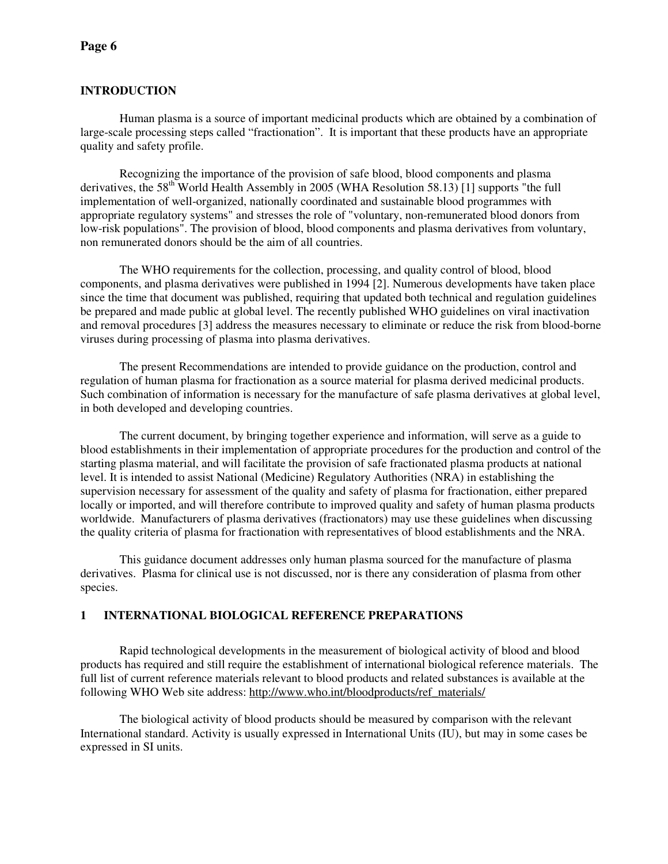### **INTRODUCTION**

Human plasma is a source of important medicinal products which are obtained by a combination of large-scale processing steps called "fractionation". It is important that these products have an appropriate quality and safety profile.

Recognizing the importance of the provision of safe blood, blood components and plasma derivatives, the 58<sup>th</sup> World Health Assembly in 2005 (WHA Resolution 58.13) [1] supports "the full implementation of well-organized, nationally coordinated and sustainable blood programmes with appropriate regulatory systems" and stresses the role of "voluntary, non-remunerated blood donors from low-risk populations". The provision of blood, blood components and plasma derivatives from voluntary, non remunerated donors should be the aim of all countries.

The WHO requirements for the collection, processing, and quality control of blood, blood components, and plasma derivatives were published in 1994 [2]. Numerous developments have taken place since the time that document was published, requiring that updated both technical and regulation guidelines be prepared and made public at global level. The recently published WHO guidelines on viral inactivation and removal procedures [3] address the measures necessary to eliminate or reduce the risk from blood-borne viruses during processing of plasma into plasma derivatives.

The present Recommendations are intended to provide guidance on the production, control and regulation of human plasma for fractionation as a source material for plasma derived medicinal products. Such combination of information is necessary for the manufacture of safe plasma derivatives at global level, in both developed and developing countries.

The current document, by bringing together experience and information, will serve as a guide to blood establishments in their implementation of appropriate procedures for the production and control of the starting plasma material, and will facilitate the provision of safe fractionated plasma products at national level. It is intended to assist National (Medicine) Regulatory Authorities (NRA) in establishing the supervision necessary for assessment of the quality and safety of plasma for fractionation, either prepared locally or imported, and will therefore contribute to improved quality and safety of human plasma products worldwide. Manufacturers of plasma derivatives (fractionators) may use these guidelines when discussing the quality criteria of plasma for fractionation with representatives of blood establishments and the NRA.

This guidance document addresses only human plasma sourced for the manufacture of plasma derivatives. Plasma for clinical use is not discussed, nor is there any consideration of plasma from other species.

#### **1 INTERNATIONAL BIOLOGICAL REFERENCE PREPARATIONS**

Rapid technological developments in the measurement of biological activity of blood and blood products has required and still require the establishment of international biological reference materials. The full list of current reference materials relevant to blood products and related substances is available at the following WHO Web site address: http://www.who.int/bloodproducts/ref\_materials/

The biological activity of blood products should be measured by comparison with the relevant International standard. Activity is usually expressed in International Units (IU), but may in some cases be expressed in SI units.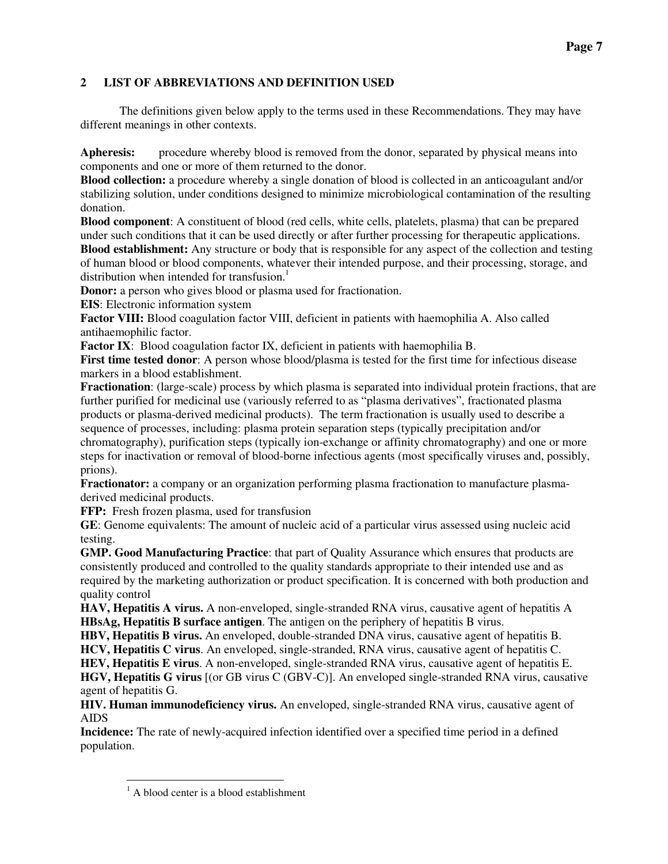### **2 LIST OF ABBREVIATIONS AND DEFINITION USED**

The definitions given below apply to the terms used in these Recommendations. They may have different meanings in other contexts.

**Apheresis:** procedure whereby blood is removed from the donor, separated by physical means into components and one or more of them returned to the donor.

**Blood collection:** a procedure whereby a single donation of blood is collected in an anticoagulant and/or stabilizing solution, under conditions designed to minimize microbiological contamination of the resulting donation.

**Blood component**: A constituent of blood (red cells, white cells, platelets, plasma) that can be prepared under such conditions that it can be used directly or after further processing for therapeutic applications. **Blood establishment:** Any structure or body that is responsible for any aspect of the collection and testing of human blood or blood components, whatever their intended purpose, and their processing, storage, and distribution when intended for transfusion.<sup>1</sup>

**Donor:** a person who gives blood or plasma used for fractionation.

**EIS**: Electronic information system

**Factor VIII:** Blood coagulation factor VIII, deficient in patients with haemophilia A. Also called antihaemophilic factor.

**Factor IX**: Blood coagulation factor IX, deficient in patients with haemophilia B.

**First time tested donor**: A person whose blood/plasma is tested for the first time for infectious disease markers in a blood establishment.

**Fractionation**: (large-scale) process by which plasma is separated into individual protein fractions, that are further purified for medicinal use (variously referred to as "plasma derivatives", fractionated plasma products or plasma-derived medicinal products). The term fractionation is usually used to describe a sequence of processes, including: plasma protein separation steps (typically precipitation and/or chromatography), purification steps (typically ion-exchange or affinity chromatography) and one or more steps for inactivation or removal of blood-borne infectious agents (most specifically viruses and, possibly, prions).

**Fractionator:** a company or an organization performing plasma fractionation to manufacture plasmaderived medicinal products.

**FFP:** Fresh frozen plasma, used for transfusion

**GE**: Genome equivalents: The amount of nucleic acid of a particular virus assessed using nucleic acid testing.

**GMP. Good Manufacturing Practice**: that part of Quality Assurance which ensures that products are consistently produced and controlled to the quality standards appropriate to their intended use and as required by the marketing authorization or product specification. It is concerned with both production and quality control

**HAV, Hepatitis A virus.** A non-enveloped, single-stranded RNA virus, causative agent of hepatitis A **HBsAg, Hepatitis B surface antigen**. The antigen on the periphery of hepatitis B virus.

**HBV, Hepatitis B virus.** An enveloped, double-stranded DNA virus, causative agent of hepatitis B. **HCV, Hepatitis C virus**. An enveloped, single-stranded, RNA virus, causative agent of hepatitis C.

**HEV, Hepatitis E virus**. A non-enveloped, single-stranded RNA virus, causative agent of hepatitis E. **HGV, Hepatitis G virus** [(or GB virus C (GBV-C)]. An enveloped single-stranded RNA virus, causative agent of hepatitis G.

**HIV. Human immunodeficiency virus.** An enveloped, single-stranded RNA virus, causative agent of AIDS

**Incidence:** The rate of newly-acquired infection identified over a specified time period in a defined population.

 $<sup>1</sup>$  A blood center is a blood establishment</sup>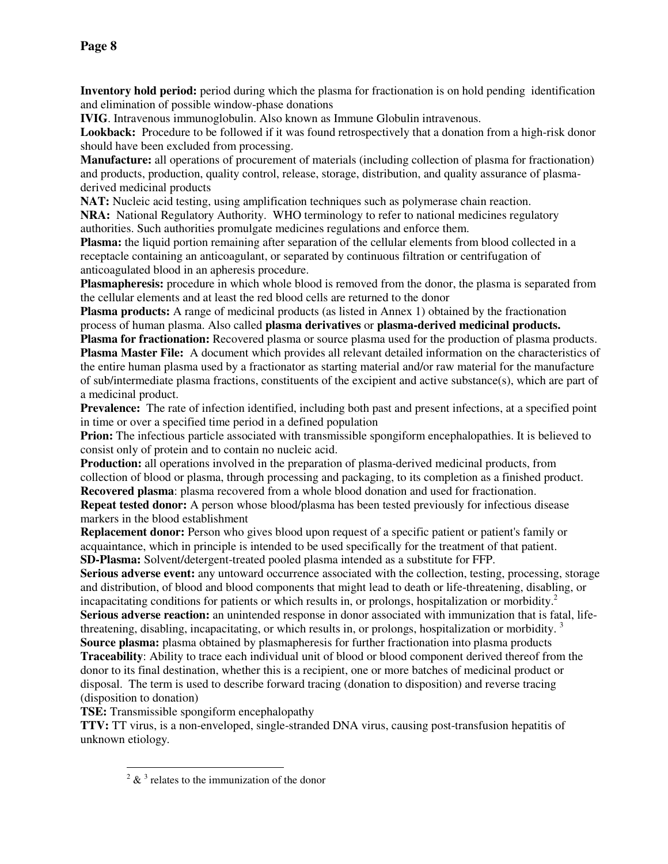**Inventory hold period:** period during which the plasma for fractionation is on hold pending identification and elimination of possible window-phase donations

**IVIG**. Intravenous immunoglobulin. Also known as Immune Globulin intravenous.

**Lookback:** Procedure to be followed if it was found retrospectively that a donation from a high-risk donor should have been excluded from processing.

**Manufacture:** all operations of procurement of materials (including collection of plasma for fractionation) and products, production, quality control, release, storage, distribution, and quality assurance of plasmaderived medicinal products

**NAT:** Nucleic acid testing, using amplification techniques such as polymerase chain reaction.

**NRA:** National Regulatory Authority. WHO terminology to refer to national medicines regulatory authorities. Such authorities promulgate medicines regulations and enforce them.

**Plasma:** the liquid portion remaining after separation of the cellular elements from blood collected in a receptacle containing an anticoagulant, or separated by continuous filtration or centrifugation of anticoagulated blood in an apheresis procedure.

**Plasmapheresis:** procedure in which whole blood is removed from the donor, the plasma is separated from the cellular elements and at least the red blood cells are returned to the donor

**Plasma products:** A range of medicinal products (as listed in Annex 1) obtained by the fractionation process of human plasma. Also called **plasma derivatives** or **plasma-derived medicinal products.**

**Plasma for fractionation:** Recovered plasma or source plasma used for the production of plasma products. **Plasma Master File:** A document which provides all relevant detailed information on the characteristics of the entire human plasma used by a fractionator as starting material and/or raw material for the manufacture of sub/intermediate plasma fractions, constituents of the excipient and active substance(s), which are part of a medicinal product.

**Prevalence:** The rate of infection identified, including both past and present infections, at a specified point in time or over a specified time period in a defined population

**Prion:** The infectious particle associated with transmissible spongiform encephalopathies. It is believed to consist only of protein and to contain no nucleic acid.

**Production:** all operations involved in the preparation of plasma-derived medicinal products, from collection of blood or plasma, through processing and packaging, to its completion as a finished product. **Recovered plasma**: plasma recovered from a whole blood donation and used for fractionation.

**Repeat tested donor:** A person whose blood/plasma has been tested previously for infectious disease markers in the blood establishment

**Replacement donor:** Person who gives blood upon request of a specific patient or patient's family or acquaintance, which in principle is intended to be used specifically for the treatment of that patient. **SD-Plasma:** Solvent/detergent-treated pooled plasma intended as a substitute for FFP.

**Serious adverse event:** any untoward occurrence associated with the collection, testing, processing, storage and distribution, of blood and blood components that might lead to death or life-threatening, disabling, or incapacitating conditions for patients or which results in, or prolongs, hospitalization or morbidity. 2 **Serious adverse reaction:** an unintended response in donor associated with immunization that is fatal, lifethreatening, disabling, incapacitating, or which results in, or prolongs, hospitalization or morbidity.<sup>3</sup>

**Source plasma:** plasma obtained by plasmapheresis for further fractionation into plasma products **Traceability**: Ability to trace each individual unit of blood or blood component derived thereof from the donor to its final destination, whether this is a recipient, one or more batches of medicinal product or disposal. The term is used to describe forward tracing (donation to disposition) and reverse tracing (disposition to donation)

**TSE:** Transmissible spongiform encephalopathy

**TTV:** TT virus, is a non-enveloped, single-stranded DNA virus, causing post-transfusion hepatitis of unknown etiology*.*

 $2^2 \& 3$  relates to the immunization of the donor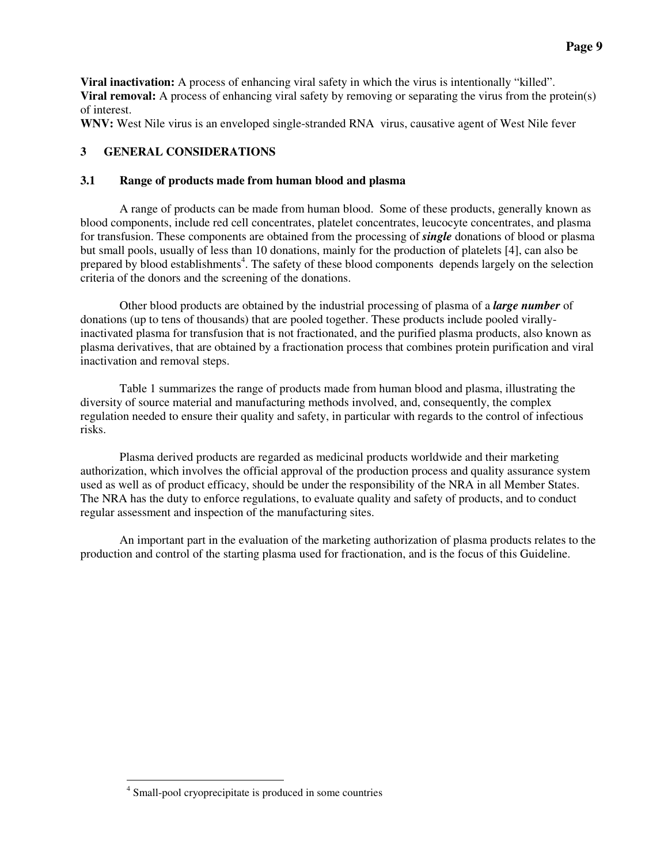**Viral inactivation:** A process of enhancing viral safety in which the virus is intentionally "killed". **Viral removal:** A process of enhancing viral safety by removing or separating the virus from the protein(s) of interest.

**WNV:** West Nile virus is an enveloped single-stranded RNA virus, causative agent of West Nile fever

#### **3 GENERAL CONSIDERATIONS**

#### **3.1 Range of products made from human blood and plasma**

A range of products can be made from human blood. Some of these products, generally known as blood components, include red cell concentrates, platelet concentrates, leucocyte concentrates, and plasma for transfusion. These components are obtained from the processing of *single* donations of blood or plasma but small pools, usually of less than 10 donations, mainly for the production of platelets [4], can also be prepared by blood establishments<sup>4</sup>. The safety of these blood components depends largely on the selection criteria of the donors and the screening of the donations.

Other blood products are obtained by the industrial processing of plasma of a *large number* of donations (up to tens of thousands) that are pooled together. These products include pooled virallyinactivated plasma for transfusion that is not fractionated, and the purified plasma products, also known as plasma derivatives, that are obtained by a fractionation process that combines protein purification and viral inactivation and removal steps.

Table 1 summarizes the range of products made from human blood and plasma, illustrating the diversity of source material and manufacturing methods involved, and, consequently, the complex regulation needed to ensure their quality and safety, in particular with regards to the control of infectious risks.

Plasma derived products are regarded as medicinal products worldwide and their marketing authorization, which involves the official approval of the production process and quality assurance system used as well as of product efficacy, should be under the responsibility of the NRA in all Member States. The NRA has the duty to enforce regulations, to evaluate quality and safety of products, and to conduct regular assessment and inspection of the manufacturing sites.

An important part in the evaluation of the marketing authorization of plasma products relates to the production and control of the starting plasma used for fractionation, and is the focus of this Guideline.

**Page 9**

<sup>&</sup>lt;sup>4</sup> Small-pool cryoprecipitate is produced in some countries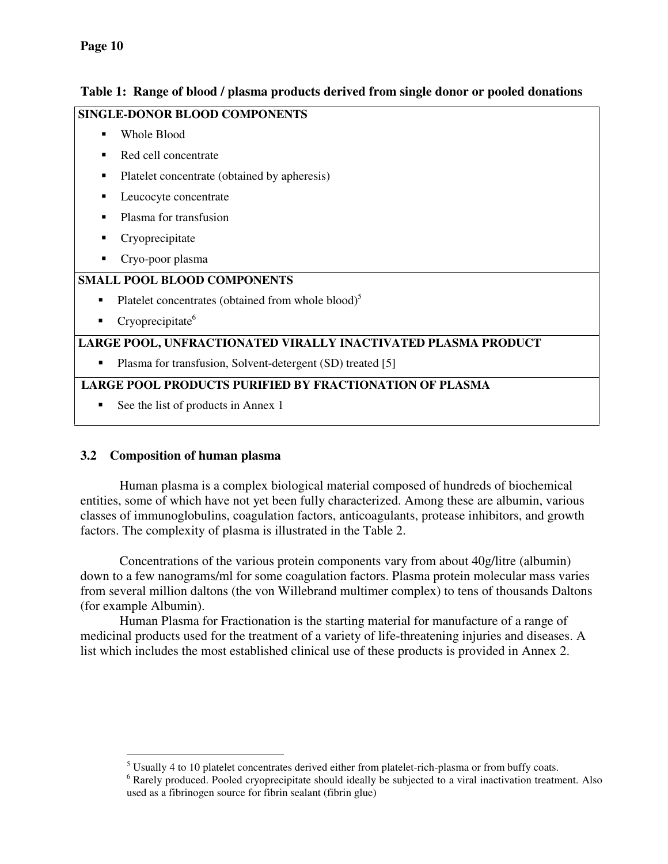## **Table 1: Range of blood / plasma products derived from single donor or pooled donations**

## **SINGLE-DONOR BLOOD COMPONENTS**

- Whole Blood
- Red cell concentrate
- Platelet concentrate (obtained by apheresis)
- Leucocyte concentrate
- Plasma for transfusion
- **Cryoprecipitate**
- **Cryo-poor plasma**

### **SMALL POOL BLOOD COMPONENTS**

- $\blacksquare$  Platelet concentrates (obtained from whole blood)<sup>5</sup>
- $\blacksquare$  Cryoprecipitate<sup>6</sup>

## **LARGE POOL, UNFRACTIONATED VIRALLY INACTIVATED PLASMA PRODUCT**

• Plasma for transfusion, Solvent-detergent (SD) treated [5]

## **LARGE POOL PRODUCTS PURIFIED BY FRACTIONATION OF PLASMA**

See the list of products in Annex  $1$ 

## **3.2 Composition of human plasma**

Human plasma is a complex biological material composed of hundreds of biochemical entities, some of which have not yet been fully characterized. Among these are albumin, various classes of immunoglobulins, coagulation factors, anticoagulants, protease inhibitors, and growth factors. The complexity of plasma is illustrated in the Table 2.

Concentrations of the various protein components vary from about 40g/litre (albumin) down to a few nanograms/ml for some coagulation factors. Plasma protein molecular mass varies from several million daltons (the von Willebrand multimer complex) to tens of thousands Daltons (for example Albumin).

Human Plasma for Fractionation is the starting material for manufacture of a range of medicinal products used for the treatment of a variety of life-threatening injuries and diseases. A list which includes the most established clinical use of these products is provided in Annex 2.

 $<sup>5</sup>$  Usually 4 to 10 platelet concentrates derived either from platelet-rich-plasma or from buffy coats.</sup>

<sup>6</sup> Rarely produced. Pooled cryoprecipitate should ideally be subjected to a viral inactivation treatment. Also used as a fibrinogen source for fibrin sealant (fibrin glue)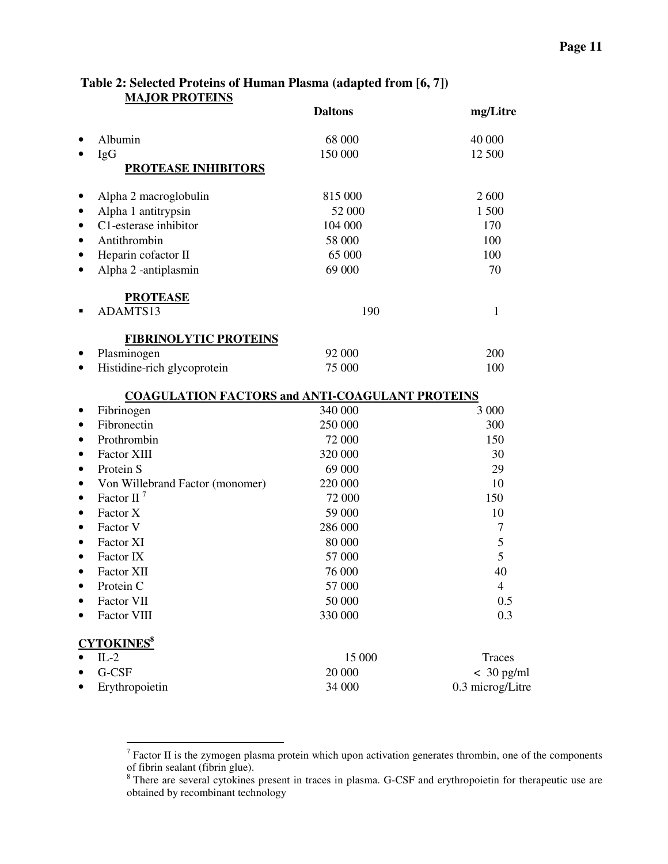|           | <u>WIAJUN I NU LEINJ</u>                               | <b>Daltons</b> | mg/Litre         |
|-----------|--------------------------------------------------------|----------------|------------------|
|           | Albumin                                                | 68 000         | 40 000           |
|           | <b>IgG</b>                                             | 150 000        | 12 500           |
|           | <b>PROTEASE INHIBITORS</b>                             |                |                  |
|           | Alpha 2 macroglobulin                                  | 815 000        | 2600             |
|           | Alpha 1 antitrypsin                                    | 52 000         | 1500             |
|           | C1-esterase inhibitor                                  | 104 000        | 170              |
|           | Antithrombin                                           | 58 000         | 100              |
|           | Heparin cofactor II                                    | 65 000         | 100              |
|           | Alpha 2 -antiplasmin                                   | 69 000         | 70               |
|           | <b>PROTEASE</b>                                        |                |                  |
|           | ADAMTS13                                               | 190            | 1                |
|           | <b>FIBRINOLYTIC PROTEINS</b>                           |                |                  |
|           | Plasminogen                                            | 92 000         | 200              |
|           | Histidine-rich glycoprotein                            | 75 000         | 100              |
|           | <b>COAGULATION FACTORS and ANTI-COAGULANT PROTEINS</b> |                |                  |
|           | Fibrinogen                                             | 340 000        | 3 0 0 0          |
| $\bullet$ | Fibronectin                                            | 250 000        | 300              |
| $\bullet$ | Prothrombin                                            | 72 000         | 150              |
| $\bullet$ | <b>Factor XIII</b>                                     | 320 000        | 30               |
|           | Protein S                                              | 69 000         | 29               |
| $\bullet$ | Von Willebrand Factor (monomer)                        | 220 000        | 10               |
|           | Factor II $^7$                                         | 72 000         | 150              |
|           | Factor X                                               | 59 000         | 10               |
|           | Factor V                                               | 286 000        | $\overline{7}$   |
|           | Factor XI                                              | 80 000         | 5                |
| $\bullet$ | Factor IX                                              | 57 000         | 5                |
|           | <b>Factor XII</b>                                      | 76 000         | 40               |
|           | Protein C                                              | 57 000         | $\overline{4}$   |
|           | Factor VII                                             | 50 000         | 0.5              |
|           | <b>Factor VIII</b>                                     | 330 000        | 0.3              |
|           | <b>CYTOKINES</b> <sup>8</sup>                          |                |                  |
|           | $IL-2$                                                 | 15 000         | <b>Traces</b>    |
|           | G-CSF                                                  | 20 000         | $< 30$ pg/ml     |
|           | Erythropoietin                                         | 34 000         | 0.3 microg/Litre |

### **Table 2: Selected Proteins of Human Plasma (adapted from [6, 7]) MAJOR PROTEINS**

 $<sup>7</sup>$  Factor II is the zymogen plasma protein which upon activation generates thrombin, one of the components</sup> of fibrin sealant (fibrin glue).

<sup>&</sup>lt;sup>8</sup> There are several cytokines present in traces in plasma. G-CSF and erythropoietin for therapeutic use are obtained by recombinant technology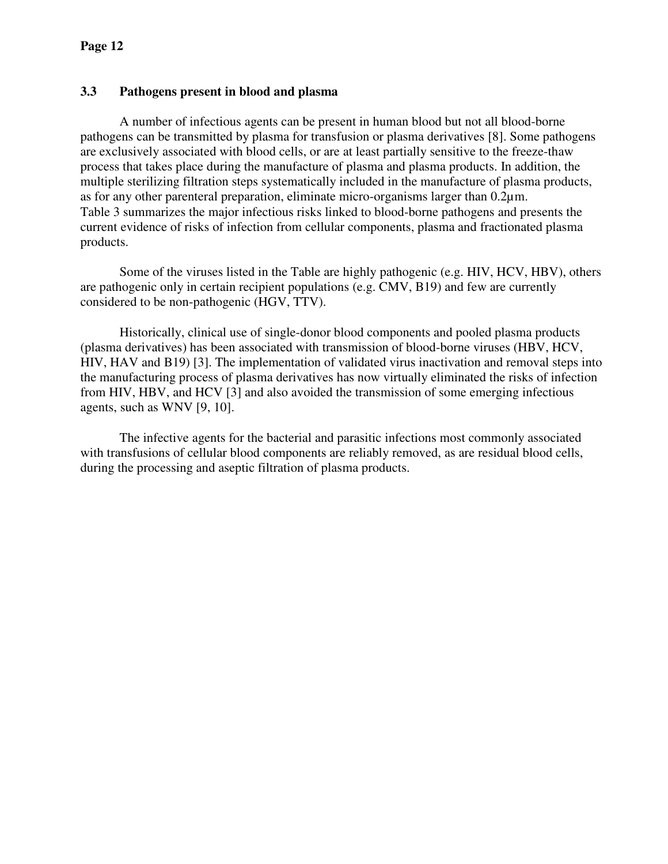### **3.3 Pathogens present in blood and plasma**

A number of infectious agents can be present in human blood but not all blood-borne pathogens can be transmitted by plasma for transfusion or plasma derivatives [8]. Some pathogens are exclusively associated with blood cells, or are at least partially sensitive to the freeze-thaw process that takes place during the manufacture of plasma and plasma products. In addition, the multiple sterilizing filtration steps systematically included in the manufacture of plasma products, as for any other parenteral preparation, eliminate micro-organisms larger than 0.2µm. Table 3 summarizes the major infectious risks linked to blood-borne pathogens and presents the current evidence of risks of infection from cellular components, plasma and fractionated plasma products.

Some of the viruses listed in the Table are highly pathogenic (e.g. HIV, HCV, HBV), others are pathogenic only in certain recipient populations (e.g. CMV, B19) and few are currently considered to be non-pathogenic (HGV, TTV).

Historically, clinical use of single-donor blood components and pooled plasma products (plasma derivatives) has been associated with transmission of blood-borne viruses (HBV, HCV, HIV, HAV and B19) [3]. The implementation of validated virus inactivation and removal steps into the manufacturing process of plasma derivatives has now virtually eliminated the risks of infection from HIV, HBV, and HCV [3] and also avoided the transmission of some emerging infectious agents, such as WNV [9, 10].

The infective agents for the bacterial and parasitic infections most commonly associated with transfusions of cellular blood components are reliably removed, as are residual blood cells, during the processing and aseptic filtration of plasma products.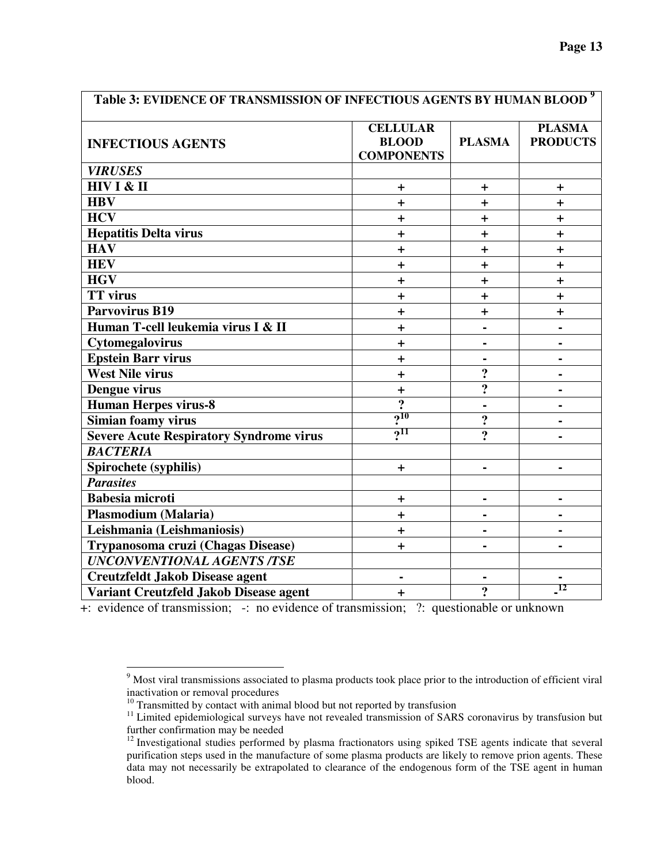| Table 3: EVIDENCE OF TRANSMISSION OF INFECTIOUS AGENTS BY HUMAN BLOOD <sup>9</sup> |                                                      |                     |                                  |
|------------------------------------------------------------------------------------|------------------------------------------------------|---------------------|----------------------------------|
| <b>INFECTIOUS AGENTS</b>                                                           | <b>CELLULAR</b><br><b>BLOOD</b><br><b>COMPONENTS</b> | <b>PLASMA</b>       | <b>PLASMA</b><br><b>PRODUCTS</b> |
| <b>VIRUSES</b>                                                                     |                                                      |                     |                                  |
| HIV I & II                                                                         | $\ddot{}$                                            | $\ddot{}$           | $\ddot{}$                        |
| <b>HBV</b>                                                                         | $\ddot{}$                                            | $\ddot{}$           | $+$                              |
| <b>HCV</b>                                                                         | $\ddot{}$                                            | $\ddot{}$           | $\ddot{}$                        |
| <b>Hepatitis Delta virus</b>                                                       | $\ddot{}$                                            | $\ddot{}$           | $\ddot{}$                        |
| <b>HAV</b>                                                                         | $\ddot{}$                                            | $\ddot{}$           | $\ddot{}$                        |
| <b>HEV</b>                                                                         | $\ddot{}$                                            | $\ddot{}$           | $\ddot{}$                        |
| <b>HGV</b>                                                                         | $\ddot{}$                                            | $\ddot{}$           | $\ddot{}$                        |
| <b>TT</b> virus                                                                    | $\ddot{}$                                            | $\ddot{}$           | $\ddot{}$                        |
| <b>Parvovirus B19</b>                                                              | $\ddot{}$                                            | $\ddot{}$           | $\ddot{}$                        |
| Human T-cell leukemia virus I & II                                                 | $\ddot{}$                                            |                     |                                  |
| Cytomegalovirus                                                                    | $\ddot{}$                                            |                     |                                  |
| <b>Epstein Barr virus</b>                                                          | $\ddot{}$                                            |                     |                                  |
| <b>West Nile virus</b>                                                             | $\ddot{}$                                            | $\ddot{\mathbf{c}}$ |                                  |
| Dengue virus                                                                       | $\ddot{}$                                            | $\ddot{\cdot}$      |                                  |
| <b>Human Herpes virus-8</b>                                                        | $\overline{?}$                                       |                     |                                  |
| Simian foamy virus                                                                 | $\overline{210}$                                     | $\ddot{\cdot}$      |                                  |
| <b>Severe Acute Respiratory Syndrome virus</b>                                     | 211                                                  | $\overline{?}$      |                                  |
| <b>BACTERIA</b>                                                                    |                                                      |                     |                                  |
| Spirochete (syphilis)                                                              | $\ddot{}$                                            | $\blacksquare$      | $\blacksquare$                   |
| <b>Parasites</b>                                                                   |                                                      |                     |                                  |
| <b>Babesia</b> microti                                                             | $\ddot{}$                                            |                     |                                  |
| <b>Plasmodium (Malaria)</b>                                                        | $\ddot{}$                                            | -                   |                                  |
| Leishmania (Leishmaniosis)                                                         | $\ddot{}$                                            | $\blacksquare$      |                                  |
| Trypanosoma cruzi (Chagas Disease)                                                 | $\ddot{}$                                            |                     |                                  |
| <b>UNCONVENTIONAL AGENTS /TSE</b>                                                  |                                                      |                     |                                  |
| <b>Creutzfeldt Jakob Disease agent</b>                                             | $\blacksquare$                                       |                     |                                  |
| Variant Creutzfeld Jakob Disease agent                                             | $\ddot{}$                                            | $\overline{?}$      | 12                               |

+: evidence of transmission; -: no evidence of transmission; ?: questionable or unknown

<sup>&</sup>lt;sup>9</sup> Most viral transmissions associated to plasma products took place prior to the introduction of efficient viral inactivation or removal procedures

<sup>&</sup>lt;sup>10</sup> Transmitted by contact with animal blood but not reported by transfusion

<sup>&</sup>lt;sup>11</sup> Limited epidemiological surveys have not revealed transmission of SARS coronavirus by transfusion but

further confirmation may be needed<br><sup>12</sup> Investigational studies performed by plasma fractionators using spiked TSE agents indicate that several purification steps used in the manufacture of some plasma products are likely to remove prion agents. These data may not necessarily be extrapolated to clearance of the endogenous form of the TSE agent in human blood.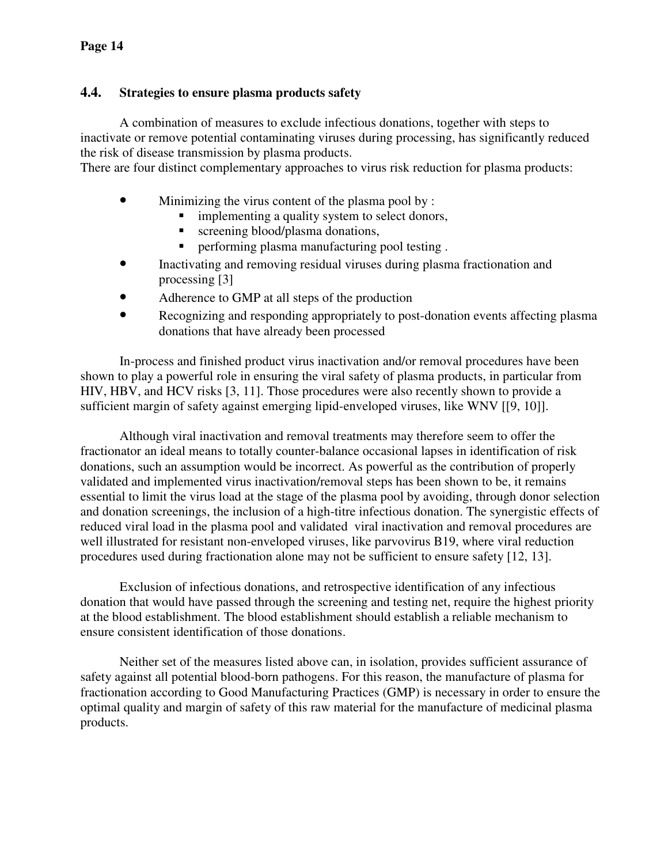## **4.4. Strategies to ensure plasma products safety**

A combination of measures to exclude infectious donations, together with steps to inactivate or remove potential contaminating viruses during processing, has significantly reduced the risk of disease transmission by plasma products.

There are four distinct complementary approaches to virus risk reduction for plasma products:

- Minimizing the virus content of the plasma pool by :
	- implementing a quality system to select donors,
	- screening blood/plasma donations,
	- performing plasma manufacturing pool testing .
- Inactivating and removing residual viruses during plasma fractionation and processing [3]
- Adherence to GMP at all steps of the production
- Recognizing and responding appropriately to post-donation events affecting plasma donations that have already been processed

In-process and finished product virus inactivation and/or removal procedures have been shown to play a powerful role in ensuring the viral safety of plasma products, in particular from HIV, HBV, and HCV risks [3, 11]. Those procedures were also recently shown to provide a sufficient margin of safety against emerging lipid-enveloped viruses, like WNV [[9, 10]].

Although viral inactivation and removal treatments may therefore seem to offer the fractionator an ideal means to totally counter-balance occasional lapses in identification of risk donations, such an assumption would be incorrect. As powerful as the contribution of properly validated and implemented virus inactivation/removal steps has been shown to be, it remains essential to limit the virus load at the stage of the plasma pool by avoiding, through donor selection and donation screenings, the inclusion of a high-titre infectious donation. The synergistic effects of reduced viral load in the plasma pool and validated viral inactivation and removal procedures are well illustrated for resistant non-enveloped viruses, like parvovirus B19, where viral reduction procedures used during fractionation alone may not be sufficient to ensure safety [12, 13].

Exclusion of infectious donations, and retrospective identification of any infectious donation that would have passed through the screening and testing net, require the highest priority at the blood establishment. The blood establishment should establish a reliable mechanism to ensure consistent identification of those donations.

Neither set of the measures listed above can, in isolation, provides sufficient assurance of safety against all potential blood-born pathogens. For this reason, the manufacture of plasma for fractionation according to Good Manufacturing Practices (GMP) is necessary in order to ensure the optimal quality and margin of safety of this raw material for the manufacture of medicinal plasma products.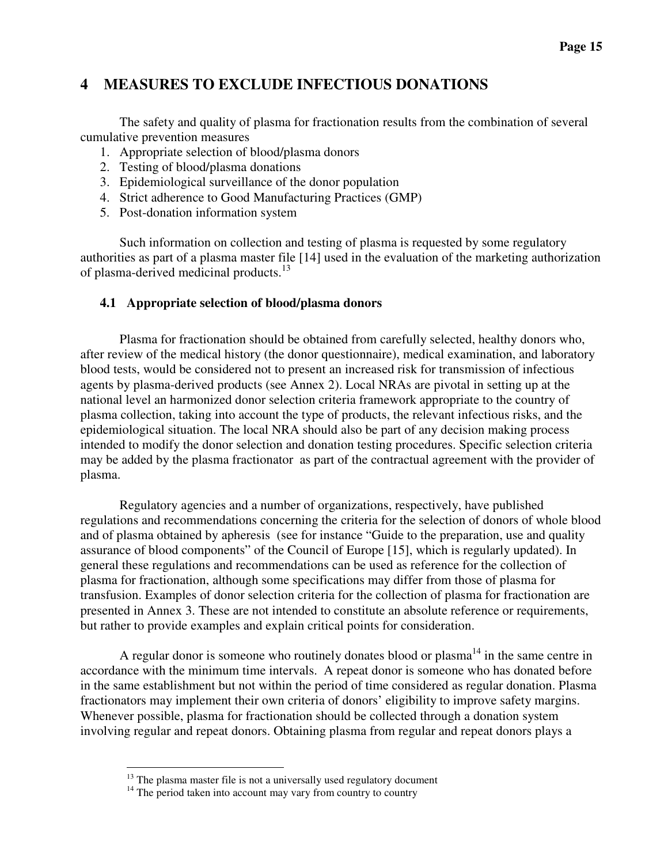# **4 MEASURES TO EXCLUDE INFECTIOUS DONATIONS**

The safety and quality of plasma for fractionation results from the combination of several cumulative prevention measures

- 1. Appropriate selection of blood/plasma donors
- 2. Testing of blood/plasma donations
- 3. Epidemiological surveillance of the donor population
- 4. Strict adherence to Good Manufacturing Practices (GMP)
- 5. Post-donation information system

Such information on collection and testing of plasma is requested by some regulatory authorities as part of a plasma master file [14] used in the evaluation of the marketing authorization of plasma-derived medicinal products.<sup>13</sup>

### **4.1 Appropriate selection of blood/plasma donors**

Plasma for fractionation should be obtained from carefully selected, healthy donors who, after review of the medical history (the donor questionnaire), medical examination, and laboratory blood tests, would be considered not to present an increased risk for transmission of infectious agents by plasma-derived products (see Annex 2). Local NRAs are pivotal in setting up at the national level an harmonized donor selection criteria framework appropriate to the country of plasma collection, taking into account the type of products, the relevant infectious risks, and the epidemiological situation. The local NRA should also be part of any decision making process intended to modify the donor selection and donation testing procedures. Specific selection criteria may be added by the plasma fractionator as part of the contractual agreement with the provider of plasma.

Regulatory agencies and a number of organizations, respectively, have published regulations and recommendations concerning the criteria for the selection of donors of whole blood and of plasma obtained by apheresis (see for instance "Guide to the preparation, use and quality assurance of blood components" of the Council of Europe [15], which is regularly updated). In general these regulations and recommendations can be used as reference for the collection of plasma for fractionation, although some specifications may differ from those of plasma for transfusion. Examples of donor selection criteria for the collection of plasma for fractionation are presented in Annex 3. These are not intended to constitute an absolute reference or requirements, but rather to provide examples and explain critical points for consideration.

A regular donor is someone who routinely donates blood or plasma<sup>14</sup> in the same centre in accordance with the minimum time intervals. A repeat donor is someone who has donated before in the same establishment but not within the period of time considered as regular donation. Plasma fractionators may implement their own criteria of donors' eligibility to improve safety margins. Whenever possible, plasma for fractionation should be collected through a donation system involving regular and repeat donors. Obtaining plasma from regular and repeat donors plays a

 $13$  The plasma master file is not a universally used regulatory document

 $14$  The period taken into account may vary from country to country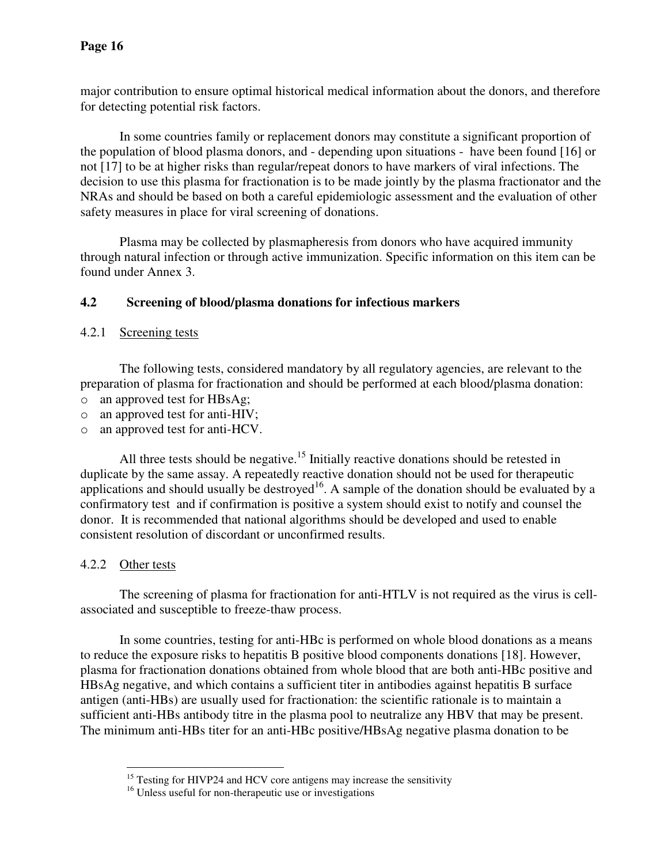major contribution to ensure optimal historical medical information about the donors, and therefore for detecting potential risk factors.

In some countries family or replacement donors may constitute a significant proportion of the population of blood plasma donors, and - depending upon situations - have been found [16] or not [17] to be at higher risks than regular/repeat donors to have markers of viral infections. The decision to use this plasma for fractionation is to be made jointly by the plasma fractionator and the NRAs and should be based on both a careful epidemiologic assessment and the evaluation of other safety measures in place for viral screening of donations.

Plasma may be collected by plasmapheresis from donors who have acquired immunity through natural infection or through active immunization. Specific information on this item can be found under Annex 3.

### **4.2 Screening of blood/plasma donations for infectious markers**

### 4.2.1 Screening tests

The following tests, considered mandatory by all regulatory agencies, are relevant to the preparation of plasma for fractionation and should be performed at each blood/plasma donation:

- o an approved test for HBsAg;
- o an approved test for anti-HIV;
- o an approved test for anti-HCV.

All three tests should be negative.<sup>15</sup> Initially reactive donations should be retested in duplicate by the same assay. A repeatedly reactive donation should not be used for therapeutic applications and should usually be destroyed<sup>16</sup>. A sample of the donation should be evaluated by a confirmatory test and if confirmation is positive a system should exist to notify and counsel the donor. It is recommended that national algorithms should be developed and used to enable consistent resolution of discordant or unconfirmed results.

## 4.2.2 Other tests

The screening of plasma for fractionation for anti-HTLV is not required as the virus is cellassociated and susceptible to freeze-thaw process.

In some countries, testing for anti-HBc is performed on whole blood donations as a means to reduce the exposure risks to hepatitis B positive blood components donations [18]. However, plasma for fractionation donations obtained from whole blood that are both anti-HBc positive and HBsAg negative, and which contains a sufficient titer in antibodies against hepatitis B surface antigen (anti-HBs) are usually used for fractionation: the scientific rationale is to maintain a sufficient anti-HBs antibody titre in the plasma pool to neutralize any HBV that may be present. The minimum anti-HBs titer for an anti-HBc positive/HBsAg negative plasma donation to be

<sup>&</sup>lt;sup>15</sup> Testing for HIVP24 and HCV core antigens may increase the sensitivity

<sup>&</sup>lt;sup>16</sup> Unless useful for non-therapeutic use or investigations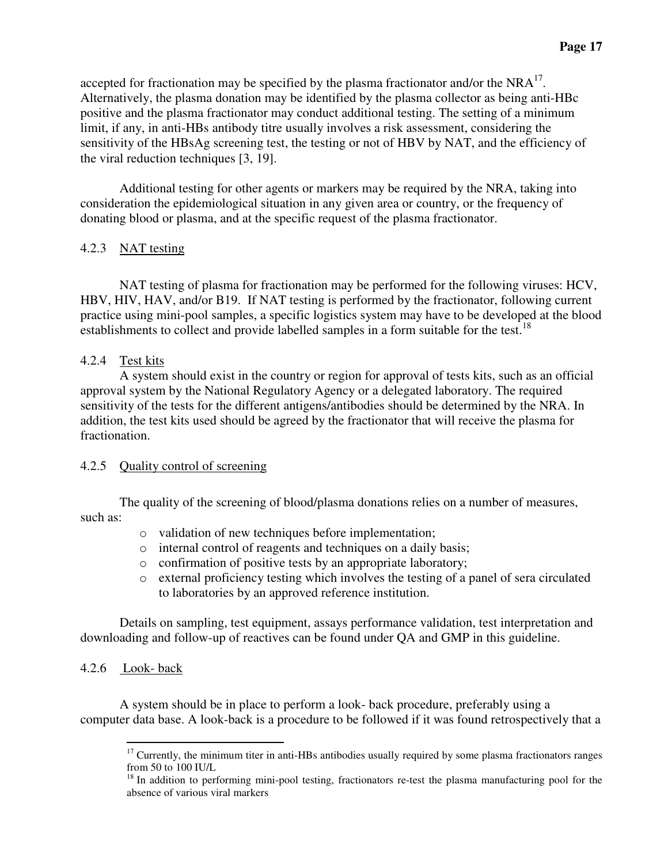accepted for fractionation may be specified by the plasma fractionator and/or the NRA $^{17}$ . Alternatively, the plasma donation may be identified by the plasma collector as being anti-HBc positive and the plasma fractionator may conduct additional testing. The setting of a minimum limit, if any, in anti-HBs antibody titre usually involves a risk assessment, considering the sensitivity of the HBsAg screening test, the testing or not of HBV by NAT, and the efficiency of the viral reduction techniques [3, 19].

Additional testing for other agents or markers may be required by the NRA, taking into consideration the epidemiological situation in any given area or country, or the frequency of donating blood or plasma, and at the specific request of the plasma fractionator.

### 4.2.3 NAT testing

NAT testing of plasma for fractionation may be performed for the following viruses: HCV, HBV, HIV, HAV, and/or B19. If NAT testing is performed by the fractionator, following current practice using mini-pool samples, a specific logistics system may have to be developed at the blood establishments to collect and provide labelled samples in a form suitable for the test.<sup>18</sup>

### 4.2.4 Test kits

A system should exist in the country or region for approval of tests kits, such as an official approval system by the National Regulatory Agency or a delegated laboratory. The required sensitivity of the tests for the different antigens/antibodies should be determined by the NRA. In addition, the test kits used should be agreed by the fractionator that will receive the plasma for fractionation.

### 4.2.5 Quality control of screening

The quality of the screening of blood/plasma donations relies on a number of measures, such as:

- o validation of new techniques before implementation;
- o internal control of reagents and techniques on a daily basis;
- o confirmation of positive tests by an appropriate laboratory;
- o external proficiency testing which involves the testing of a panel of sera circulated to laboratories by an approved reference institution.

Details on sampling, test equipment, assays performance validation, test interpretation and downloading and follow-up of reactives can be found under QA and GMP in this guideline.

### 4.2.6 Look- back

A system should be in place to perform a look- back procedure, preferably using a computer data base. A look-back is a procedure to be followed if it was found retrospectively that a

<sup>&</sup>lt;sup>17</sup> Currently, the minimum titer in anti-HBs antibodies usually required by some plasma fractionators ranges from 50 to 100 IU/L

<sup>&</sup>lt;sup>18</sup> In addition to performing mini-pool testing, fractionators re-test the plasma manufacturing pool for the absence of various viral markers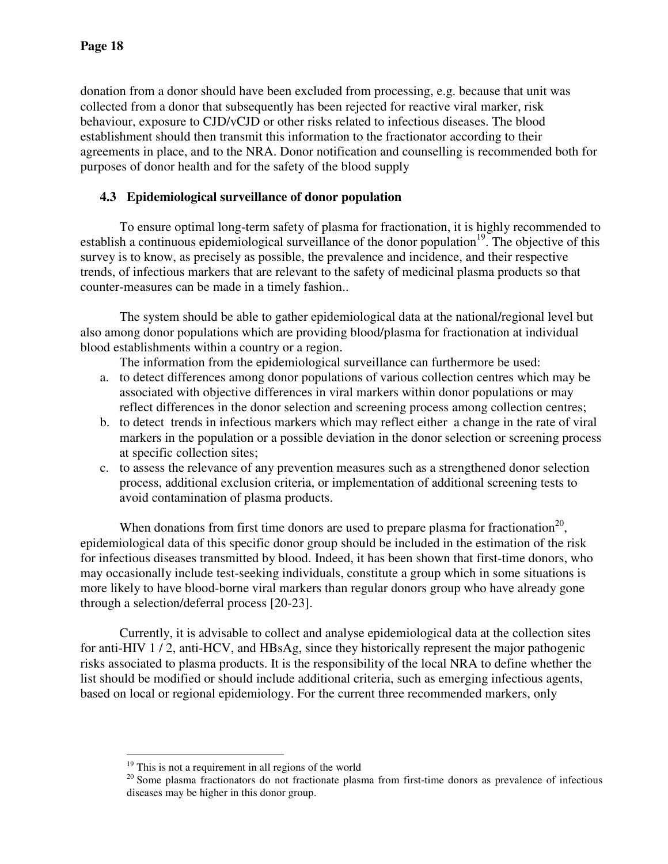donation from a donor should have been excluded from processing, e.g. because that unit was collected from a donor that subsequently has been rejected for reactive viral marker, risk behaviour, exposure to CJD/vCJD or other risks related to infectious diseases. The blood establishment should then transmit this information to the fractionator according to their agreements in place, and to the NRA. Donor notification and counselling is recommended both for purposes of donor health and for the safety of the blood supply

## **4.3 Epidemiological surveillance of donor population**

To ensure optimal long-term safety of plasma for fractionation, it is highly recommended to establish a continuous epidemiological surveillance of the donor population<sup>19</sup>. The objective of this survey is to know, as precisely as possible, the prevalence and incidence, and their respective trends, of infectious markers that are relevant to the safety of medicinal plasma products so that counter-measures can be made in a timely fashion..

The system should be able to gather epidemiological data at the national/regional level but also among donor populations which are providing blood/plasma for fractionation at individual blood establishments within a country or a region.

The information from the epidemiological surveillance can furthermore be used:

- a. to detect differences among donor populations of various collection centres which may be associated with objective differences in viral markers within donor populations or may reflect differences in the donor selection and screening process among collection centres;
- b. to detect trends in infectious markers which may reflect either a change in the rate of viral markers in the population or a possible deviation in the donor selection or screening process at specific collection sites;
- c. to assess the relevance of any prevention measures such as a strengthened donor selection process, additional exclusion criteria, or implementation of additional screening tests to avoid contamination of plasma products.

When donations from first time donors are used to prepare plasma for fractionation<sup>20</sup>, epidemiological data of this specific donor group should be included in the estimation of the risk for infectious diseases transmitted by blood. Indeed, it has been shown that first-time donors, who may occasionally include test-seeking individuals, constitute a group which in some situations is more likely to have blood-borne viral markers than regular donors group who have already gone through a selection/deferral process [20-23].

Currently, it is advisable to collect and analyse epidemiological data at the collection sites for anti-HIV 1 / 2, anti-HCV, and HBsAg, since they historically represent the major pathogenic risks associated to plasma products. It is the responsibility of the local NRA to define whether the list should be modified or should include additional criteria, such as emerging infectious agents, based on local or regional epidemiology. For the current three recommended markers, only

 $19$  This is not a requirement in all regions of the world

<sup>&</sup>lt;sup>20</sup> Some plasma fractionators do not fractionate plasma from first-time donors as prevalence of infectious diseases may be higher in this donor group.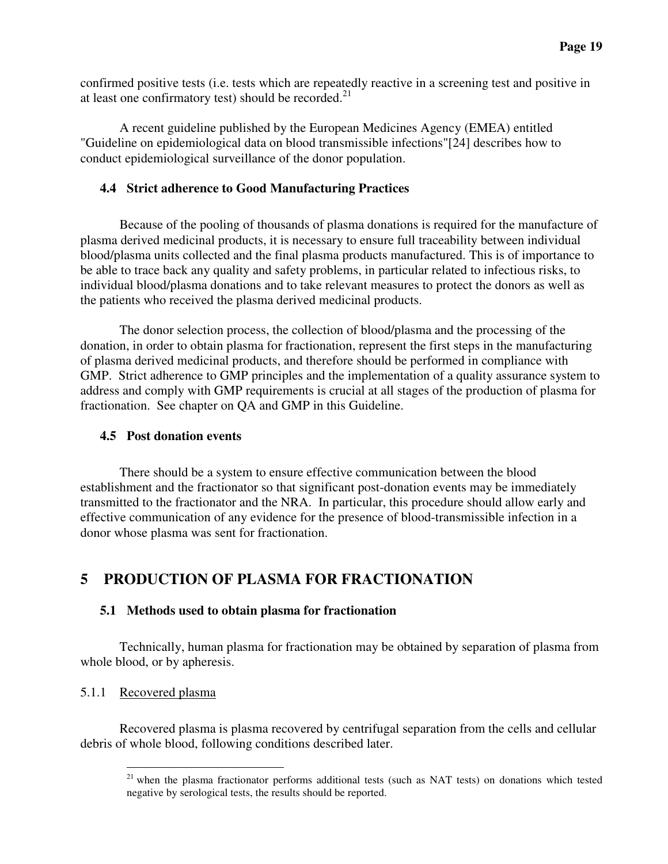confirmed positive tests (i.e. tests which are repeatedly reactive in a screening test and positive in at least one confirmatory test) should be recorded.<sup>21</sup>

A recent guideline published by the European Medicines Agency (EMEA) entitled "Guideline on epidemiological data on blood transmissible infections"[24] describes how to conduct epidemiological surveillance of the donor population.

### **4.4 Strict adherence to Good Manufacturing Practices**

Because of the pooling of thousands of plasma donations is required for the manufacture of plasma derived medicinal products, it is necessary to ensure full traceability between individual blood/plasma units collected and the final plasma products manufactured. This is of importance to be able to trace back any quality and safety problems, in particular related to infectious risks, to individual blood/plasma donations and to take relevant measures to protect the donors as well as the patients who received the plasma derived medicinal products.

The donor selection process, the collection of blood/plasma and the processing of the donation, in order to obtain plasma for fractionation, represent the first steps in the manufacturing of plasma derived medicinal products, and therefore should be performed in compliance with GMP. Strict adherence to GMP principles and the implementation of a quality assurance system to address and comply with GMP requirements is crucial at all stages of the production of plasma for fractionation. See chapter on QA and GMP in this Guideline.

### **4.5 Post donation events**

There should be a system to ensure effective communication between the blood establishment and the fractionator so that significant post-donation events may be immediately transmitted to the fractionator and the NRA. In particular, this procedure should allow early and effective communication of any evidence for the presence of blood-transmissible infection in a donor whose plasma was sent for fractionation.

# **5 PRODUCTION OF PLASMA FOR FRACTIONATION**

## **5.1 Methods used to obtain plasma for fractionation**

Technically, human plasma for fractionation may be obtained by separation of plasma from whole blood, or by apheresis.

## 5.1.1 Recovered plasma

Recovered plasma is plasma recovered by centrifugal separation from the cells and cellular debris of whole blood, following conditions described later.

<sup>&</sup>lt;sup>21</sup> when the plasma fractionator performs additional tests (such as NAT tests) on donations which tested negative by serological tests, the results should be reported.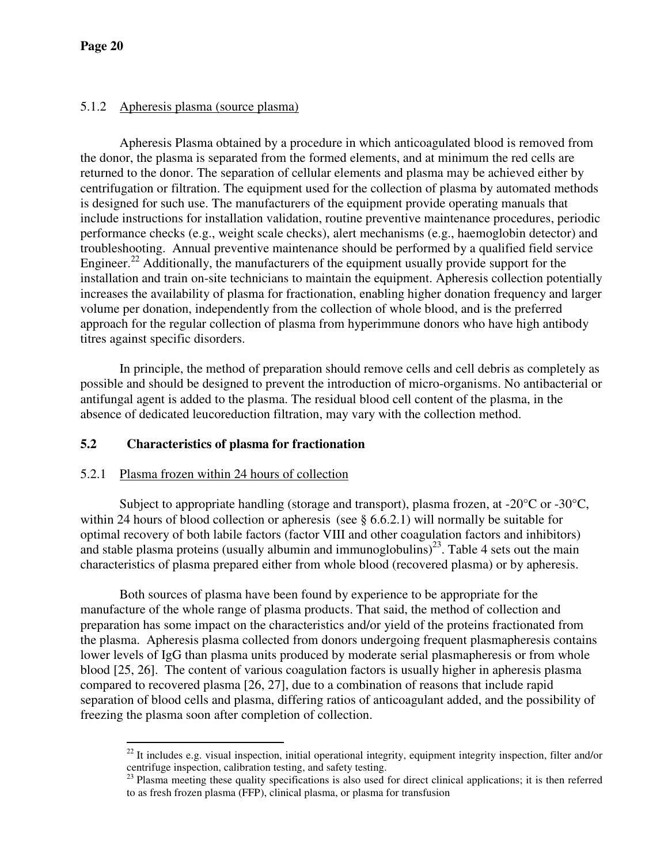## 5.1.2 Apheresis plasma (source plasma)

Apheresis Plasma obtained by a procedure in which anticoagulated blood is removed from the donor, the plasma is separated from the formed elements, and at minimum the red cells are returned to the donor. The separation of cellular elements and plasma may be achieved either by centrifugation or filtration. The equipment used for the collection of plasma by automated methods is designed for such use. The manufacturers of the equipment provide operating manuals that include instructions for installation validation, routine preventive maintenance procedures, periodic performance checks (e.g., weight scale checks), alert mechanisms (e.g., haemoglobin detector) and troubleshooting. Annual preventive maintenance should be performed by a qualified field service Engineer.<sup>22</sup> Additionally, the manufacturers of the equipment usually provide support for the installation and train on-site technicians to maintain the equipment. Apheresis collection potentially increases the availability of plasma for fractionation, enabling higher donation frequency and larger volume per donation, independently from the collection of whole blood, and is the preferred approach for the regular collection of plasma from hyperimmune donors who have high antibody titres against specific disorders.

In principle, the method of preparation should remove cells and cell debris as completely as possible and should be designed to prevent the introduction of micro-organisms. No antibacterial or antifungal agent is added to the plasma. The residual blood cell content of the plasma, in the absence of dedicated leucoreduction filtration, may vary with the collection method.

## **5.2 Characteristics of plasma for fractionation**

### 5.2.1 Plasma frozen within 24 hours of collection

Subject to appropriate handling (storage and transport), plasma frozen, at  $-20^{\circ}$ C or  $-30^{\circ}$ C, within 24 hours of blood collection or apheresis (see  $\S 6.6.2.1$ ) will normally be suitable for optimal recovery of both labile factors (factor VIII and other coagulation factors and inhibitors) and stable plasma proteins (usually albumin and immunoglobulins)<sup>23</sup>. Table 4 sets out the main characteristics of plasma prepared either from whole blood (recovered plasma) or by apheresis.

Both sources of plasma have been found by experience to be appropriate for the manufacture of the whole range of plasma products. That said, the method of collection and preparation has some impact on the characteristics and/or yield of the proteins fractionated from the plasma. Apheresis plasma collected from donors undergoing frequent plasmapheresis contains lower levels of IgG than plasma units produced by moderate serial plasmapheresis or from whole blood [25, 26]. The content of various coagulation factors is usually higher in apheresis plasma compared to recovered plasma [26, 27], due to a combination of reasons that include rapid separation of blood cells and plasma, differing ratios of anticoagulant added, and the possibility of freezing the plasma soon after completion of collection.

 $22$  It includes e.g. visual inspection, initial operational integrity, equipment integrity inspection, filter and/or

centrifuge inspection, calibration testing, and safety testing. 23 Plasma meeting these quality specifications is also used for direct clinical applications; it is then referred to as fresh frozen plasma (FFP), clinical plasma, or plasma for transfusion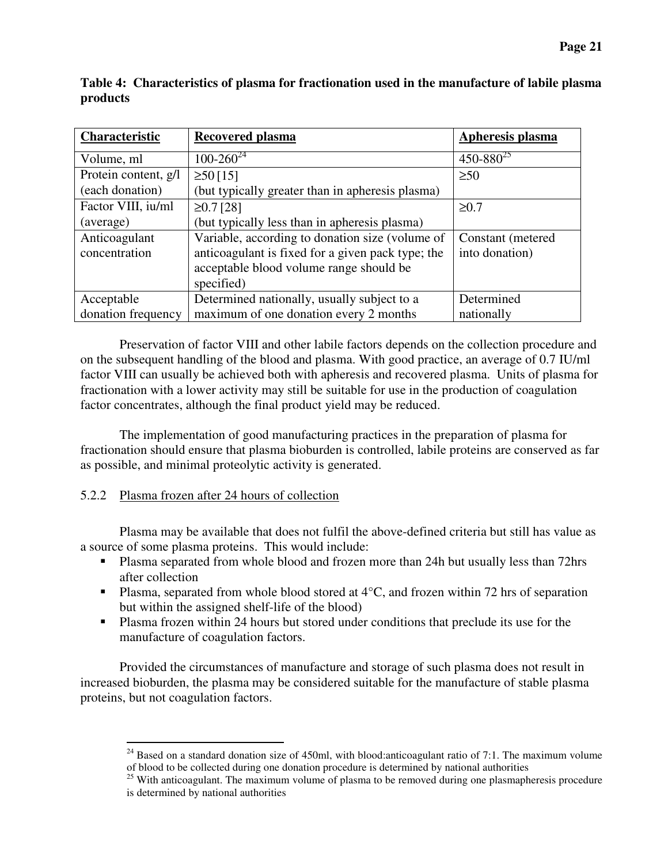| Characteristic       | <b>Recovered plasma</b>                           | Apheresis plasma  |
|----------------------|---------------------------------------------------|-------------------|
| Volume, ml           | $100 - 260^{24}$                                  | $450 - 880^{25}$  |
| Protein content, g/l | $\geq 50$ [15]                                    | $\geq 50$         |
| (each donation)      | (but typically greater than in apheresis plasma)  |                   |
| Factor VIII, iu/ml   | $\geq$ 0.7 [28]                                   | $\geq 0.7$        |
| (average)            | (but typically less than in apheresis plasma)     |                   |
| Anticoagulant        | Variable, according to donation size (volume of   | Constant (metered |
| concentration        | anticoagulant is fixed for a given pack type; the | into donation)    |
|                      | acceptable blood volume range should be           |                   |
|                      | specified)                                        |                   |
| Acceptable           | Determined nationally, usually subject to a       | Determined        |
| donation frequency   | maximum of one donation every 2 months            | nationally        |

**Table 4: Characteristics of plasma for fractionation used in the manufacture of labile plasma products**

Preservation of factor VIII and other labile factors depends on the collection procedure and on the subsequent handling of the blood and plasma. With good practice, an average of 0.7 IU/ml factor VIII can usually be achieved both with apheresis and recovered plasma. Units of plasma for fractionation with a lower activity may still be suitable for use in the production of coagulation factor concentrates, although the final product yield may be reduced.

The implementation of good manufacturing practices in the preparation of plasma for fractionation should ensure that plasma bioburden is controlled, labile proteins are conserved as far as possible, and minimal proteolytic activity is generated.

## 5.2.2 Plasma frozen after 24 hours of collection

Plasma may be available that does not fulfil the above-defined criteria but still has value as a source of some plasma proteins. This would include:

- Plasma separated from whole blood and frozen more than 24h but usually less than 72hrs after collection
- Plasma, separated from whole blood stored at  $4^{\circ}$ C, and frozen within 72 hrs of separation but within the assigned shelf-life of the blood)
- **Plasma frozen within 24 hours but stored under conditions that preclude its use for the** manufacture of coagulation factors.

Provided the circumstances of manufacture and storage of such plasma does not result in increased bioburden, the plasma may be considered suitable for the manufacture of stable plasma proteins, but not coagulation factors.

 $24$  Based on a standard donation size of 450ml, with blood:anticoagulant ratio of 7:1. The maximum volume of blood to be collected during one donation procedure is determined by national authorities

 $25$  With anticoagulant. The maximum volume of plasma to be removed during one plasmapheresis procedure is determined by national authorities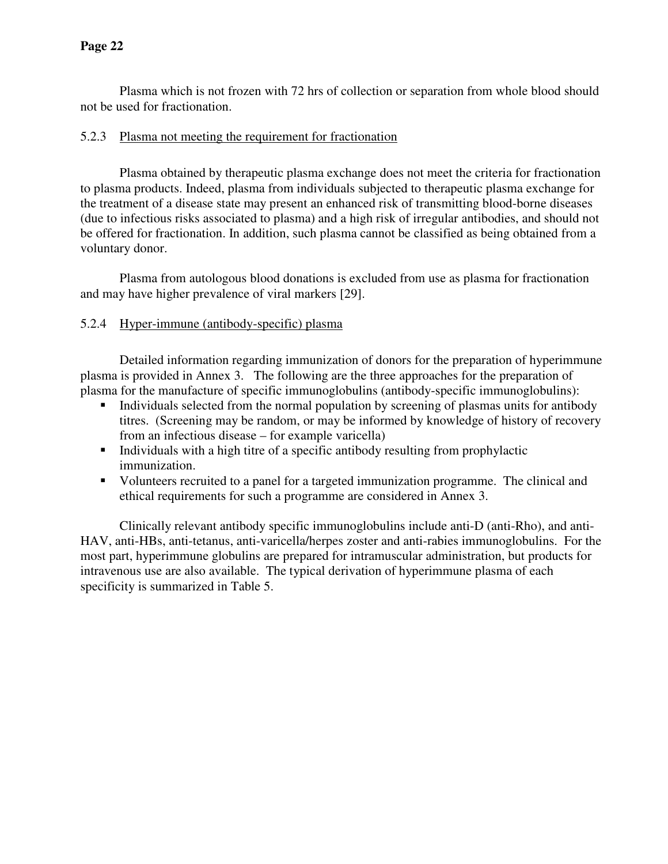Plasma which is not frozen with 72 hrs of collection or separation from whole blood should not be used for fractionation.

### 5.2.3 Plasma not meeting the requirement for fractionation

Plasma obtained by therapeutic plasma exchange does not meet the criteria for fractionation to plasma products. Indeed, plasma from individuals subjected to therapeutic plasma exchange for the treatment of a disease state may present an enhanced risk of transmitting blood-borne diseases (due to infectious risks associated to plasma) and a high risk of irregular antibodies, and should not be offered for fractionation. In addition, such plasma cannot be classified as being obtained from a voluntary donor.

Plasma from autologous blood donations is excluded from use as plasma for fractionation and may have higher prevalence of viral markers [29].

### 5.2.4 Hyper-immune (antibody-specific) plasma

Detailed information regarding immunization of donors for the preparation of hyperimmune plasma is provided in Annex 3. The following are the three approaches for the preparation of plasma for the manufacture of specific immunoglobulins (antibody-specific immunoglobulins):

- Individuals selected from the normal population by screening of plasmas units for antibody titres. (Screening may be random, or may be informed by knowledge of history of recovery from an infectious disease – for example varicella)
- Individuals with a high titre of a specific antibody resulting from prophylactic immunization.
- Volunteers recruited to a panel for a targeted immunization programme. The clinical and ethical requirements for such a programme are considered in Annex 3.

Clinically relevant antibody specific immunoglobulins include anti-D (anti-Rho), and anti-HAV, anti-HBs, anti-tetanus, anti-varicella/herpes zoster and anti-rabies immunoglobulins. For the most part, hyperimmune globulins are prepared for intramuscular administration, but products for intravenous use are also available. The typical derivation of hyperimmune plasma of each specificity is summarized in Table 5.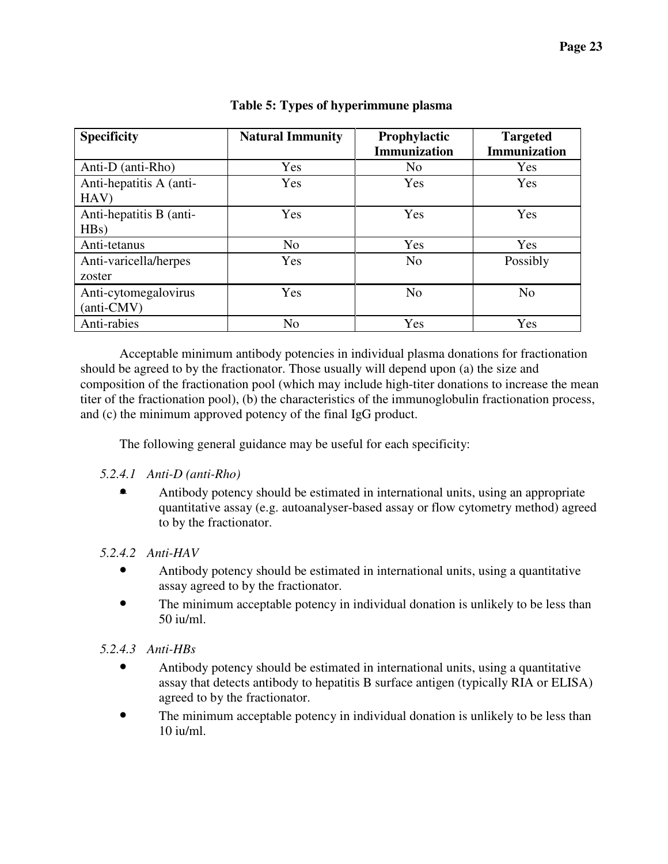| <b>Specificity</b>      | <b>Natural Immunity</b> | Prophylactic        | <b>Targeted</b>     |
|-------------------------|-------------------------|---------------------|---------------------|
|                         |                         | <b>Immunization</b> | <b>Immunization</b> |
| Anti-D (anti-Rho)       | Yes                     | N <sub>0</sub>      | <b>Yes</b>          |
| Anti-hepatitis A (anti- | Yes                     | Yes                 | Yes                 |
| HAV)                    |                         |                     |                     |
| Anti-hepatitis B (anti- | Yes                     | Yes                 | Yes                 |
| $HBs$ )                 |                         |                     |                     |
| Anti-tetanus            | N <sub>o</sub>          | Yes                 | Yes                 |
| Anti-varicella/herpes   | Yes                     | N <sub>o</sub>      | Possibly            |
| zoster                  |                         |                     |                     |
| Anti-cytomegalovirus    | Yes                     | N <sub>0</sub>      | N <sub>o</sub>      |
| (anti-CMV)              |                         |                     |                     |
| Anti-rabies             | N <sub>o</sub>          | Yes                 | Yes                 |

| Table 5: Types of hyperimmune plasma |
|--------------------------------------|
|--------------------------------------|

Acceptable minimum antibody potencies in individual plasma donations for fractionation should be agreed to by the fractionator. Those usually will depend upon (a) the size and composition of the fractionation pool (which may include high-titer donations to increase the mean titer of the fractionation pool), (b) the characteristics of the immunoglobulin fractionation process, and (c) the minimum approved potency of the final IgG product.

The following general guidance may be useful for each specificity:

## *5.2.4.1 Anti-D (anti-Rho)*

• Antibody potency should be estimated in international units, using an appropriate quantitative assay (e.g. autoanalyser-based assay or flow cytometry method) agreed to by the fractionator.

# *5.2.4.2 Anti-HAV*

- Antibody potency should be estimated in international units, using a quantitative assay agreed to by the fractionator.
- The minimum acceptable potency in individual donation is unlikely to be less than 50 iu/ml.

# *5.2.4.3 Anti-HBs*

- Antibody potency should be estimated in international units, using a quantitative assay that detects antibody to hepatitis B surface antigen (typically RIA or ELISA) agreed to by the fractionator.
- The minimum acceptable potency in individual donation is unlikely to be less than 10 iu/ml.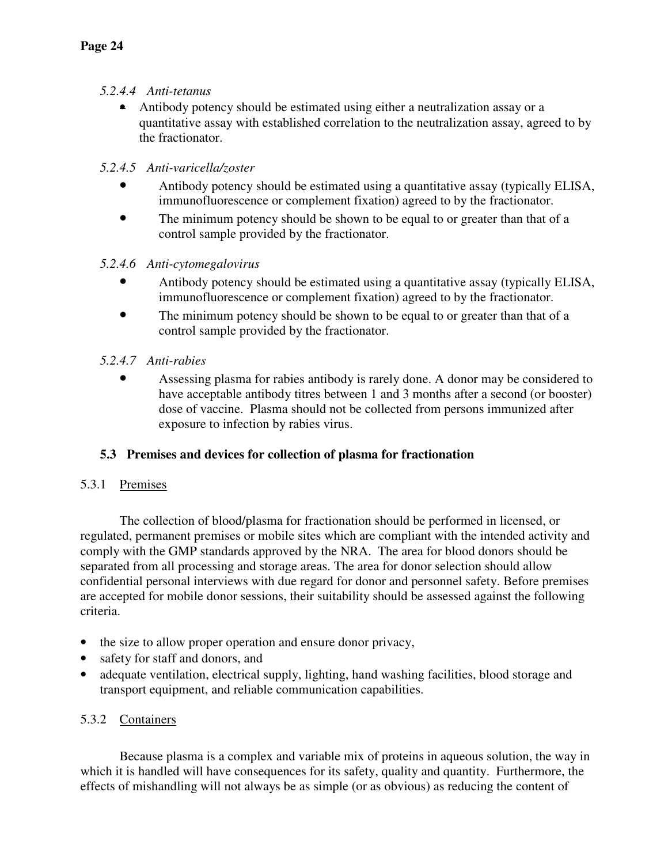# *5.2.4.4 Anti-tetanus*

• Antibody potency should be estimated using either a neutralization assay or a quantitative assay with established correlation to the neutralization assay, agreed to by the fractionator.

# *5.2.4.5 Anti-varicella/zoster*

- Antibody potency should be estimated using a quantitative assay (typically ELISA, immunofluorescence or complement fixation) agreed to by the fractionator.
- The minimum potency should be shown to be equal to or greater than that of a control sample provided by the fractionator.

# *5.2.4.6 Anti-cytomegalovirus*

- Antibody potency should be estimated using a quantitative assay (typically ELISA, immunofluorescence or complement fixation) agreed to by the fractionator.
- The minimum potency should be shown to be equal to or greater than that of a control sample provided by the fractionator.

## *5.2.4.7 Anti-rabies*

• Assessing plasma for rabies antibody is rarely done. A donor may be considered to have acceptable antibody titres between 1 and 3 months after a second (or booster) dose of vaccine. Plasma should not be collected from persons immunized after exposure to infection by rabies virus.

# **5.3 Premises and devices for collection of plasma for fractionation**

## 5.3.1 Premises

The collection of blood/plasma for fractionation should be performed in licensed, or regulated, permanent premises or mobile sites which are compliant with the intended activity and comply with the GMP standards approved by the NRA. The area for blood donors should be separated from all processing and storage areas. The area for donor selection should allow confidential personal interviews with due regard for donor and personnel safety. Before premises are accepted for mobile donor sessions, their suitability should be assessed against the following criteria.

- the size to allow proper operation and ensure donor privacy,
- safety for staff and donors, and
- adequate ventilation, electrical supply, lighting, hand washing facilities, blood storage and transport equipment, and reliable communication capabilities.

## 5.3.2 Containers

Because plasma is a complex and variable mix of proteins in aqueous solution, the way in which it is handled will have consequences for its safety, quality and quantity. Furthermore, the effects of mishandling will not always be as simple (or as obvious) as reducing the content of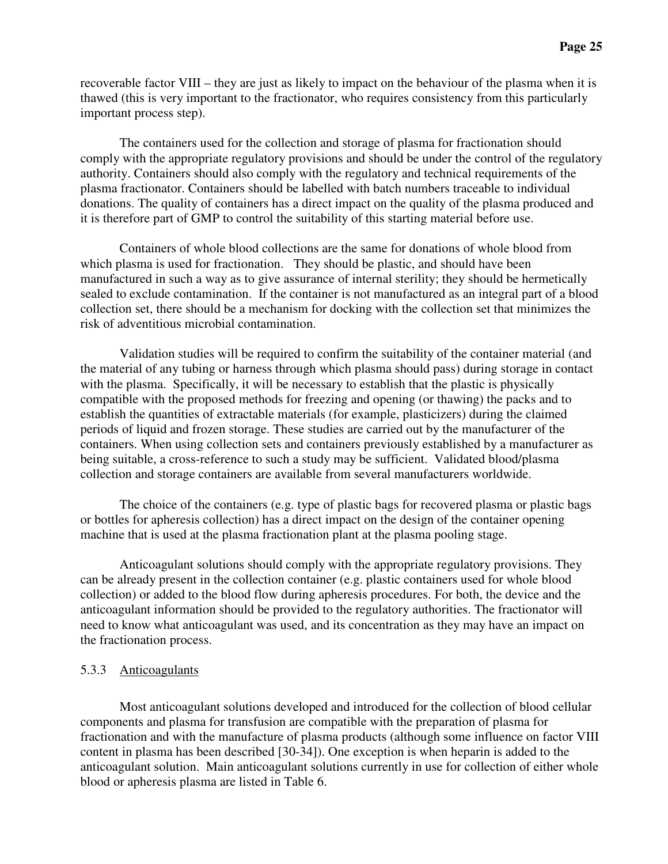recoverable factor VIII – they are just as likely to impact on the behaviour of the plasma when it is thawed (this is very important to the fractionator, who requires consistency from this particularly important process step).

The containers used for the collection and storage of plasma for fractionation should comply with the appropriate regulatory provisions and should be under the control of the regulatory authority. Containers should also comply with the regulatory and technical requirements of the plasma fractionator. Containers should be labelled with batch numbers traceable to individual donations. The quality of containers has a direct impact on the quality of the plasma produced and it is therefore part of GMP to control the suitability of this starting material before use.

Containers of whole blood collections are the same for donations of whole blood from which plasma is used for fractionation. They should be plastic, and should have been manufactured in such a way as to give assurance of internal sterility; they should be hermetically sealed to exclude contamination. If the container is not manufactured as an integral part of a blood collection set, there should be a mechanism for docking with the collection set that minimizes the risk of adventitious microbial contamination.

Validation studies will be required to confirm the suitability of the container material (and the material of any tubing or harness through which plasma should pass) during storage in contact with the plasma. Specifically, it will be necessary to establish that the plastic is physically compatible with the proposed methods for freezing and opening (or thawing) the packs and to establish the quantities of extractable materials (for example, plasticizers) during the claimed periods of liquid and frozen storage. These studies are carried out by the manufacturer of the containers. When using collection sets and containers previously established by a manufacturer as being suitable, a cross-reference to such a study may be sufficient. Validated blood/plasma collection and storage containers are available from several manufacturers worldwide.

The choice of the containers (e.g. type of plastic bags for recovered plasma or plastic bags or bottles for apheresis collection) has a direct impact on the design of the container opening machine that is used at the plasma fractionation plant at the plasma pooling stage.

Anticoagulant solutions should comply with the appropriate regulatory provisions. They can be already present in the collection container (e.g. plastic containers used for whole blood collection) or added to the blood flow during apheresis procedures. For both, the device and the anticoagulant information should be provided to the regulatory authorities. The fractionator will need to know what anticoagulant was used, and its concentration as they may have an impact on the fractionation process.

#### 5.3.3 Anticoagulants

Most anticoagulant solutions developed and introduced for the collection of blood cellular components and plasma for transfusion are compatible with the preparation of plasma for fractionation and with the manufacture of plasma products (although some influence on factor VIII content in plasma has been described [30-34]). One exception is when heparin is added to the anticoagulant solution. Main anticoagulant solutions currently in use for collection of either whole blood or apheresis plasma are listed in Table 6.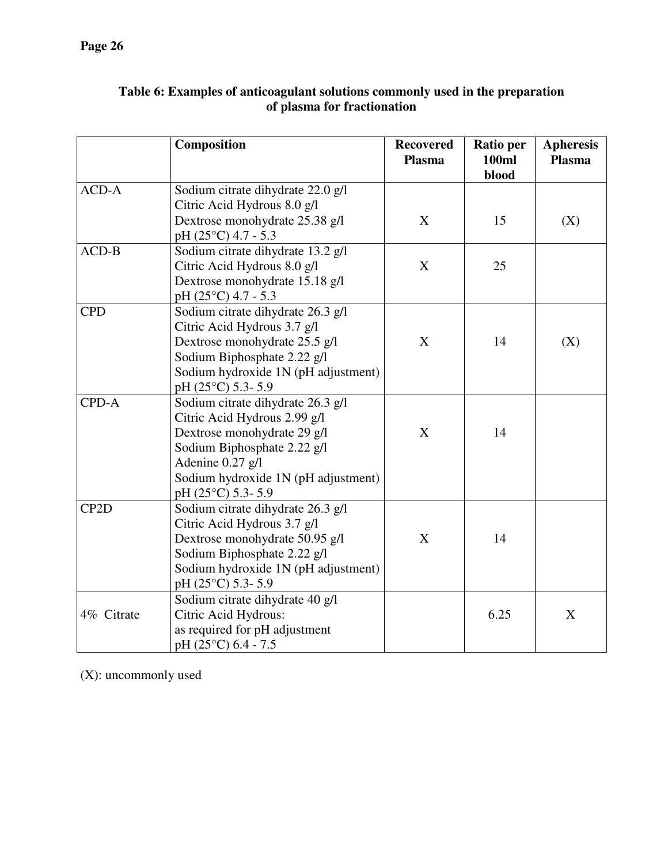|                   | Composition                         | <b>Recovered</b><br>Plasma | Ratio per<br>100ml<br>blood | <b>Apheresis</b><br>Plasma |
|-------------------|-------------------------------------|----------------------------|-----------------------------|----------------------------|
| $ACD-A$           | Sodium citrate dihydrate 22.0 g/l   |                            |                             |                            |
|                   | Citric Acid Hydrous 8.0 g/l         |                            |                             |                            |
|                   | Dextrose monohydrate 25.38 g/l      | X                          | 15                          | (X)                        |
|                   | pH (25°C) 4.7 - 5.3                 |                            |                             |                            |
| $ACD-B$           | Sodium citrate dihydrate 13.2 g/l   |                            |                             |                            |
|                   | Citric Acid Hydrous 8.0 g/l         | X                          | 25                          |                            |
|                   | Dextrose monohydrate 15.18 g/l      |                            |                             |                            |
|                   | pH (25°C) 4.7 - 5.3                 |                            |                             |                            |
| <b>CPD</b>        | Sodium citrate dihydrate 26.3 g/l   |                            |                             |                            |
|                   | Citric Acid Hydrous 3.7 g/l         |                            |                             |                            |
|                   | Dextrose monohydrate 25.5 g/l       | X                          | 14                          | (X)                        |
|                   | Sodium Biphosphate 2.22 g/l         |                            |                             |                            |
|                   | Sodium hydroxide 1N (pH adjustment) |                            |                             |                            |
|                   | pH (25°C) 5.3-5.9                   |                            |                             |                            |
| CPD-A             | Sodium citrate dihydrate 26.3 g/l   |                            |                             |                            |
|                   | Citric Acid Hydrous 2.99 g/l        |                            |                             |                            |
|                   | Dextrose monohydrate 29 g/l         | X                          | 14                          |                            |
|                   | Sodium Biphosphate 2.22 g/l         |                            |                             |                            |
|                   | Adenine 0.27 g/l                    |                            |                             |                            |
|                   | Sodium hydroxide 1N (pH adjustment) |                            |                             |                            |
|                   | pH (25°C) 5.3-5.9                   |                            |                             |                            |
| CP <sub>2</sub> D | Sodium citrate dihydrate 26.3 g/l   |                            |                             |                            |
|                   | Citric Acid Hydrous 3.7 g/l         |                            |                             |                            |
|                   | Dextrose monohydrate 50.95 g/l      | X                          | 14                          |                            |
|                   | Sodium Biphosphate 2.22 g/l         |                            |                             |                            |
|                   | Sodium hydroxide 1N (pH adjustment) |                            |                             |                            |
|                   | pH (25°C) 5.3-5.9                   |                            |                             |                            |
|                   | Sodium citrate dihydrate 40 g/l     |                            |                             |                            |
| 4% Citrate        | Citric Acid Hydrous:                |                            | 6.25                        | X                          |
|                   | as required for pH adjustment       |                            |                             |                            |
|                   | pH (25°C) 6.4 - 7.5                 |                            |                             |                            |

# **Table 6: Examples of anticoagulant solutions commonly used in the preparation of plasma for fractionation**

(X): uncommonly used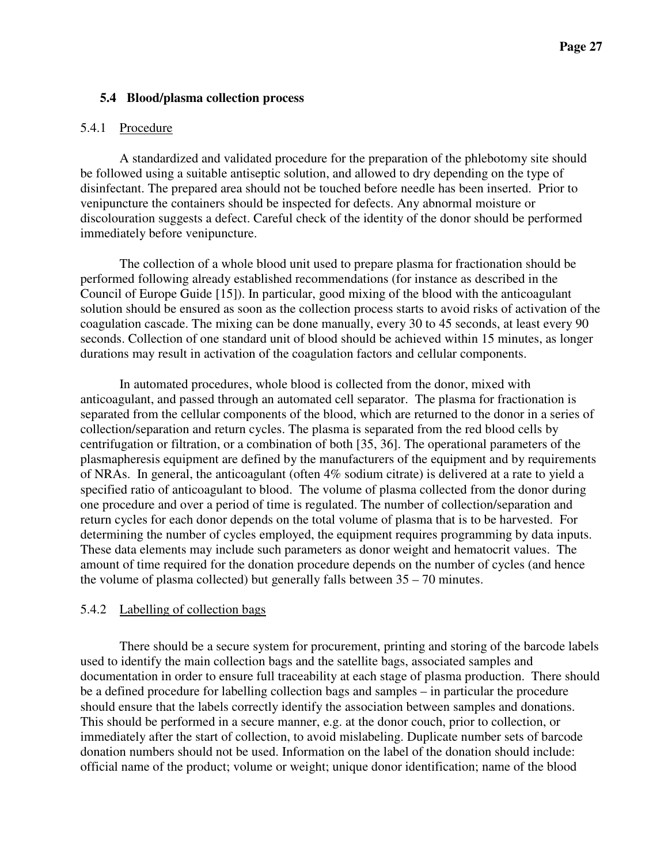### **5.4 Blood/plasma collection process**

#### 5.4.1 Procedure

A standardized and validated procedure for the preparation of the phlebotomy site should be followed using a suitable antiseptic solution, and allowed to dry depending on the type of disinfectant. The prepared area should not be touched before needle has been inserted. Prior to venipuncture the containers should be inspected for defects. Any abnormal moisture or discolouration suggests a defect. Careful check of the identity of the donor should be performed immediately before venipuncture.

The collection of a whole blood unit used to prepare plasma for fractionation should be performed following already established recommendations (for instance as described in the Council of Europe Guide [15]). In particular, good mixing of the blood with the anticoagulant solution should be ensured as soon as the collection process starts to avoid risks of activation of the coagulation cascade. The mixing can be done manually, every 30 to 45 seconds, at least every 90 seconds. Collection of one standard unit of blood should be achieved within 15 minutes, as longer durations may result in activation of the coagulation factors and cellular components.

In automated procedures, whole blood is collected from the donor, mixed with anticoagulant, and passed through an automated cell separator. The plasma for fractionation is separated from the cellular components of the blood, which are returned to the donor in a series of collection/separation and return cycles. The plasma is separated from the red blood cells by centrifugation or filtration, or a combination of both [35, 36]. The operational parameters of the plasmapheresis equipment are defined by the manufacturers of the equipment and by requirements of NRAs. In general, the anticoagulant (often 4% sodium citrate) is delivered at a rate to yield a specified ratio of anticoagulant to blood. The volume of plasma collected from the donor during one procedure and over a period of time is regulated. The number of collection/separation and return cycles for each donor depends on the total volume of plasma that is to be harvested. For determining the number of cycles employed, the equipment requires programming by data inputs. These data elements may include such parameters as donor weight and hematocrit values. The amount of time required for the donation procedure depends on the number of cycles (and hence the volume of plasma collected) but generally falls between 35 – 70 minutes.

### 5.4.2 Labelling of collection bags

There should be a secure system for procurement, printing and storing of the barcode labels used to identify the main collection bags and the satellite bags, associated samples and documentation in order to ensure full traceability at each stage of plasma production. There should be a defined procedure for labelling collection bags and samples – in particular the procedure should ensure that the labels correctly identify the association between samples and donations. This should be performed in a secure manner, e.g. at the donor couch, prior to collection, or immediately after the start of collection, to avoid mislabeling. Duplicate number sets of barcode donation numbers should not be used. Information on the label of the donation should include: official name of the product; volume or weight; unique donor identification; name of the blood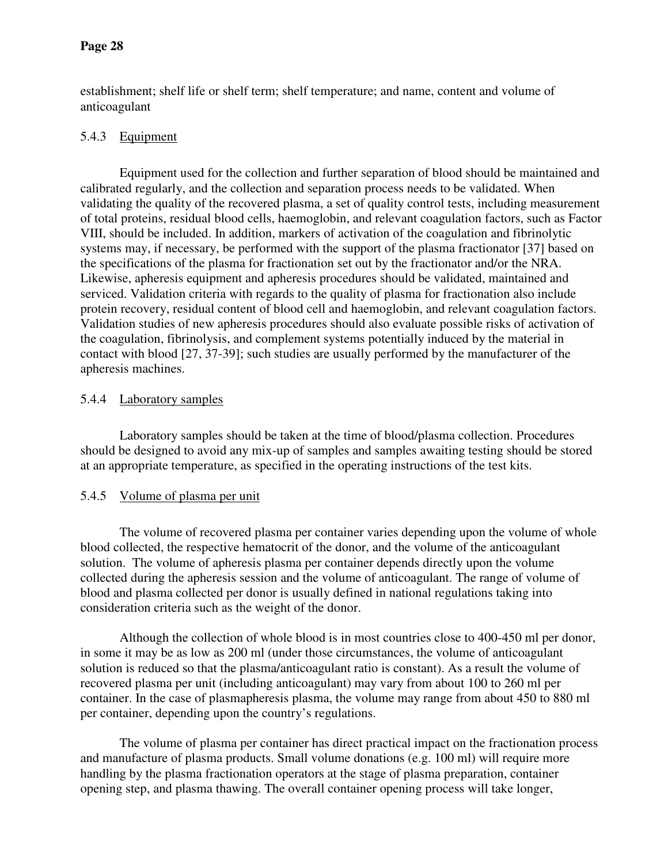establishment; shelf life or shelf term; shelf temperature; and name, content and volume of anticoagulant

## 5.4.3 Equipment

Equipment used for the collection and further separation of blood should be maintained and calibrated regularly, and the collection and separation process needs to be validated. When validating the quality of the recovered plasma, a set of quality control tests, including measurement of total proteins, residual blood cells, haemoglobin, and relevant coagulation factors, such as Factor VIII, should be included. In addition, markers of activation of the coagulation and fibrinolytic systems may, if necessary, be performed with the support of the plasma fractionator [37] based on the specifications of the plasma for fractionation set out by the fractionator and/or the NRA. Likewise, apheresis equipment and apheresis procedures should be validated, maintained and serviced. Validation criteria with regards to the quality of plasma for fractionation also include protein recovery, residual content of blood cell and haemoglobin, and relevant coagulation factors. Validation studies of new apheresis procedures should also evaluate possible risks of activation of the coagulation, fibrinolysis, and complement systems potentially induced by the material in contact with blood [27, 37-39]; such studies are usually performed by the manufacturer of the apheresis machines.

## 5.4.4 Laboratory samples

Laboratory samples should be taken at the time of blood/plasma collection. Procedures should be designed to avoid any mix-up of samples and samples awaiting testing should be stored at an appropriate temperature, as specified in the operating instructions of the test kits.

## 5.4.5 Volume of plasma per unit

The volume of recovered plasma per container varies depending upon the volume of whole blood collected, the respective hematocrit of the donor, and the volume of the anticoagulant solution. The volume of apheresis plasma per container depends directly upon the volume collected during the apheresis session and the volume of anticoagulant. The range of volume of blood and plasma collected per donor is usually defined in national regulations taking into consideration criteria such as the weight of the donor.

Although the collection of whole blood is in most countries close to 400-450 ml per donor, in some it may be as low as 200 ml (under those circumstances, the volume of anticoagulant solution is reduced so that the plasma/anticoagulant ratio is constant). As a result the volume of recovered plasma per unit (including anticoagulant) may vary from about 100 to 260 ml per container. In the case of plasmapheresis plasma, the volume may range from about 450 to 880 ml per container, depending upon the country's regulations.

The volume of plasma per container has direct practical impact on the fractionation process and manufacture of plasma products. Small volume donations (e.g. 100 ml) will require more handling by the plasma fractionation operators at the stage of plasma preparation, container opening step, and plasma thawing. The overall container opening process will take longer,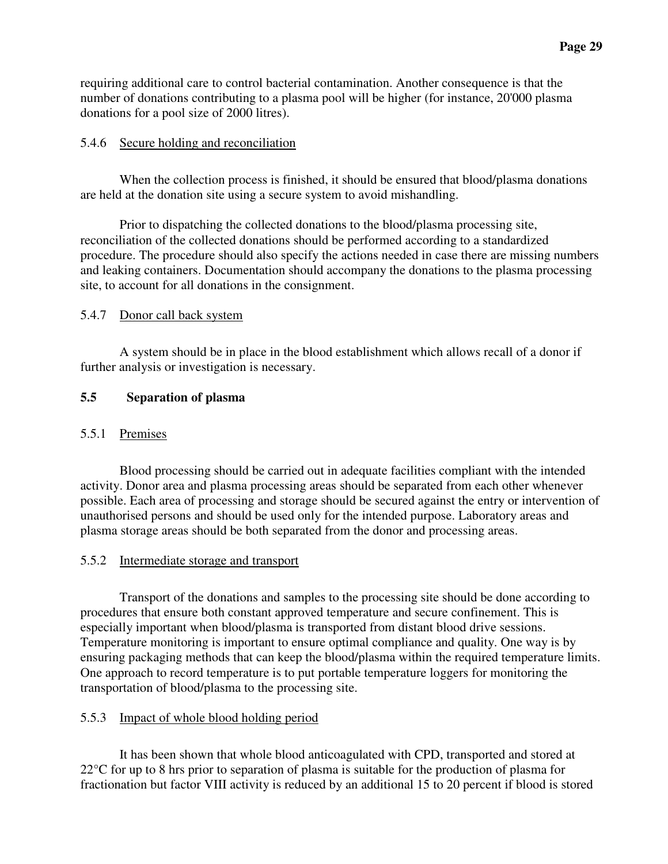requiring additional care to control bacterial contamination. Another consequence is that the number of donations contributing to a plasma pool will be higher (for instance, 20'000 plasma donations for a pool size of 2000 litres).

### 5.4.6 Secure holding and reconciliation

When the collection process is finished, it should be ensured that blood/plasma donations are held at the donation site using a secure system to avoid mishandling.

Prior to dispatching the collected donations to the blood/plasma processing site, reconciliation of the collected donations should be performed according to a standardized procedure. The procedure should also specify the actions needed in case there are missing numbers and leaking containers. Documentation should accompany the donations to the plasma processing site, to account for all donations in the consignment.

### 5.4.7 Donor call back system

A system should be in place in the blood establishment which allows recall of a donor if further analysis or investigation is necessary.

### **5.5 Separation of plasma**

### 5.5.1 Premises

Blood processing should be carried out in adequate facilities compliant with the intended activity. Donor area and plasma processing areas should be separated from each other whenever possible. Each area of processing and storage should be secured against the entry or intervention of unauthorised persons and should be used only for the intended purpose. Laboratory areas and plasma storage areas should be both separated from the donor and processing areas.

### 5.5.2 Intermediate storage and transport

Transport of the donations and samples to the processing site should be done according to procedures that ensure both constant approved temperature and secure confinement. This is especially important when blood/plasma is transported from distant blood drive sessions. Temperature monitoring is important to ensure optimal compliance and quality. One way is by ensuring packaging methods that can keep the blood/plasma within the required temperature limits. One approach to record temperature is to put portable temperature loggers for monitoring the transportation of blood/plasma to the processing site.

## 5.5.3 Impact of whole blood holding period

It has been shown that whole blood anticoagulated with CPD, transported and stored at 22°C for up to 8 hrs prior to separation of plasma is suitable for the production of plasma for fractionation but factor VIII activity is reduced by an additional 15 to 20 percent if blood is stored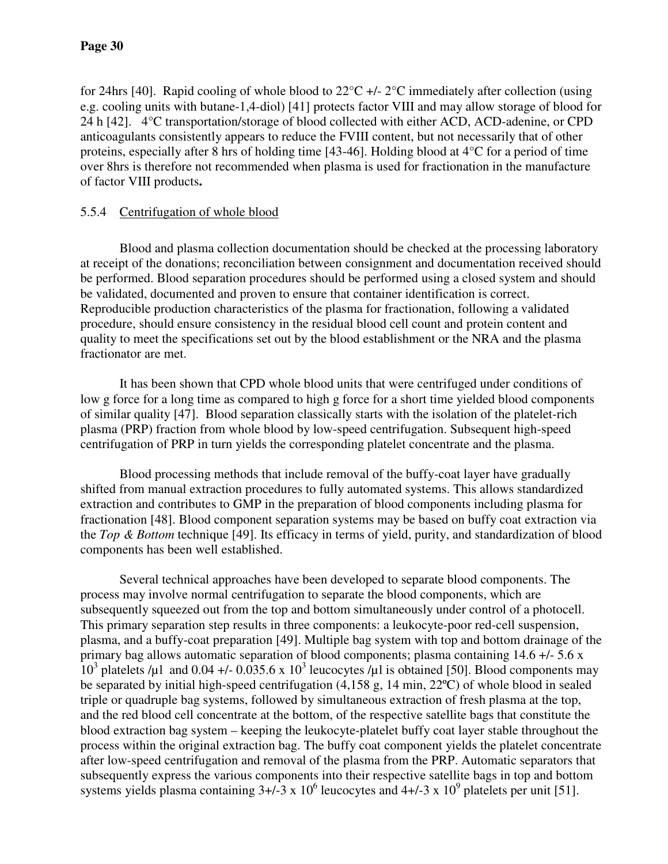for 24hrs [40]. Rapid cooling of whole blood to  $22^{\circ}C$  +/-  $2^{\circ}C$  immediately after collection (using e.g. cooling units with butane-1,4-diol) [41] protects factor VIII and may allow storage of blood for 24 h [42]. 4°C transportation/storage of blood collected with either ACD, ACD-adenine, or CPD anticoagulants consistently appears to reduce the FVIII content, but not necessarily that of other proteins, especially after 8 hrs of holding time [43-46]. Holding blood at 4°C for a period of time over 8hrs is therefore not recommended when plasma is used for fractionation in the manufacture of factor VIII products**.**

### 5.5.4 Centrifugation of whole blood

Blood and plasma collection documentation should be checked at the processing laboratory at receipt of the donations; reconciliation between consignment and documentation received should be performed. Blood separation procedures should be performed using a closed system and should be validated, documented and proven to ensure that container identification is correct. Reproducible production characteristics of the plasma for fractionation, following a validated procedure, should ensure consistency in the residual blood cell count and protein content and quality to meet the specifications set out by the blood establishment or the NRA and the plasma fractionator are met.

It has been shown that CPD whole blood units that were centrifuged under conditions of low g force for a long time as compared to high g force for a short time yielded blood components of similar quality [47]. Blood separation classically starts with the isolation of the platelet-rich plasma (PRP) fraction from whole blood by low-speed centrifugation. Subsequent high-speed centrifugation of PRP in turn yields the corresponding platelet concentrate and the plasma.

Blood processing methods that include removal of the buffy-coat layer have gradually shifted from manual extraction procedures to fully automated systems. This allows standardized extraction and contributes to GMP in the preparation of blood components including plasma for fractionation [48]. Blood component separation systems may be based on buffy coat extraction via the *Top & Bottom* technique [49]. Its efficacy in terms of yield, purity, and standardization of blood components has been well established.

Several technical approaches have been developed to separate blood components. The process may involve normal centrifugation to separate the blood components, which are subsequently squeezed out from the top and bottom simultaneously under control of a photocell. This primary separation step results in three components: a leukocyte-poor red-cell suspension, plasma, and a buffy-coat preparation [49]. Multiple bag system with top and bottom drainage of the primary bag allows automatic separation of blood components; plasma containing 14.6 +/- 5.6 x  $10^3$  platelets /µ1 and 0.04 +/- 0.035.6 x 10<sup>3</sup> leucocytes /µ1 is obtained [50]. Blood components may be separated by initial high-speed centrifugation (4,158 g, 14 min, 22ºC) of whole blood in sealed triple or quadruple bag systems, followed by simultaneous extraction of fresh plasma at the top, and the red blood cell concentrate at the bottom, of the respective satellite bags that constitute the blood extraction bag system – keeping the leukocyte-platelet buffy coat layer stable throughout the process within the original extraction bag. The buffy coat component yields the platelet concentrate after low-speed centrifugation and removal of the plasma from the PRP. Automatic separators that subsequently express the various components into their respective satellite bags in top and bottom systems yields plasma containing  $3+\sqrt{-3} \times 10^6$  leucocytes and  $4+\sqrt{-3} \times 10^9$  platelets per unit [51].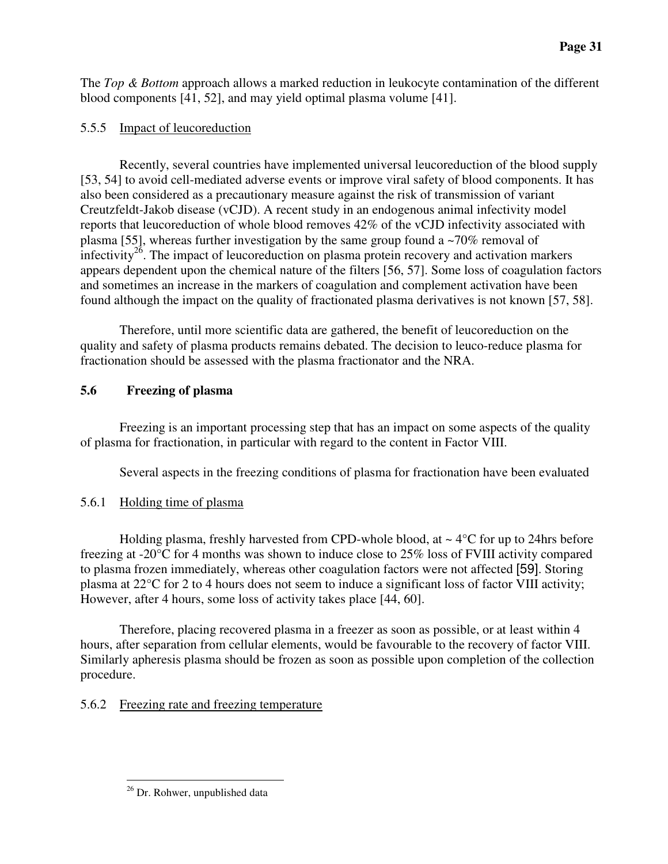The *Top & Bottom* approach allows a marked reduction in leukocyte contamination of the different blood components [41, 52], and may yield optimal plasma volume [41].

## 5.5.5 Impact of leucoreduction

Recently, several countries have implemented universal leucoreduction of the blood supply [53, 54] to avoid cell-mediated adverse events or improve viral safety of blood components. It has also been considered as a precautionary measure against the risk of transmission of variant Creutzfeldt-Jakob disease (vCJD). A recent study in an endogenous animal infectivity model reports that leucoreduction of whole blood removes 42% of the vCJD infectivity associated with plasma [55], whereas further investigation by the same group found a ~70% removal of infectivity<sup>26</sup>. The impact of leucoreduction on plasma protein recovery and activation markers appears dependent upon the chemical nature of the filters [56, 57]. Some loss of coagulation factors and sometimes an increase in the markers of coagulation and complement activation have been found although the impact on the quality of fractionated plasma derivatives is not known [57, 58].

Therefore, until more scientific data are gathered, the benefit of leucoreduction on the quality and safety of plasma products remains debated. The decision to leuco-reduce plasma for fractionation should be assessed with the plasma fractionator and the NRA.

## **5.6 Freezing of plasma**

Freezing is an important processing step that has an impact on some aspects of the quality of plasma for fractionation, in particular with regard to the content in Factor VIII.

Several aspects in the freezing conditions of plasma for fractionation have been evaluated

## 5.6.1 Holding time of plasma

Holding plasma, freshly harvested from CPD-whole blood, at  $\sim 4^{\circ}$ C for up to 24hrs before freezing at -20°C for 4 months was shown to induce close to 25% loss of FVIII activity compared to plasma frozen immediately, whereas other coagulation factors were not affected [59]. Storing plasma at 22°C for 2 to 4 hours does not seem to induce a significant loss of factor VIII activity; However, after 4 hours, some loss of activity takes place [44, 60].

Therefore, placing recovered plasma in a freezer as soon as possible, or at least within 4 hours, after separation from cellular elements, would be favourable to the recovery of factor VIII. Similarly apheresis plasma should be frozen as soon as possible upon completion of the collection procedure.

5.6.2 Freezing rate and freezing temperature

 $26$  Dr. Rohwer, unpublished data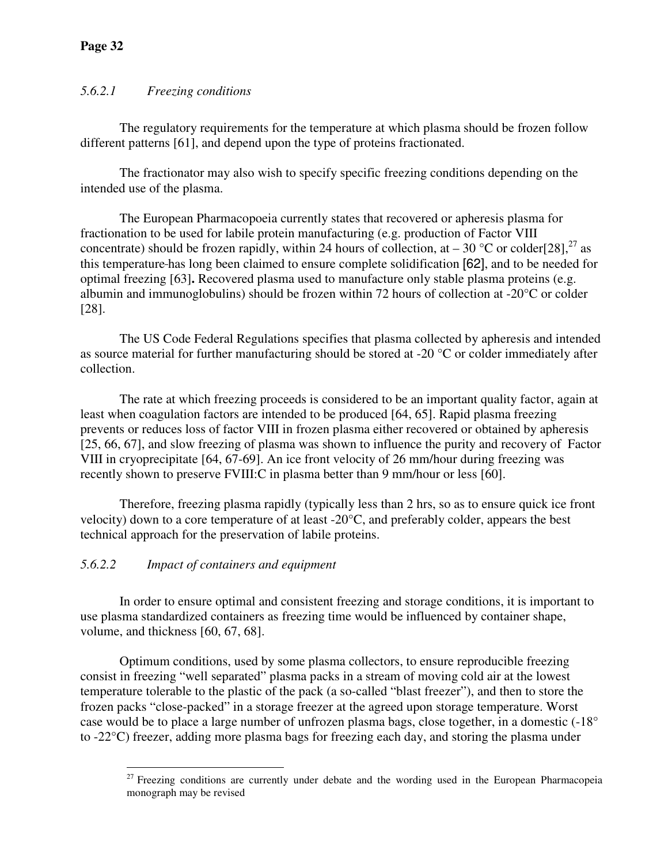## **Page 32**

## *5.6.2.1 Freezing conditions*

The regulatory requirements for the temperature at which plasma should be frozen follow different patterns [61], and depend upon the type of proteins fractionated.

The fractionator may also wish to specify specific freezing conditions depending on the intended use of the plasma.

The European Pharmacopoeia currently states that recovered or apheresis plasma for fractionation to be used for labile protein manufacturing (e.g. production of Factor VIII concentrate) should be frozen rapidly, within 24 hours of collection, at  $-30$  °C or colder[28],<sup>27</sup> as this temperature has long been claimed to ensure complete solidification [62], and to be needed for optimal freezing [63]**.** Recovered plasma used to manufacture only stable plasma proteins (e.g. albumin and immunoglobulins) should be frozen within 72 hours of collection at -20°C or colder [28].

The US Code Federal Regulations specifies that plasma collected by apheresis and intended as source material for further manufacturing should be stored at -20 °C or colder immediately after collection.

The rate at which freezing proceeds is considered to be an important quality factor, again at least when coagulation factors are intended to be produced [64, 65]. Rapid plasma freezing prevents or reduces loss of factor VIII in frozen plasma either recovered or obtained by apheresis [25, 66, 67], and slow freezing of plasma was shown to influence the purity and recovery of Factor VIII in cryoprecipitate [64, 67-69]. An ice front velocity of 26 mm/hour during freezing was recently shown to preserve FVIII:C in plasma better than 9 mm/hour or less [60].

Therefore, freezing plasma rapidly (typically less than 2 hrs, so as to ensure quick ice front velocity) down to a core temperature of at least -20°C, and preferably colder, appears the best technical approach for the preservation of labile proteins.

# *5.6.2.2 Impact of containers and equipment*

In order to ensure optimal and consistent freezing and storage conditions, it is important to use plasma standardized containers as freezing time would be influenced by container shape, volume, and thickness [60, 67, 68].

Optimum conditions, used by some plasma collectors, to ensure reproducible freezing consist in freezing "well separated" plasma packs in a stream of moving cold air at the lowest temperature tolerable to the plastic of the pack (a so-called "blast freezer"), and then to store the frozen packs "close-packed" in a storage freezer at the agreed upon storage temperature. Worst case would be to place a large number of unfrozen plasma bags, close together, in a domestic (-18° to -22°C) freezer, adding more plasma bags for freezing each day, and storing the plasma under

<sup>&</sup>lt;sup>27</sup> Freezing conditions are currently under debate and the wording used in the European Pharmacopeia monograph may be revised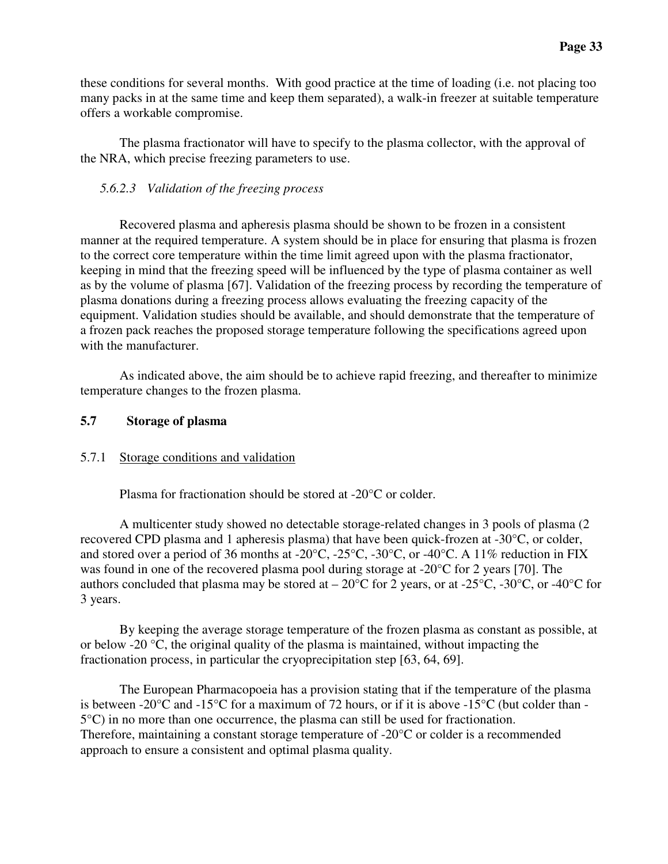these conditions for several months. With good practice at the time of loading (i.e. not placing too many packs in at the same time and keep them separated), a walk-in freezer at suitable temperature offers a workable compromise.

The plasma fractionator will have to specify to the plasma collector, with the approval of the NRA, which precise freezing parameters to use.

### *5.6.2.3 Validation of the freezing process*

Recovered plasma and apheresis plasma should be shown to be frozen in a consistent manner at the required temperature. A system should be in place for ensuring that plasma is frozen to the correct core temperature within the time limit agreed upon with the plasma fractionator, keeping in mind that the freezing speed will be influenced by the type of plasma container as well as by the volume of plasma [67]. Validation of the freezing process by recording the temperature of plasma donations during a freezing process allows evaluating the freezing capacity of the equipment. Validation studies should be available, and should demonstrate that the temperature of a frozen pack reaches the proposed storage temperature following the specifications agreed upon with the manufacturer.

As indicated above, the aim should be to achieve rapid freezing, and thereafter to minimize temperature changes to the frozen plasma.

### **5.7 Storage of plasma**

### 5.7.1 Storage conditions and validation

Plasma for fractionation should be stored at -20°C or colder.

A multicenter study showed no detectable storage-related changes in 3 pools of plasma (2 recovered CPD plasma and 1 apheresis plasma) that have been quick-frozen at -30°C, or colder, and stored over a period of 36 months at -20°C, -25°C, -30°C, or -40°C. A 11% reduction in FIX was found in one of the recovered plasma pool during storage at -20°C for 2 years [70]. The authors concluded that plasma may be stored at  $-20^{\circ}$ C for 2 years, or at -25 $^{\circ}$ C, -30 $^{\circ}$ C, or -40 $^{\circ}$ C for 3 years.

By keeping the average storage temperature of the frozen plasma as constant as possible, at or below -20 °C, the original quality of the plasma is maintained, without impacting the fractionation process, in particular the cryoprecipitation step [63, 64, 69].

The European Pharmacopoeia has a provision stating that if the temperature of the plasma is between -20 $^{\circ}$ C and -15 $^{\circ}$ C for a maximum of 72 hours, or if it is above -15 $^{\circ}$ C (but colder than -5°C) in no more than one occurrence, the plasma can still be used for fractionation. Therefore, maintaining a constant storage temperature of -20°C or colder is a recommended approach to ensure a consistent and optimal plasma quality.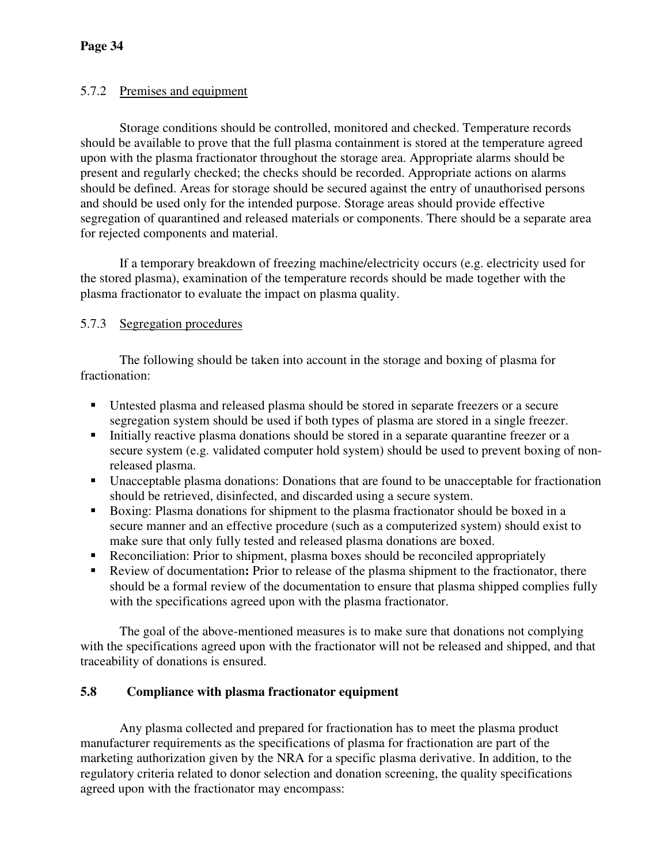## 5.7.2 Premises and equipment

Storage conditions should be controlled, monitored and checked. Temperature records should be available to prove that the full plasma containment is stored at the temperature agreed upon with the plasma fractionator throughout the storage area. Appropriate alarms should be present and regularly checked; the checks should be recorded. Appropriate actions on alarms should be defined. Areas for storage should be secured against the entry of unauthorised persons and should be used only for the intended purpose. Storage areas should provide effective segregation of quarantined and released materials or components. There should be a separate area for rejected components and material.

If a temporary breakdown of freezing machine/electricity occurs (e.g. electricity used for the stored plasma), examination of the temperature records should be made together with the plasma fractionator to evaluate the impact on plasma quality.

## 5.7.3 Segregation procedures

The following should be taken into account in the storage and boxing of plasma for fractionation:

- Untested plasma and released plasma should be stored in separate freezers or a secure segregation system should be used if both types of plasma are stored in a single freezer.
- Initially reactive plasma donations should be stored in a separate quarantine freezer or a secure system (e.g. validated computer hold system) should be used to prevent boxing of nonreleased plasma.
- Unacceptable plasma donations: Donations that are found to be unacceptable for fractionation should be retrieved, disinfected, and discarded using a secure system.
- Boxing: Plasma donations for shipment to the plasma fractionator should be boxed in a secure manner and an effective procedure (such as a computerized system) should exist to make sure that only fully tested and released plasma donations are boxed.
- Reconciliation: Prior to shipment, plasma boxes should be reconciled appropriately
- Review of documentation**:** Prior to release of the plasma shipment to the fractionator, there should be a formal review of the documentation to ensure that plasma shipped complies fully with the specifications agreed upon with the plasma fractionator.

The goal of the above-mentioned measures is to make sure that donations not complying with the specifications agreed upon with the fractionator will not be released and shipped, and that traceability of donations is ensured.

## **5.8 Compliance with plasma fractionator equipment**

Any plasma collected and prepared for fractionation has to meet the plasma product manufacturer requirements as the specifications of plasma for fractionation are part of the marketing authorization given by the NRA for a specific plasma derivative. In addition, to the regulatory criteria related to donor selection and donation screening, the quality specifications agreed upon with the fractionator may encompass: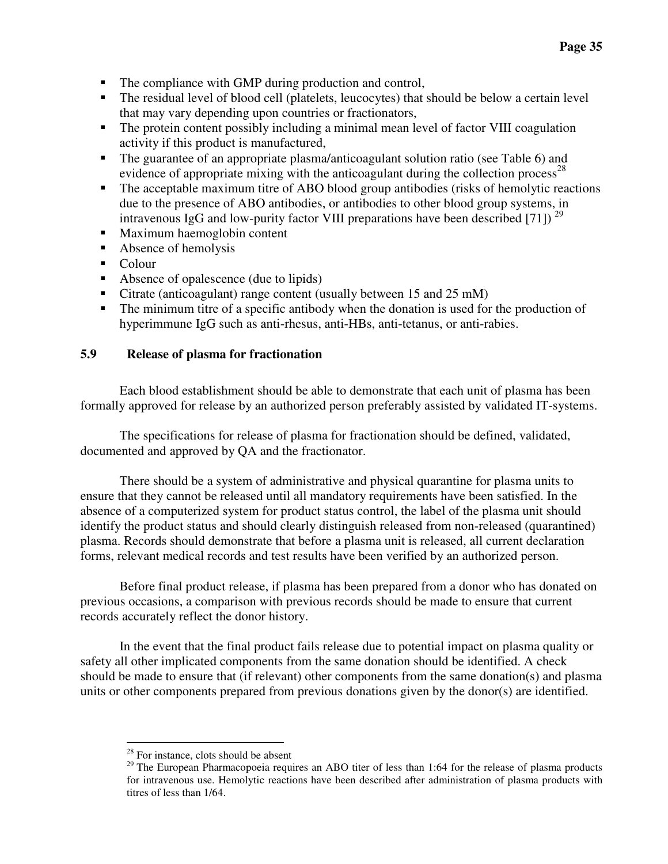- The compliance with GMP during production and control,
- The residual level of blood cell (platelets, leucocytes) that should be below a certain level that may vary depending upon countries or fractionators,
- The protein content possibly including a minimal mean level of factor VIII coagulation activity if this product is manufactured,
- The guarantee of an appropriate plasma/anticoagulant solution ratio (see Table 6) and evidence of appropriate mixing with the anticoagulant during the collection process<sup>28</sup>
- The acceptable maximum titre of ABO blood group antibodies (risks of hemolytic reactions due to the presence of ABO antibodies, or antibodies to other blood group systems, in intravenous IgG and low-purity factor VIII preparations have been described [71])<sup>29</sup>
- **Maximum haemoglobin content**
- Absence of hemolysis
- Colour
- Absence of opalescence (due to lipids)
- Citrate (anticoagulant) range content (usually between 15 and 25 mM)
- The minimum titre of a specific antibody when the donation is used for the production of hyperimmune IgG such as anti-rhesus, anti-HBs, anti-tetanus, or anti-rabies.

## **5.9 Release of plasma for fractionation**

Each blood establishment should be able to demonstrate that each unit of plasma has been formally approved for release by an authorized person preferably assisted by validated IT-systems.

The specifications for release of plasma for fractionation should be defined, validated, documented and approved by QA and the fractionator.

There should be a system of administrative and physical quarantine for plasma units to ensure that they cannot be released until all mandatory requirements have been satisfied. In the absence of a computerized system for product status control, the label of the plasma unit should identify the product status and should clearly distinguish released from non-released (quarantined) plasma. Records should demonstrate that before a plasma unit is released, all current declaration forms, relevant medical records and test results have been verified by an authorized person.

Before final product release, if plasma has been prepared from a donor who has donated on previous occasions, a comparison with previous records should be made to ensure that current records accurately reflect the donor history.

In the event that the final product fails release due to potential impact on plasma quality or safety all other implicated components from the same donation should be identified. A check should be made to ensure that (if relevant) other components from the same donation(s) and plasma units or other components prepared from previous donations given by the donor(s) are identified.

<sup>&</sup>lt;sup>28</sup> For instance, clots should be absent

<sup>&</sup>lt;sup>29</sup> The European Pharmacopoeia requires an ABO titer of less than 1:64 for the release of plasma products for intravenous use. Hemolytic reactions have been described after administration of plasma products with titres of less than 1/64.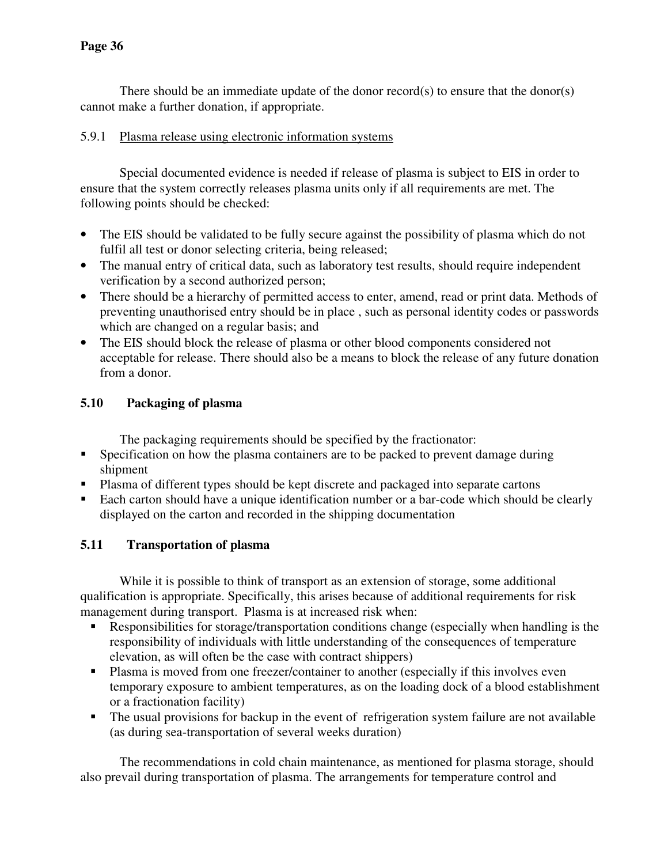There should be an immediate update of the donor record(s) to ensure that the donor(s) cannot make a further donation, if appropriate.

## 5.9.1 Plasma release using electronic information systems

Special documented evidence is needed if release of plasma is subject to EIS in order to ensure that the system correctly releases plasma units only if all requirements are met. The following points should be checked:

- The EIS should be validated to be fully secure against the possibility of plasma which do not fulfil all test or donor selecting criteria, being released;
- The manual entry of critical data, such as laboratory test results, should require independent verification by a second authorized person;
- There should be a hierarchy of permitted access to enter, amend, read or print data. Methods of preventing unauthorised entry should be in place , such as personal identity codes or passwords which are changed on a regular basis; and
- The EIS should block the release of plasma or other blood components considered not acceptable for release. There should also be a means to block the release of any future donation from a donor.

# **5.10 Packaging of plasma**

The packaging requirements should be specified by the fractionator:

- Specification on how the plasma containers are to be packed to prevent damage during shipment
- Plasma of different types should be kept discrete and packaged into separate cartons
- Each carton should have a unique identification number or a bar-code which should be clearly displayed on the carton and recorded in the shipping documentation

# **5.11 Transportation of plasma**

While it is possible to think of transport as an extension of storage, some additional qualification is appropriate. Specifically, this arises because of additional requirements for risk management during transport. Plasma is at increased risk when:

- Responsibilities for storage/transportation conditions change (especially when handling is the responsibility of individuals with little understanding of the consequences of temperature elevation, as will often be the case with contract shippers)
- **Plasma is moved from one freezer/container to another (especially if this involves even** temporary exposure to ambient temperatures, as on the loading dock of a blood establishment or a fractionation facility)
- The usual provisions for backup in the event of refrigeration system failure are not available (as during sea-transportation of several weeks duration)

The recommendations in cold chain maintenance, as mentioned for plasma storage, should also prevail during transportation of plasma. The arrangements for temperature control and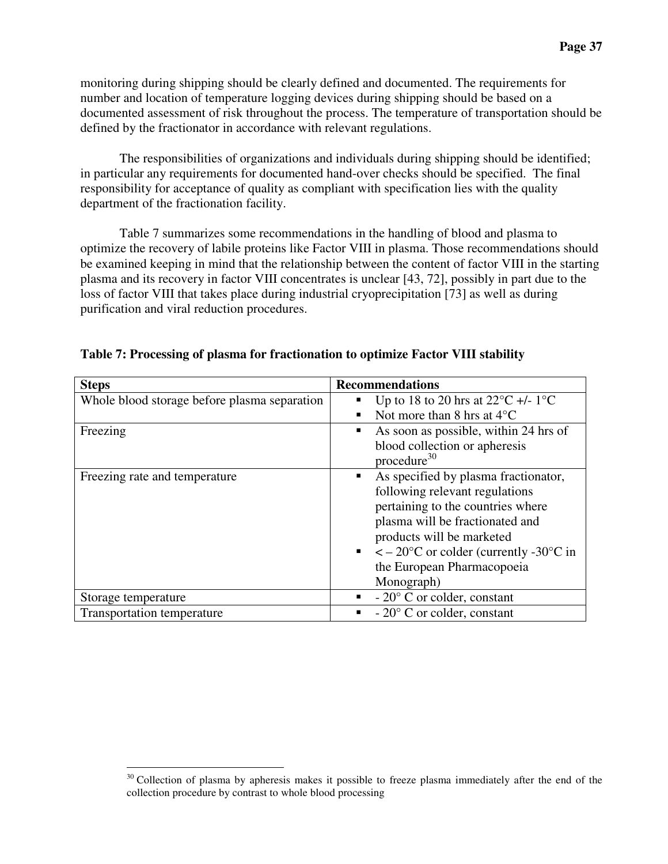The responsibilities of organizations and individuals during shipping should be identified; in particular any requirements for documented hand-over checks should be specified. The final responsibility for acceptance of quality as compliant with specification lies with the quality department of the fractionation facility.

Table 7 summarizes some recommendations in the handling of blood and plasma to optimize the recovery of labile proteins like Factor VIII in plasma. Those recommendations should be examined keeping in mind that the relationship between the content of factor VIII in the starting plasma and its recovery in factor VIII concentrates is unclear [43, 72], possibly in part due to the loss of factor VIII that takes place during industrial cryoprecipitation [73] as well as during purification and viral reduction procedures.

| <b>Steps</b>                                 | <b>Recommendations</b>                        |
|----------------------------------------------|-----------------------------------------------|
| Whole blood storage before plasma separation | Up to 18 to 20 hrs at $22^{\circ}C$ +/- 1°C   |
|                                              | Not more than 8 hrs at $4^{\circ}$ C          |
| Freezing                                     | As soon as possible, within 24 hrs of         |
|                                              | blood collection or apheresis                 |
|                                              | procedure $30$                                |
| Freezing rate and temperature                | As specified by plasma fractionator,          |
|                                              | following relevant regulations                |
|                                              | pertaining to the countries where             |
|                                              | plasma will be fractionated and               |
|                                              | products will be marketed                     |
|                                              | $\sim$ < - 20°C or colder (currently -30°C in |
|                                              | the European Pharmacopoeia                    |
|                                              | Monograph)                                    |
| Storage temperature                          | $-20^{\circ}$ C or colder, constant           |
| Transportation temperature                   | $-20^{\circ}$ C or colder, constant<br>٠      |

**Table 7: Processing of plasma for fractionation to optimize Factor VIII stability**

 $30$  Collection of plasma by apheresis makes it possible to freeze plasma immediately after the end of the collection procedure by contrast to whole blood processing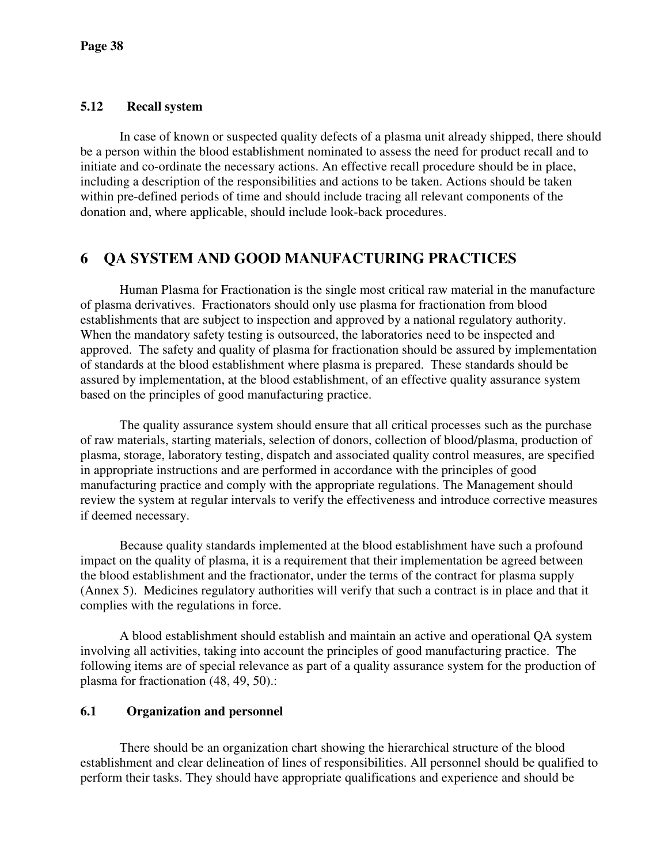### **5.12 Recall system**

In case of known or suspected quality defects of a plasma unit already shipped, there should be a person within the blood establishment nominated to assess the need for product recall and to initiate and co-ordinate the necessary actions. An effective recall procedure should be in place, including a description of the responsibilities and actions to be taken. Actions should be taken within pre-defined periods of time and should include tracing all relevant components of the donation and, where applicable, should include look-back procedures.

# **6 QA SYSTEM AND GOOD MANUFACTURING PRACTICES**

Human Plasma for Fractionation is the single most critical raw material in the manufacture of plasma derivatives. Fractionators should only use plasma for fractionation from blood establishments that are subject to inspection and approved by a national regulatory authority. When the mandatory safety testing is outsourced, the laboratories need to be inspected and approved. The safety and quality of plasma for fractionation should be assured by implementation of standards at the blood establishment where plasma is prepared. These standards should be assured by implementation, at the blood establishment, of an effective quality assurance system based on the principles of good manufacturing practice.

The quality assurance system should ensure that all critical processes such as the purchase of raw materials, starting materials, selection of donors, collection of blood/plasma, production of plasma, storage, laboratory testing, dispatch and associated quality control measures, are specified in appropriate instructions and are performed in accordance with the principles of good manufacturing practice and comply with the appropriate regulations. The Management should review the system at regular intervals to verify the effectiveness and introduce corrective measures if deemed necessary.

Because quality standards implemented at the blood establishment have such a profound impact on the quality of plasma, it is a requirement that their implementation be agreed between the blood establishment and the fractionator, under the terms of the contract for plasma supply (Annex 5). Medicines regulatory authorities will verify that such a contract is in place and that it complies with the regulations in force.

A blood establishment should establish and maintain an active and operational QA system involving all activities, taking into account the principles of good manufacturing practice. The following items are of special relevance as part of a quality assurance system for the production of plasma for fractionation (48, 49, 50).:

## **6.1 Organization and personnel**

There should be an organization chart showing the hierarchical structure of the blood establishment and clear delineation of lines of responsibilities. All personnel should be qualified to perform their tasks. They should have appropriate qualifications and experience and should be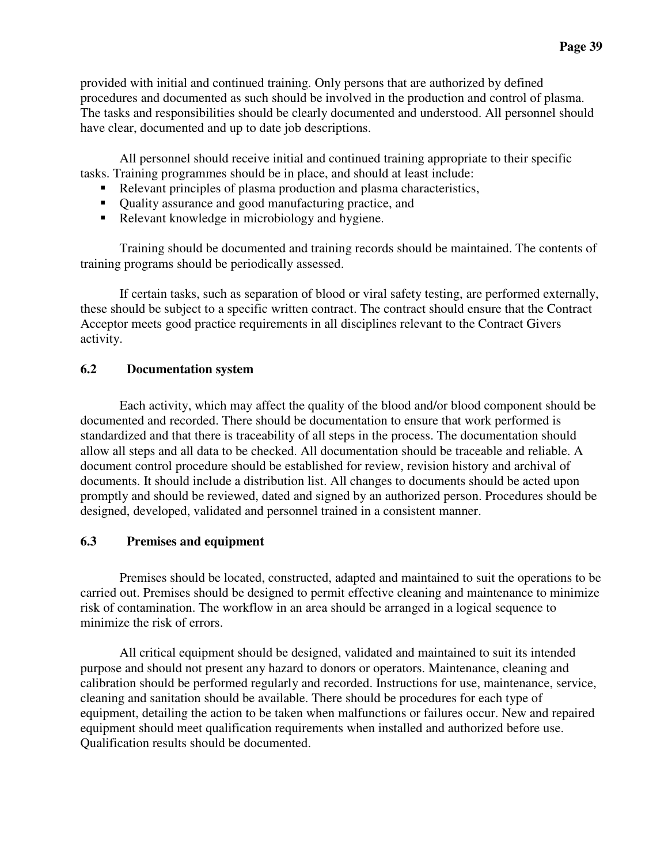provided with initial and continued training. Only persons that are authorized by defined procedures and documented as such should be involved in the production and control of plasma. The tasks and responsibilities should be clearly documented and understood. All personnel should have clear, documented and up to date job descriptions.

All personnel should receive initial and continued training appropriate to their specific tasks. Training programmes should be in place, and should at least include:

- Relevant principles of plasma production and plasma characteristics,
- Ouality assurance and good manufacturing practice, and
- Relevant knowledge in microbiology and hygiene.

Training should be documented and training records should be maintained. The contents of training programs should be periodically assessed.

If certain tasks, such as separation of blood or viral safety testing, are performed externally, these should be subject to a specific written contract. The contract should ensure that the Contract Acceptor meets good practice requirements in all disciplines relevant to the Contract Givers activity.

### **6.2 Documentation system**

Each activity, which may affect the quality of the blood and/or blood component should be documented and recorded. There should be documentation to ensure that work performed is standardized and that there is traceability of all steps in the process. The documentation should allow all steps and all data to be checked. All documentation should be traceable and reliable. A document control procedure should be established for review, revision history and archival of documents. It should include a distribution list. All changes to documents should be acted upon promptly and should be reviewed, dated and signed by an authorized person. Procedures should be designed, developed, validated and personnel trained in a consistent manner.

### **6.3 Premises and equipment**

Premises should be located, constructed, adapted and maintained to suit the operations to be carried out. Premises should be designed to permit effective cleaning and maintenance to minimize risk of contamination. The workflow in an area should be arranged in a logical sequence to minimize the risk of errors.

All critical equipment should be designed, validated and maintained to suit its intended purpose and should not present any hazard to donors or operators. Maintenance, cleaning and calibration should be performed regularly and recorded. Instructions for use, maintenance, service, cleaning and sanitation should be available. There should be procedures for each type of equipment, detailing the action to be taken when malfunctions or failures occur. New and repaired equipment should meet qualification requirements when installed and authorized before use. Qualification results should be documented.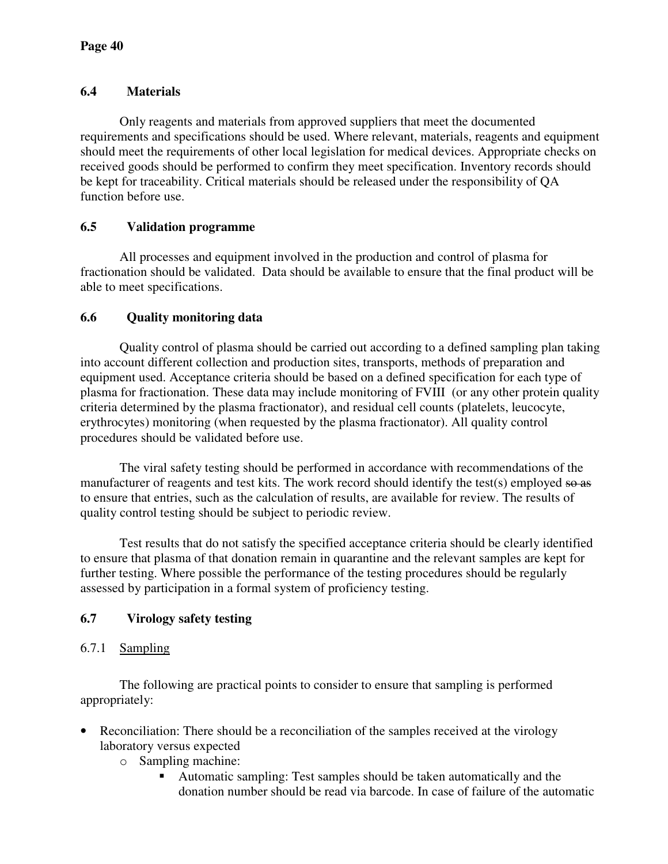## **6.4 Materials**

Only reagents and materials from approved suppliers that meet the documented requirements and specifications should be used. Where relevant, materials, reagents and equipment should meet the requirements of other local legislation for medical devices. Appropriate checks on received goods should be performed to confirm they meet specification. Inventory records should be kept for traceability. Critical materials should be released under the responsibility of QA function before use.

# **6.5 Validation programme**

All processes and equipment involved in the production and control of plasma for fractionation should be validated. Data should be available to ensure that the final product will be able to meet specifications.

## **6.6 Quality monitoring data**

Quality control of plasma should be carried out according to a defined sampling plan taking into account different collection and production sites, transports, methods of preparation and equipment used. Acceptance criteria should be based on a defined specification for each type of plasma for fractionation. These data may include monitoring of FVIII (or any other protein quality criteria determined by the plasma fractionator), and residual cell counts (platelets, leucocyte, erythrocytes) monitoring (when requested by the plasma fractionator). All quality control procedures should be validated before use.

The viral safety testing should be performed in accordance with recommendations of the manufacturer of reagents and test kits. The work record should identify the test(s) employed  $\frac{1}{50}$ to ensure that entries, such as the calculation of results, are available for review. The results of quality control testing should be subject to periodic review.

Test results that do not satisfy the specified acceptance criteria should be clearly identified to ensure that plasma of that donation remain in quarantine and the relevant samples are kept for further testing. Where possible the performance of the testing procedures should be regularly assessed by participation in a formal system of proficiency testing.

# **6.7 Virology safety testing**

## 6.7.1 Sampling

The following are practical points to consider to ensure that sampling is performed appropriately:

- Reconciliation: There should be a reconciliation of the samples received at the virology laboratory versus expected
	- o Sampling machine:
		- Automatic sampling: Test samples should be taken automatically and the donation number should be read via barcode. In case of failure of the automatic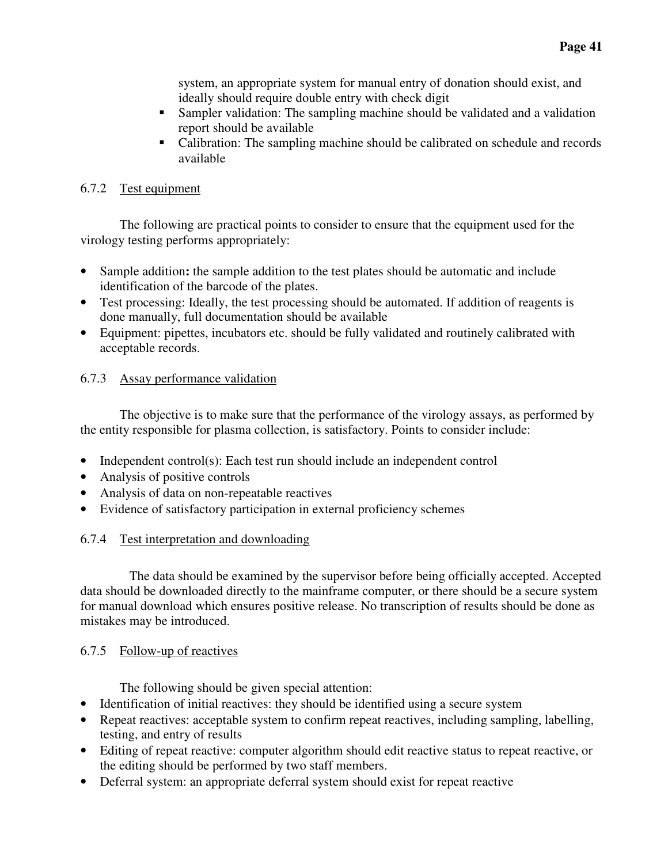system, an appropriate system for manual entry of donation should exist, and ideally should require double entry with check digit

- Sampler validation: The sampling machine should be validated and a validation report should be available
- Calibration: The sampling machine should be calibrated on schedule and records available

## 6.7.2 Test equipment

The following are practical points to consider to ensure that the equipment used for the virology testing performs appropriately:

- Sample addition: the sample addition to the test plates should be automatic and include identification of the barcode of the plates.
- Test processing: Ideally, the test processing should be automated. If addition of reagents is done manually, full documentation should be available
- Equipment: pipettes, incubators etc. should be fully validated and routinely calibrated with acceptable records.

### 6.7.3 Assay performance validation

The objective is to make sure that the performance of the virology assays, as performed by the entity responsible for plasma collection, is satisfactory. Points to consider include:

- Independent control(s): Each test run should include an independent control
- Analysis of positive controls
- Analysis of data on non-repeatable reactives
- Evidence of satisfactory participation in external proficiency schemes

## 6.7.4 Test interpretation and downloading

The data should be examined by the supervisor before being officially accepted. Accepted data should be downloaded directly to the mainframe computer, or there should be a secure system for manual download which ensures positive release. No transcription of results should be done as mistakes may be introduced.

## 6.7.5 Follow-up of reactives

The following should be given special attention:

- Identification of initial reactives: they should be identified using a secure system
- Repeat reactives: acceptable system to confirm repeat reactives, including sampling, labelling, testing, and entry of results
- Editing of repeat reactive: computer algorithm should edit reactive status to repeat reactive, or the editing should be performed by two staff members.
- Deferral system: an appropriate deferral system should exist for repeat reactive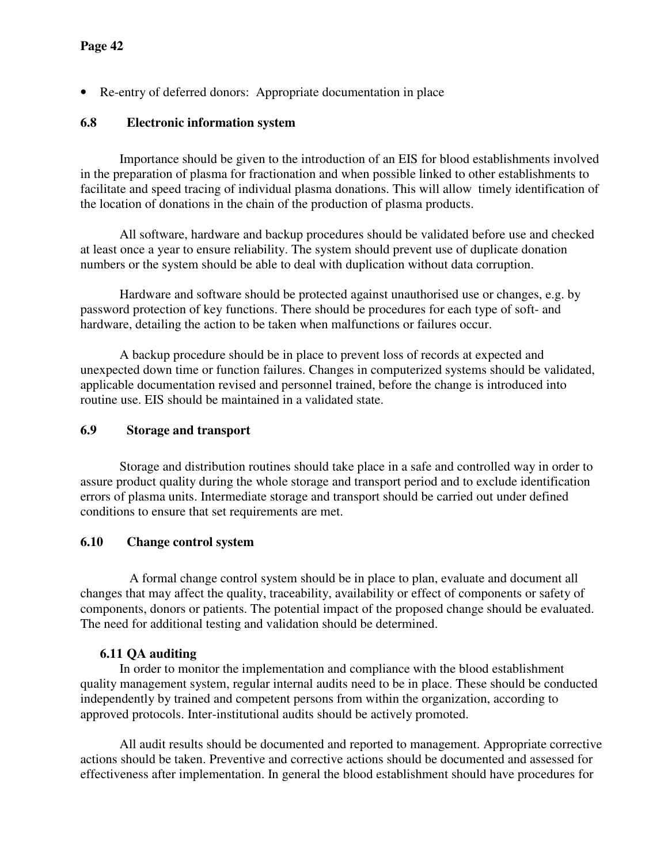• Re-entry of deferred donors: Appropriate documentation in place

### **6.8 Electronic information system**

Importance should be given to the introduction of an EIS for blood establishments involved in the preparation of plasma for fractionation and when possible linked to other establishments to facilitate and speed tracing of individual plasma donations. This will allow timely identification of the location of donations in the chain of the production of plasma products.

All software, hardware and backup procedures should be validated before use and checked at least once a year to ensure reliability. The system should prevent use of duplicate donation numbers or the system should be able to deal with duplication without data corruption.

Hardware and software should be protected against unauthorised use or changes, e.g. by password protection of key functions. There should be procedures for each type of soft- and hardware, detailing the action to be taken when malfunctions or failures occur.

A backup procedure should be in place to prevent loss of records at expected and unexpected down time or function failures. Changes in computerized systems should be validated, applicable documentation revised and personnel trained, before the change is introduced into routine use. EIS should be maintained in a validated state.

### **6.9 Storage and transport**

Storage and distribution routines should take place in a safe and controlled way in order to assure product quality during the whole storage and transport period and to exclude identification errors of plasma units. Intermediate storage and transport should be carried out under defined conditions to ensure that set requirements are met.

### **6.10 Change control system**

A formal change control system should be in place to plan, evaluate and document all changes that may affect the quality, traceability, availability or effect of components or safety of components, donors or patients. The potential impact of the proposed change should be evaluated. The need for additional testing and validation should be determined.

## **6.11 QA auditing**

In order to monitor the implementation and compliance with the blood establishment quality management system, regular internal audits need to be in place. These should be conducted independently by trained and competent persons from within the organization, according to approved protocols. Inter-institutional audits should be actively promoted.

All audit results should be documented and reported to management. Appropriate corrective actions should be taken. Preventive and corrective actions should be documented and assessed for effectiveness after implementation. In general the blood establishment should have procedures for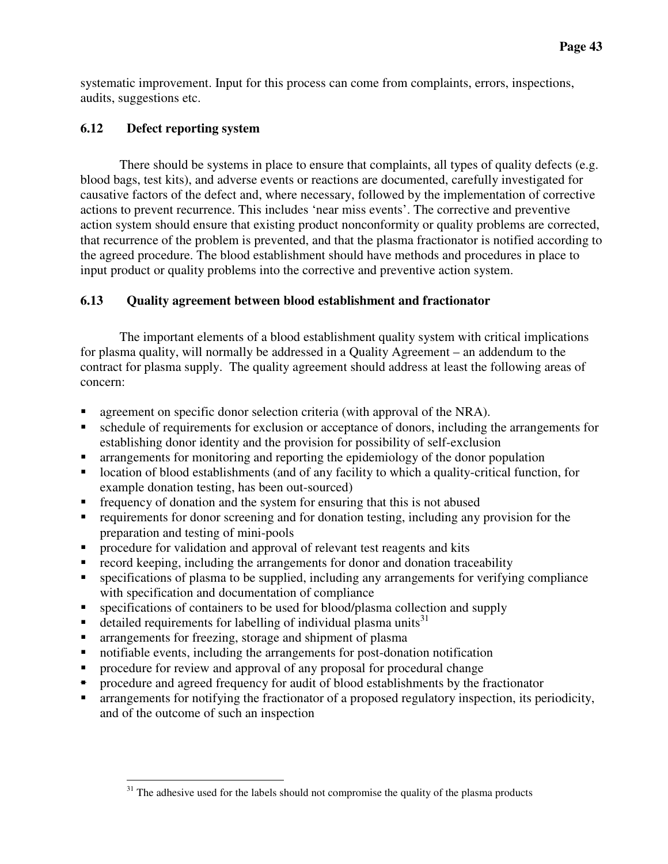systematic improvement. Input for this process can come from complaints, errors, inspections, audits, suggestions etc.

# **6.12 Defect reporting system**

There should be systems in place to ensure that complaints, all types of quality defects (e.g. blood bags, test kits), and adverse events or reactions are documented, carefully investigated for causative factors of the defect and, where necessary, followed by the implementation of corrective actions to prevent recurrence. This includes 'near miss events'. The corrective and preventive action system should ensure that existing product nonconformity or quality problems are corrected, that recurrence of the problem is prevented, and that the plasma fractionator is notified according to the agreed procedure. The blood establishment should have methods and procedures in place to input product or quality problems into the corrective and preventive action system.

# **6.13 Quality agreement between blood establishment and fractionator**

The important elements of a blood establishment quality system with critical implications for plasma quality, will normally be addressed in a Quality Agreement – an addendum to the contract for plasma supply. The quality agreement should address at least the following areas of concern:

- **agreement on specific donor selection criteria (with approval of the NRA).**
- schedule of requirements for exclusion or acceptance of donors, including the arrangements for establishing donor identity and the provision for possibility of self-exclusion
- **F** arrangements for monitoring and reporting the epidemiology of the donor population
- **-** location of blood establishments (and of any facility to which a quality-critical function, for example donation testing, has been out-sourced)
- **frequency of donation and the system for ensuring that this is not abused**
- requirements for donor screening and for donation testing, including any provision for the preparation and testing of mini-pools
- **Perocedure for validation and approval of relevant test reagents and kits**
- record keeping, including the arrangements for donor and donation traceability
- specifications of plasma to be supplied, including any arrangements for verifying compliance with specification and documentation of compliance
- specifications of containers to be used for blood/plasma collection and supply
- $\blacksquare$  detailed requirements for labelling of individual plasma units<sup>31</sup>
- **F** arrangements for freezing, storage and shipment of plasma
- notifiable events, including the arrangements for post-donation notification
- **Perocedure for review and approval of any proposal for procedural change**
- procedure and agreed frequency for audit of blood establishments by the fractionator
- arrangements for notifying the fractionator of a proposed regulatory inspection, its periodicity, and of the outcome of such an inspection

 $31$ <sup>31</sup> The adhesive used for the labels should not compromise the quality of the plasma products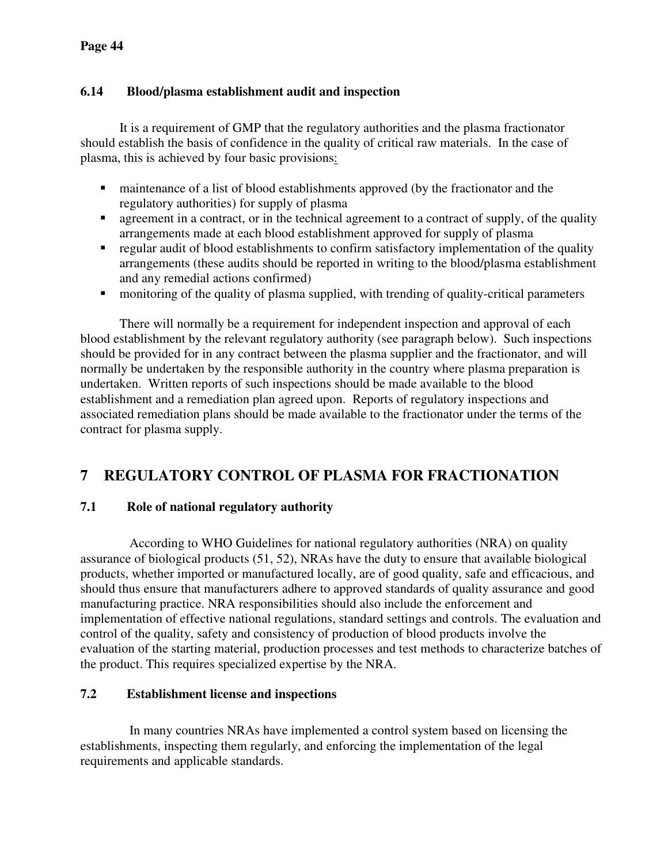## **6.14 Blood/plasma establishment audit and inspection**

It is a requirement of GMP that the regulatory authorities and the plasma fractionator should establish the basis of confidence in the quality of critical raw materials. In the case of plasma, this is achieved by four basic provisions:

- maintenance of a list of blood establishments approved (by the fractionator and the regulatory authorities) for supply of plasma
- **agreement in a contract, or in the technical agreement to a contract of supply, of the quality** arrangements made at each blood establishment approved for supply of plasma
- regular audit of blood establishments to confirm satisfactory implementation of the quality arrangements (these audits should be reported in writing to the blood/plasma establishment and any remedial actions confirmed)
- monitoring of the quality of plasma supplied, with trending of quality-critical parameters

There will normally be a requirement for independent inspection and approval of each blood establishment by the relevant regulatory authority (see paragraph below). Such inspections should be provided for in any contract between the plasma supplier and the fractionator, and will normally be undertaken by the responsible authority in the country where plasma preparation is undertaken. Written reports of such inspections should be made available to the blood establishment and a remediation plan agreed upon. Reports of regulatory inspections and associated remediation plans should be made available to the fractionator under the terms of the contract for plasma supply.

# **7 REGULATORY CONTROL OF PLASMA FOR FRACTIONATION**

## **7.1 Role of national regulatory authority**

According to WHO Guidelines for national regulatory authorities (NRA) on quality assurance of biological products (51, 52), NRAs have the duty to ensure that available biological products, whether imported or manufactured locally, are of good quality, safe and efficacious, and should thus ensure that manufacturers adhere to approved standards of quality assurance and good manufacturing practice. NRA responsibilities should also include the enforcement and implementation of effective national regulations, standard settings and controls. The evaluation and control of the quality, safety and consistency of production of blood products involve the evaluation of the starting material, production processes and test methods to characterize batches of the product. This requires specialized expertise by the NRA.

## **7.2 Establishment license and inspections**

In many countries NRAs have implemented a control system based on licensing the establishments, inspecting them regularly, and enforcing the implementation of the legal requirements and applicable standards.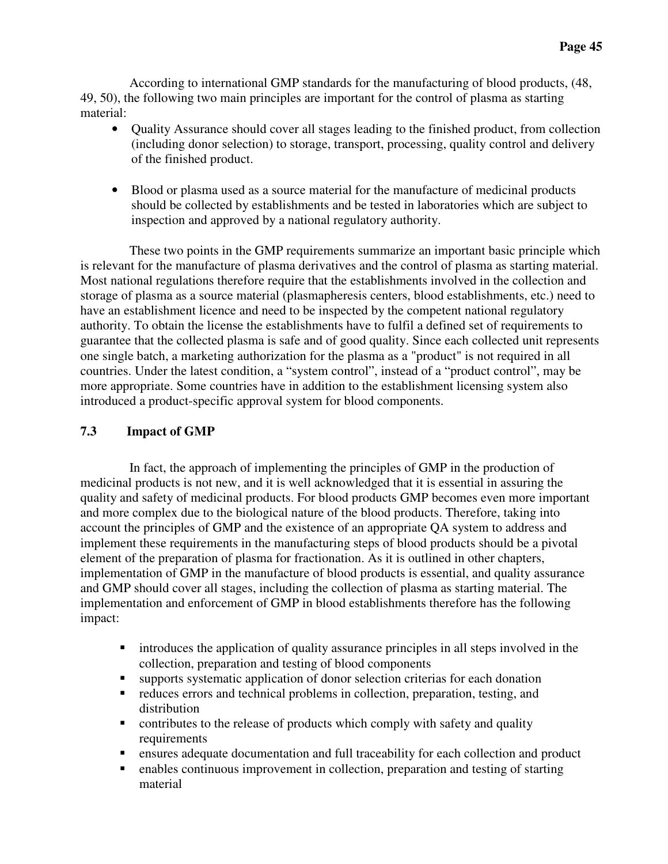According to international GMP standards for the manufacturing of blood products, (48, 49, 50), the following two main principles are important for the control of plasma as starting material:

- Quality Assurance should cover all stages leading to the finished product, from collection (including donor selection) to storage, transport, processing, quality control and delivery of the finished product.
- Blood or plasma used as a source material for the manufacture of medicinal products should be collected by establishments and be tested in laboratories which are subject to inspection and approved by a national regulatory authority.

These two points in the GMP requirements summarize an important basic principle which is relevant for the manufacture of plasma derivatives and the control of plasma as starting material. Most national regulations therefore require that the establishments involved in the collection and storage of plasma as a source material (plasmapheresis centers, blood establishments, etc.) need to have an establishment licence and need to be inspected by the competent national regulatory authority. To obtain the license the establishments have to fulfil a defined set of requirements to guarantee that the collected plasma is safe and of good quality. Since each collected unit represents one single batch, a marketing authorization for the plasma as a "product" is not required in all countries. Under the latest condition, a "system control", instead of a "product control", may be more appropriate. Some countries have in addition to the establishment licensing system also introduced a product-specific approval system for blood components.

## **7.3 Impact of GMP**

In fact, the approach of implementing the principles of GMP in the production of medicinal products is not new, and it is well acknowledged that it is essential in assuring the quality and safety of medicinal products. For blood products GMP becomes even more important and more complex due to the biological nature of the blood products. Therefore, taking into account the principles of GMP and the existence of an appropriate QA system to address and implement these requirements in the manufacturing steps of blood products should be a pivotal element of the preparation of plasma for fractionation. As it is outlined in other chapters, implementation of GMP in the manufacture of blood products is essential, and quality assurance and GMP should cover all stages, including the collection of plasma as starting material. The implementation and enforcement of GMP in blood establishments therefore has the following impact:

- introduces the application of quality assurance principles in all steps involved in the collection, preparation and testing of blood components
- supports systematic application of donor selection criterias for each donation
- reduces errors and technical problems in collection, preparation, testing, and distribution
- contributes to the release of products which comply with safety and quality requirements
- ensures adequate documentation and full traceability for each collection and product
- enables continuous improvement in collection, preparation and testing of starting material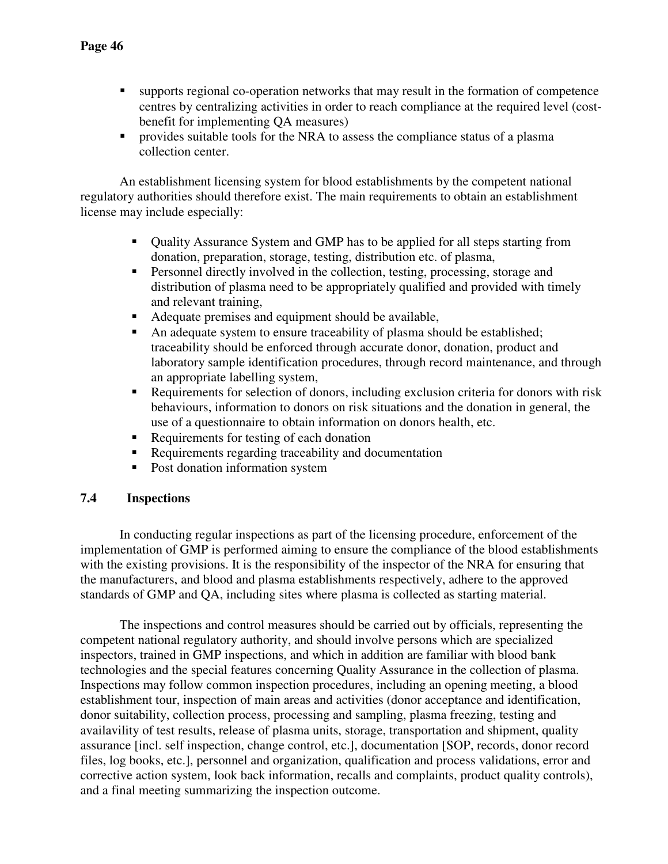- supports regional co-operation networks that may result in the formation of competence centres by centralizing activities in order to reach compliance at the required level (costbenefit for implementing QA measures)
- provides suitable tools for the NRA to assess the compliance status of a plasma collection center.

An establishment licensing system for blood establishments by the competent national regulatory authorities should therefore exist. The main requirements to obtain an establishment license may include especially:

- Quality Assurance System and GMP has to be applied for all steps starting from donation, preparation, storage, testing, distribution etc. of plasma,
- **Personnel directly involved in the collection, testing, processing, storage and** distribution of plasma need to be appropriately qualified and provided with timely and relevant training,
- Adequate premises and equipment should be available,
- An adequate system to ensure traceability of plasma should be established; traceability should be enforced through accurate donor, donation, product and laboratory sample identification procedures, through record maintenance, and through an appropriate labelling system,
- Requirements for selection of donors, including exclusion criteria for donors with risk behaviours, information to donors on risk situations and the donation in general, the use of a questionnaire to obtain information on donors health, etc.
- Requirements for testing of each donation
- Requirements regarding traceability and documentation
- Post donation information system

### **7.4 Inspections**

In conducting regular inspections as part of the licensing procedure, enforcement of the implementation of GMP is performed aiming to ensure the compliance of the blood establishments with the existing provisions. It is the responsibility of the inspector of the NRA for ensuring that the manufacturers, and blood and plasma establishments respectively, adhere to the approved standards of GMP and QA, including sites where plasma is collected as starting material.

The inspections and control measures should be carried out by officials, representing the competent national regulatory authority, and should involve persons which are specialized inspectors, trained in GMP inspections, and which in addition are familiar with blood bank technologies and the special features concerning Quality Assurance in the collection of plasma. Inspections may follow common inspection procedures, including an opening meeting, a blood establishment tour, inspection of main areas and activities (donor acceptance and identification, donor suitability, collection process, processing and sampling, plasma freezing, testing and availavility of test results, release of plasma units, storage, transportation and shipment, quality assurance [incl. self inspection, change control, etc.], documentation [SOP, records, donor record files, log books, etc.], personnel and organization, qualification and process validations, error and corrective action system, look back information, recalls and complaints, product quality controls), and a final meeting summarizing the inspection outcome.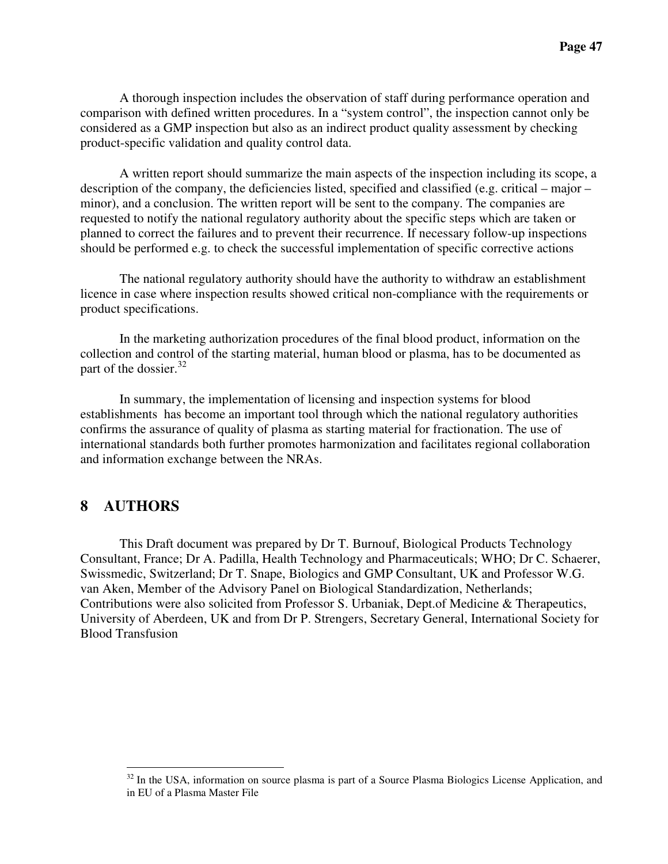A thorough inspection includes the observation of staff during performance operation and comparison with defined written procedures. In a "system control", the inspection cannot only be considered as a GMP inspection but also as an indirect product quality assessment by checking product-specific validation and quality control data.

A written report should summarize the main aspects of the inspection including its scope, a description of the company, the deficiencies listed, specified and classified (e.g. critical – major – minor), and a conclusion. The written report will be sent to the company. The companies are requested to notify the national regulatory authority about the specific steps which are taken or planned to correct the failures and to prevent their recurrence. If necessary follow-up inspections should be performed e.g. to check the successful implementation of specific corrective actions

The national regulatory authority should have the authority to withdraw an establishment licence in case where inspection results showed critical non-compliance with the requirements or product specifications.

In the marketing authorization procedures of the final blood product, information on the collection and control of the starting material, human blood or plasma, has to be documented as part of the dossier.<sup>32</sup>

In summary, the implementation of licensing and inspection systems for blood establishments has become an important tool through which the national regulatory authorities confirms the assurance of quality of plasma as starting material for fractionation. The use of international standards both further promotes harmonization and facilitates regional collaboration and information exchange between the NRAs.

# **8 AUTHORS**

This Draft document was prepared by Dr T. Burnouf, Biological Products Technology Consultant, France; Dr A. Padilla, Health Technology and Pharmaceuticals; WHO; Dr C. Schaerer, Swissmedic, Switzerland; Dr T. Snape, Biologics and GMP Consultant, UK and Professor W.G. van Aken, Member of the Advisory Panel on Biological Standardization, Netherlands; Contributions were also solicited from Professor S. Urbaniak, Dept.of Medicine & Therapeutics, University of Aberdeen, UK and from Dr P. Strengers, Secretary General, International Society for Blood Transfusion

<sup>&</sup>lt;sup>32</sup> In the USA, information on source plasma is part of a Source Plasma Biologics License Application, and in EU of a Plasma Master File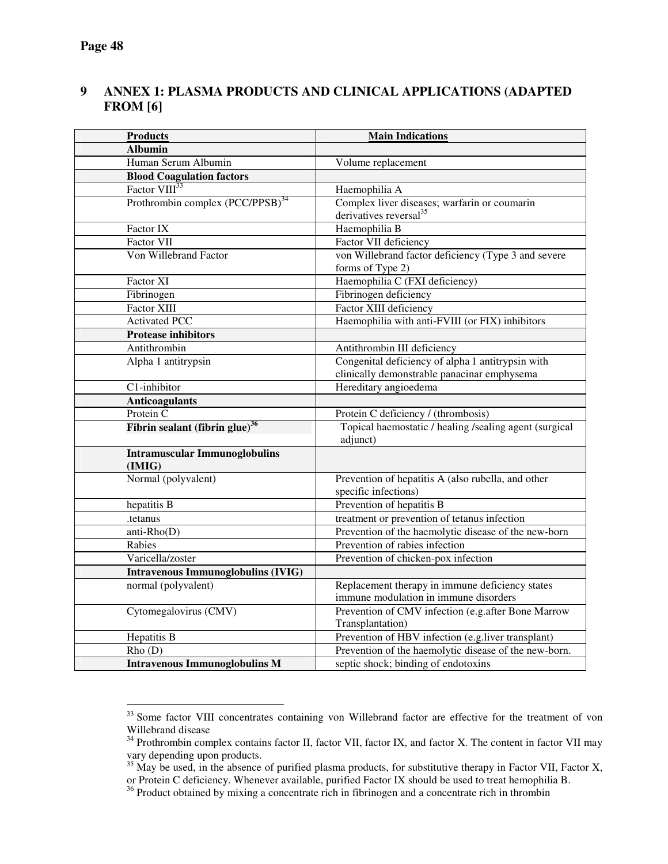## **9 ANNEX 1: PLASMA PRODUCTS AND CLINICAL APPLICATIONS (ADAPTED FROM [6]**

| <b>Products</b>                              | <b>Main Indications</b>                                |
|----------------------------------------------|--------------------------------------------------------|
| <b>Albumin</b>                               |                                                        |
| Human Serum Albumin                          | Volume replacement                                     |
| <b>Blood Coagulation factors</b>             |                                                        |
| Factor VIII <sup>33</sup>                    | Haemophilia A                                          |
| Prothrombin complex (PCC/PPSB) <sup>34</sup> | Complex liver diseases; warfarin or coumarin           |
|                                              | derivatives reversal <sup>35</sup>                     |
| Factor IX                                    | Haemophilia B                                          |
| Factor VII                                   | Factor VII deficiency                                  |
| Von Willebrand Factor                        | von Willebrand factor deficiency (Type 3 and severe    |
|                                              | forms of Type 2)                                       |
| Factor XI                                    | Haemophilia C (FXI deficiency)                         |
| Fibrinogen                                   | Fibrinogen deficiency                                  |
| Factor XIII                                  | Factor XIII deficiency                                 |
| <b>Activated PCC</b>                         | Haemophilia with anti-FVIII (or FIX) inhibitors        |
| <b>Protease inhibitors</b>                   |                                                        |
| Antithrombin                                 | Antithrombin III deficiency                            |
| Alpha 1 antitrypsin                          | Congenital deficiency of alpha 1 antitrypsin with      |
|                                              | clinically demonstrable panacinar emphysema            |
| C1-inhibitor                                 | Hereditary angioedema                                  |
| <b>Anticoagulants</b>                        |                                                        |
| Protein C                                    | Protein C deficiency / (thrombosis)                    |
| Fibrin sealant (fibrin glue) $36$            | Topical haemostatic / healing /sealing agent (surgical |
|                                              | adjunct)                                               |
| <b>Intramuscular Immunoglobulins</b>         |                                                        |
| (IMIG)                                       |                                                        |
| Normal (polyvalent)                          | Prevention of hepatitis A (also rubella, and other     |
|                                              | specific infections)                                   |
| hepatitis B                                  | Prevention of hepatitis B                              |
| .tetanus                                     | treatment or prevention of tetanus infection           |
| $anti-Rho(D)$                                | Prevention of the haemolytic disease of the new-born   |
| Rabies                                       | Prevention of rabies infection                         |
| Varicella/zoster                             | Prevention of chicken-pox infection                    |
| <b>Intravenous Immunoglobulins (IVIG)</b>    |                                                        |
| normal (polyvalent)                          | Replacement therapy in immune deficiency states        |
|                                              | immune modulation in immune disorders                  |
| Cytomegalovirus (CMV)                        | Prevention of CMV infection (e.g.after Bone Marrow     |
|                                              | Transplantation)                                       |
| Hepatitis B                                  | Prevention of HBV infection (e.g.liver transplant)     |
| Rho(D)                                       | Prevention of the haemolytic disease of the new-born.  |
| <b>Intravenous Immunoglobulins M</b>         | septic shock; binding of endotoxins                    |

<sup>&</sup>lt;sup>33</sup> Some factor VIII concentrates containing von Willebrand factor are effective for the treatment of von

Willebrand disease 34 Prothrombin complex contains factor II, factor VII, factor IX, and factor X. The content in factor VII may vary depending upon products.

<sup>&</sup>lt;sup>35</sup> May be used, in the absence of purified plasma products, for substitutive therapy in Factor VII, Factor X,

or Protein C deficiency. Whenever available, purified Factor IX should be used to treat hemophilia B.<br><sup>36</sup> Product obtained by mixing a concentrate rich in fibrinogen and a concentrate rich in thrombin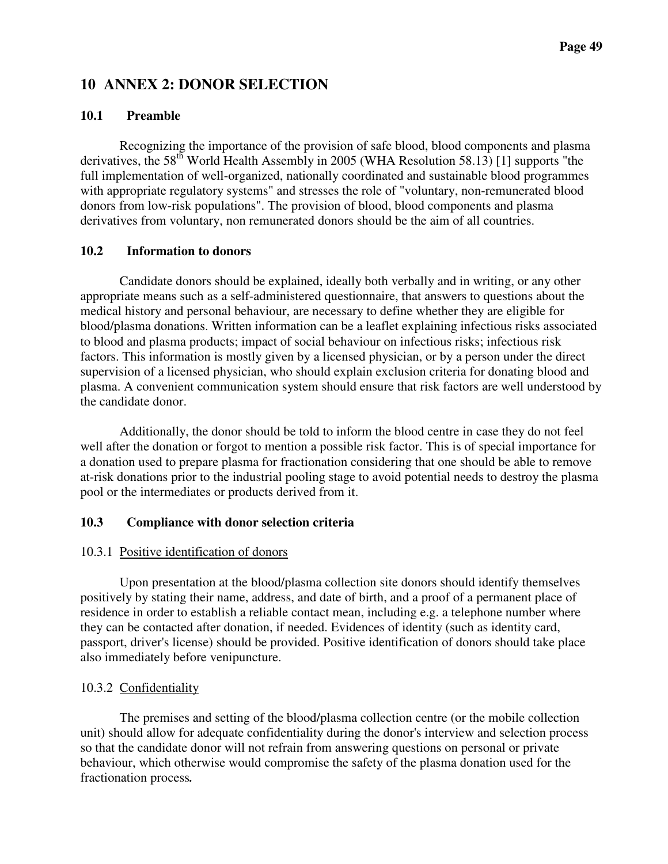# **10 ANNEX 2: DONOR SELECTION**

### **10.1 Preamble**

Recognizing the importance of the provision of safe blood, blood components and plasma derivatives, the 58<sup>th</sup> World Health Assembly in 2005 (WHA Resolution 58.13) [1] supports "the full implementation of well-organized, nationally coordinated and sustainable blood programmes with appropriate regulatory systems" and stresses the role of "voluntary, non-remunerated blood donors from low-risk populations". The provision of blood, blood components and plasma derivatives from voluntary, non remunerated donors should be the aim of all countries.

### **10.2 Information to donors**

Candidate donors should be explained, ideally both verbally and in writing, or any other appropriate means such as a self-administered questionnaire, that answers to questions about the medical history and personal behaviour, are necessary to define whether they are eligible for blood/plasma donations. Written information can be a leaflet explaining infectious risks associated to blood and plasma products; impact of social behaviour on infectious risks; infectious risk factors. This information is mostly given by a licensed physician, or by a person under the direct supervision of a licensed physician, who should explain exclusion criteria for donating blood and plasma. A convenient communication system should ensure that risk factors are well understood by the candidate donor.

Additionally, the donor should be told to inform the blood centre in case they do not feel well after the donation or forgot to mention a possible risk factor. This is of special importance for a donation used to prepare plasma for fractionation considering that one should be able to remove at-risk donations prior to the industrial pooling stage to avoid potential needs to destroy the plasma pool or the intermediates or products derived from it.

## **10.3 Compliance with donor selection criteria**

### 10.3.1 Positive identification of donors

Upon presentation at the blood/plasma collection site donors should identify themselves positively by stating their name, address, and date of birth, and a proof of a permanent place of residence in order to establish a reliable contact mean, including e.g. a telephone number where they can be contacted after donation, if needed. Evidences of identity (such as identity card, passport, driver's license) should be provided. Positive identification of donors should take place also immediately before venipuncture.

## 10.3.2 Confidentiality

The premises and setting of the blood/plasma collection centre (or the mobile collection unit) should allow for adequate confidentiality during the donor's interview and selection process so that the candidate donor will not refrain from answering questions on personal or private behaviour, which otherwise would compromise the safety of the plasma donation used for the fractionation process*.*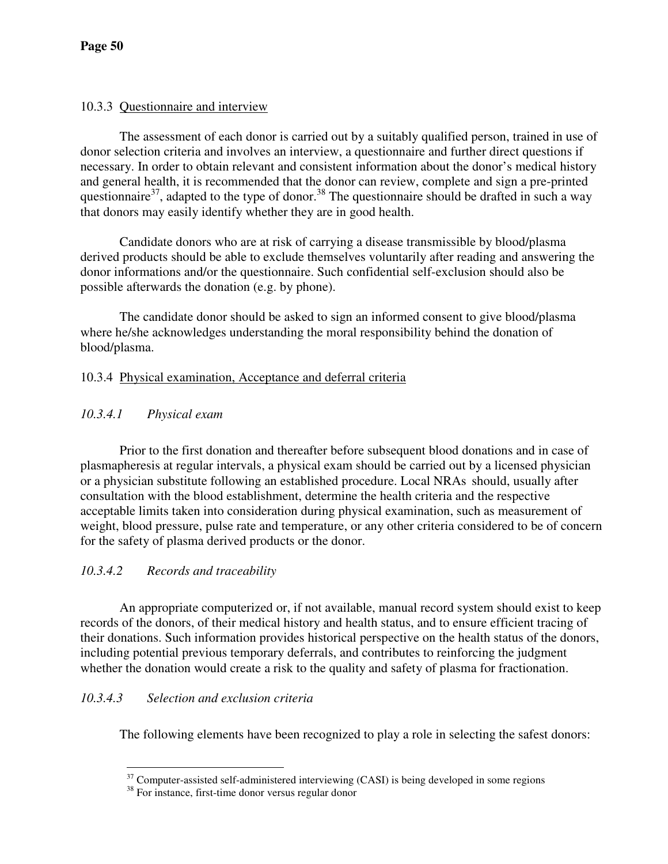## 10.3.3 Questionnaire and interview

The assessment of each donor is carried out by a suitably qualified person, trained in use of donor selection criteria and involves an interview, a questionnaire and further direct questions if necessary. In order to obtain relevant and consistent information about the donor's medical history and general health, it is recommended that the donor can review, complete and sign a pre-printed questionnaire<sup>37</sup>, adapted to the type of donor.<sup>38</sup> The questionnaire should be drafted in such a way that donors may easily identify whether they are in good health.

Candidate donors who are at risk of carrying a disease transmissible by blood/plasma derived products should be able to exclude themselves voluntarily after reading and answering the donor informations and/or the questionnaire. Such confidential self-exclusion should also be possible afterwards the donation (e.g. by phone).

The candidate donor should be asked to sign an informed consent to give blood/plasma where he/she acknowledges understanding the moral responsibility behind the donation of blood/plasma.

## 10.3.4 Physical examination, Acceptance and deferral criteria

## *10.3.4.1 Physical exam*

Prior to the first donation and thereafter before subsequent blood donations and in case of plasmapheresis at regular intervals, a physical exam should be carried out by a licensed physician or a physician substitute following an established procedure. Local NRAs should, usually after consultation with the blood establishment, determine the health criteria and the respective acceptable limits taken into consideration during physical examination, such as measurement of weight, blood pressure, pulse rate and temperature, or any other criteria considered to be of concern for the safety of plasma derived products or the donor.

# *10.3.4.2 Records and traceability*

An appropriate computerized or, if not available, manual record system should exist to keep records of the donors, of their medical history and health status, and to ensure efficient tracing of their donations. Such information provides historical perspective on the health status of the donors, including potential previous temporary deferrals, and contributes to reinforcing the judgment whether the donation would create a risk to the quality and safety of plasma for fractionation.

# *10.3.4.3 Selection and exclusion criteria*

The following elements have been recognized to play a role in selecting the safest donors:

 $37$  Computer-assisted self-administered interviewing (CASI) is being developed in some regions

<sup>&</sup>lt;sup>38</sup> For instance, first-time donor versus regular donor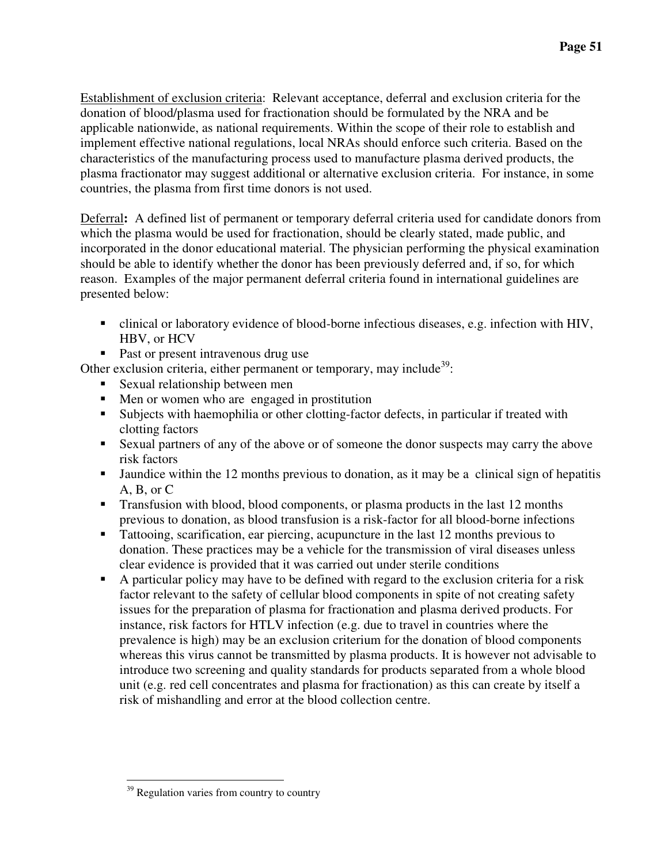Establishment of exclusion criteria: Relevant acceptance, deferral and exclusion criteria for the donation of blood/plasma used for fractionation should be formulated by the NRA and be applicable nationwide, as national requirements. Within the scope of their role to establish and implement effective national regulations, local NRAs should enforce such criteria. Based on the characteristics of the manufacturing process used to manufacture plasma derived products, the plasma fractionator may suggest additional or alternative exclusion criteria. For instance, in some countries, the plasma from first time donors is not used.

Deferral**:** A defined list of permanent or temporary deferral criteria used for candidate donors from which the plasma would be used for fractionation, should be clearly stated, made public, and incorporated in the donor educational material. The physician performing the physical examination should be able to identify whether the donor has been previously deferred and, if so, for which reason. Examples of the major permanent deferral criteria found in international guidelines are presented below:

- clinical or laboratory evidence of blood-borne infectious diseases, e.g. infection with HIV, HBV, or HCV
- Past or present intravenous drug use

Other exclusion criteria, either permanent or temporary, may include<sup>39</sup>:

- Sexual relationship between men
- Men or women who are engaged in prostitution
- Subjects with haemophilia or other clotting-factor defects, in particular if treated with clotting factors
- Sexual partners of any of the above or of someone the donor suspects may carry the above risk factors
- Jaundice within the 12 months previous to donation, as it may be a clinical sign of hepatitis A, B, or C
- Transfusion with blood, blood components, or plasma products in the last 12 months previous to donation, as blood transfusion is a risk-factor for all blood-borne infections
- Tattooing, scarification, ear piercing, acupuncture in the last 12 months previous to donation. These practices may be a vehicle for the transmission of viral diseases unless clear evidence is provided that it was carried out under sterile conditions
- A particular policy may have to be defined with regard to the exclusion criteria for a risk factor relevant to the safety of cellular blood components in spite of not creating safety issues for the preparation of plasma for fractionation and plasma derived products. For instance, risk factors for HTLV infection (e.g. due to travel in countries where the prevalence is high) may be an exclusion criterium for the donation of blood components whereas this virus cannot be transmitted by plasma products. It is however not advisable to introduce two screening and quality standards for products separated from a whole blood unit (e.g. red cell concentrates and plasma for fractionation) as this can create by itself a risk of mishandling and error at the blood collection centre.

**Page 51**

 $39$  Regulation varies from country to country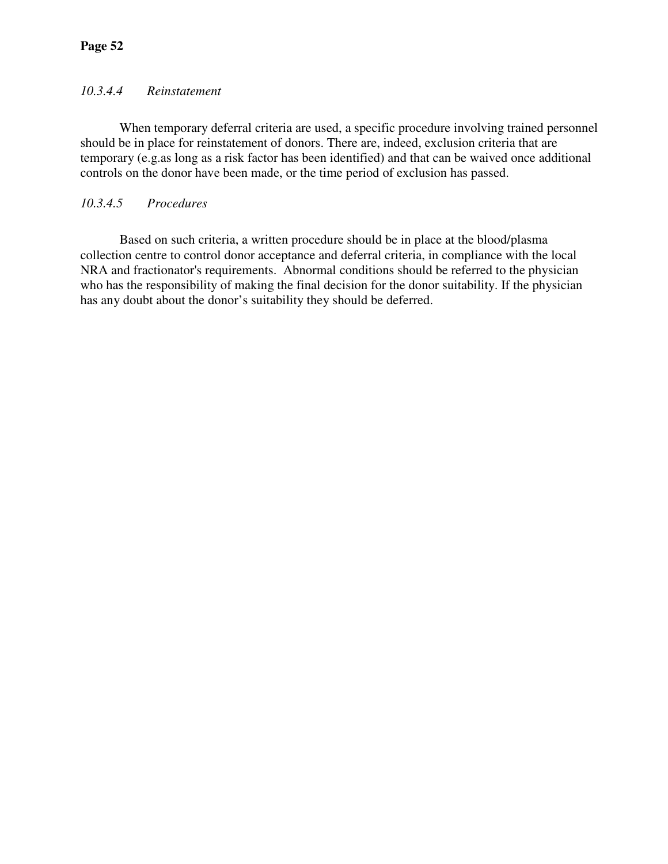## **Page 52**

## *10.3.4.4 Reinstatement*

When temporary deferral criteria are used, a specific procedure involving trained personnel should be in place for reinstatement of donors. There are, indeed, exclusion criteria that are temporary (e.g.as long as a risk factor has been identified) and that can be waived once additional controls on the donor have been made, or the time period of exclusion has passed.

## *10.3.4.5 Procedures*

Based on such criteria, a written procedure should be in place at the blood/plasma collection centre to control donor acceptance and deferral criteria, in compliance with the local NRA and fractionator's requirements. Abnormal conditions should be referred to the physician who has the responsibility of making the final decision for the donor suitability. If the physician has any doubt about the donor's suitability they should be deferred.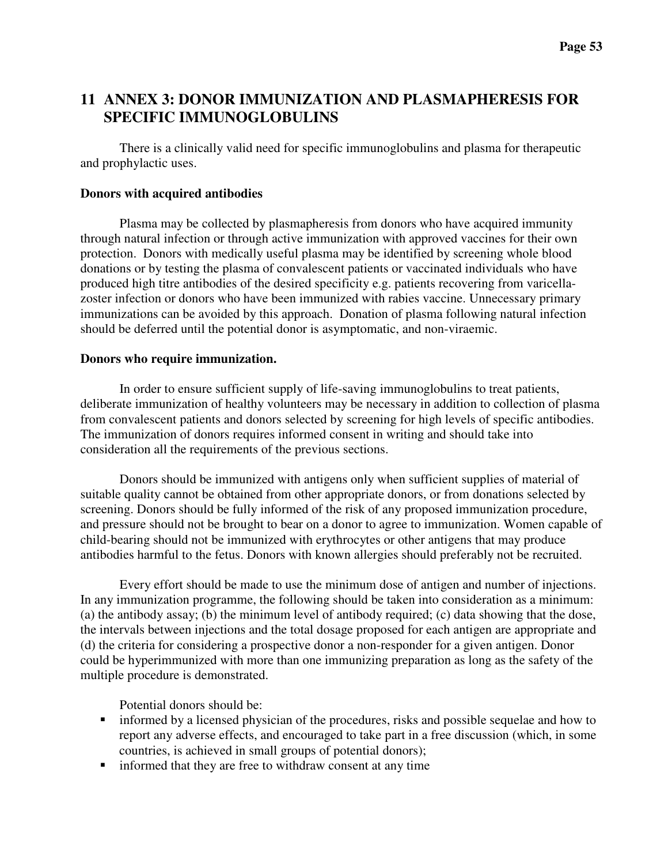# **11 ANNEX 3: DONOR IMMUNIZATION AND PLASMAPHERESIS FOR SPECIFIC IMMUNOGLOBULINS**

There is a clinically valid need for specific immunoglobulins and plasma for therapeutic and prophylactic uses.

### **Donors with acquired antibodies**

Plasma may be collected by plasmapheresis from donors who have acquired immunity through natural infection or through active immunization with approved vaccines for their own protection. Donors with medically useful plasma may be identified by screening whole blood donations or by testing the plasma of convalescent patients or vaccinated individuals who have produced high titre antibodies of the desired specificity e.g. patients recovering from varicellazoster infection or donors who have been immunized with rabies vaccine. Unnecessary primary immunizations can be avoided by this approach. Donation of plasma following natural infection should be deferred until the potential donor is asymptomatic, and non-viraemic.

### **Donors who require immunization.**

In order to ensure sufficient supply of life-saving immunoglobulins to treat patients, deliberate immunization of healthy volunteers may be necessary in addition to collection of plasma from convalescent patients and donors selected by screening for high levels of specific antibodies. The immunization of donors requires informed consent in writing and should take into consideration all the requirements of the previous sections.

Donors should be immunized with antigens only when sufficient supplies of material of suitable quality cannot be obtained from other appropriate donors, or from donations selected by screening. Donors should be fully informed of the risk of any proposed immunization procedure, and pressure should not be brought to bear on a donor to agree to immunization. Women capable of child-bearing should not be immunized with erythrocytes or other antigens that may produce antibodies harmful to the fetus. Donors with known allergies should preferably not be recruited.

Every effort should be made to use the minimum dose of antigen and number of injections. In any immunization programme, the following should be taken into consideration as a minimum: (a) the antibody assay; (b) the minimum level of antibody required; (c) data showing that the dose, the intervals between injections and the total dosage proposed for each antigen are appropriate and (d) the criteria for considering a prospective donor a non-responder for a given antigen. Donor could be hyperimmunized with more than one immunizing preparation as long as the safety of the multiple procedure is demonstrated.

Potential donors should be:

- informed by a licensed physician of the procedures, risks and possible sequelae and how to report any adverse effects, and encouraged to take part in a free discussion (which, in some countries, is achieved in small groups of potential donors);
- **If** informed that they are free to withdraw consent at any time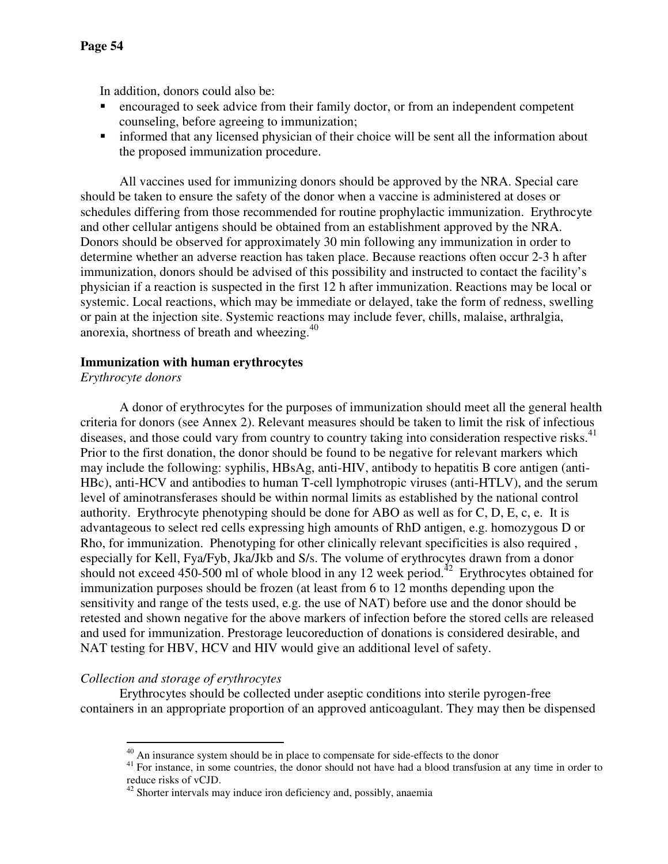In addition, donors could also be:

- encouraged to seek advice from their family doctor, or from an independent competent counseling, before agreeing to immunization;
- informed that any licensed physician of their choice will be sent all the information about the proposed immunization procedure.

All vaccines used for immunizing donors should be approved by the NRA. Special care should be taken to ensure the safety of the donor when a vaccine is administered at doses or schedules differing from those recommended for routine prophylactic immunization. Erythrocyte and other cellular antigens should be obtained from an establishment approved by the NRA. Donors should be observed for approximately 30 min following any immunization in order to determine whether an adverse reaction has taken place. Because reactions often occur 2-3 h after immunization, donors should be advised of this possibility and instructed to contact the facility's physician if a reaction is suspected in the first 12 h after immunization. Reactions may be local or systemic. Local reactions, which may be immediate or delayed, take the form of redness, swelling or pain at the injection site. Systemic reactions may include fever, chills, malaise, arthralgia, anorexia, shortness of breath and wheezing. 40

#### **Immunization with human erythrocytes**

#### *Erythrocyte donors*

A donor of erythrocytes for the purposes of immunization should meet all the general health criteria for donors (see Annex 2). Relevant measures should be taken to limit the risk of infectious diseases, and those could vary from country to country taking into consideration respective risks.<sup>41</sup> Prior to the first donation, the donor should be found to be negative for relevant markers which may include the following: syphilis, HBsAg, anti-HIV, antibody to hepatitis B core antigen (anti-HBc), anti-HCV and antibodies to human T-cell lymphotropic viruses (anti-HTLV), and the serum level of aminotransferases should be within normal limits as established by the national control authority. Erythrocyte phenotyping should be done for ABO as well as for C, D, E, c, e. It is advantageous to select red cells expressing high amounts of RhD antigen, e.g. homozygous D or Rho, for immunization. Phenotyping for other clinically relevant specificities is also required , especially for Kell, Fya/Fyb, Jka/Jkb and S/s. The volume of erythrocytes drawn from a donor should not exceed 450-500 ml of whole blood in any 12 week period.<sup> $42$ </sup> Erythrocytes obtained for immunization purposes should be frozen (at least from 6 to 12 months depending upon the sensitivity and range of the tests used, e.g. the use of NAT) before use and the donor should be retested and shown negative for the above markers of infection before the stored cells are released and used for immunization. Prestorage leucoreduction of donations is considered desirable, and NAT testing for HBV, HCV and HIV would give an additional level of safety.

### *Collection and storage of erythrocytes*

Erythrocytes should be collected under aseptic conditions into sterile pyrogen-free containers in an appropriate proportion of an approved anticoagulant. They may then be dispensed

 $40$  An insurance system should be in place to compensate for side-effects to the donor

<sup>&</sup>lt;sup>41</sup> For instance, in some countries, the donor should not have had a blood transfusion at any time in order to

reduce risks of vCJD. 42 Shorter intervals may induce iron deficiency and, possibly, anaemia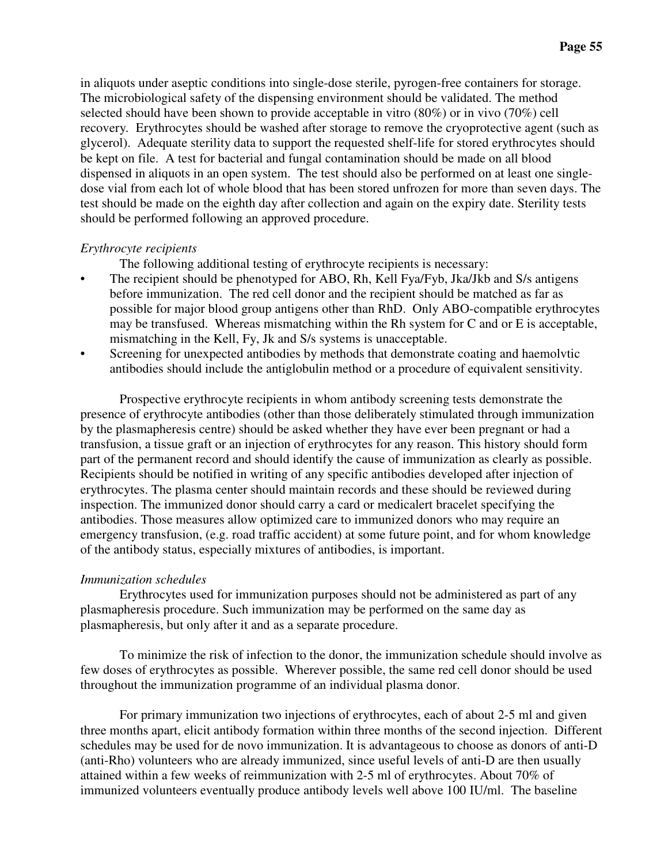in aliquots under aseptic conditions into single-dose sterile, pyrogen-free containers for storage. The microbiological safety of the dispensing environment should be validated. The method selected should have been shown to provide acceptable in vitro (80%) or in vivo (70%) cell recovery*.* Erythrocytes should be washed after storage to remove the cryoprotective agent (such as glycerol). Adequate sterility data to support the requested shelf-life for stored erythrocytes should be kept on file. A test for bacterial and fungal contamination should be made on all blood dispensed in aliquots in an open system. The test should also be performed on at least one singledose vial from each lot of whole blood that has been stored unfrozen for more than seven days. The test should be made on the eighth day after collection and again on the expiry date. Sterility tests should be performed following an approved procedure.

### *Erythrocyte recipients*

The following additional testing of erythrocyte recipients is necessary:

- The recipient should be phenotyped for ABO, Rh, Kell Fya/Fyb, Jka/Jkb and S/s antigens before immunization. The red cell donor and the recipient should be matched as far as possible for major blood group antigens other than RhD. Only ABO-compatible erythrocytes may be transfused. Whereas mismatching within the Rh system for C and or E is acceptable, mismatching in the Kell, Fy, Jk and S/s systems is unacceptable.
- Screening for unexpected antibodies by methods that demonstrate coating and haemolytic antibodies should include the antiglobulin method or a procedure of equivalent sensitivity.

Prospective erythrocyte recipients in whom antibody screening tests demonstrate the presence of erythrocyte antibodies (other than those deliberately stimulated through immunization by the plasmapheresis centre) should be asked whether they have ever been pregnant or had a transfusion, a tissue graft or an injection of erythrocytes for any reason. This history should form part of the permanent record and should identify the cause of immunization as clearly as possible. Recipients should be notified in writing of any specific antibodies developed after injection of erythrocytes. The plasma center should maintain records and these should be reviewed during inspection. The immunized donor should carry a card or medicalert bracelet specifying the antibodies. Those measures allow optimized care to immunized donors who may require an emergency transfusion, (e.g. road traffic accident) at some future point, and for whom knowledge of the antibody status, especially mixtures of antibodies, is important.

#### *Immunization schedules*

Erythrocytes used for immunization purposes should not be administered as part of any plasmapheresis procedure. Such immunization may be performed on the same day as plasmapheresis, but only after it and as a separate procedure.

To minimize the risk of infection to the donor, the immunization schedule should involve as few doses of erythrocytes as possible. Wherever possible, the same red cell donor should be used throughout the immunization programme of an individual plasma donor.

For primary immunization two injections of erythrocytes, each of about 2-5 ml and given three months apart, elicit antibody formation within three months of the second injection. Different schedules may be used for de novo immunization. It is advantageous to choose as donors of anti-D (anti-Rho) volunteers who are already immunized, since useful levels of anti-D are then usually attained within a few weeks of reimmunization with 2-5 ml of erythrocytes. About 70% of immunized volunteers eventually produce antibody levels well above 100 IU/ml. The baseline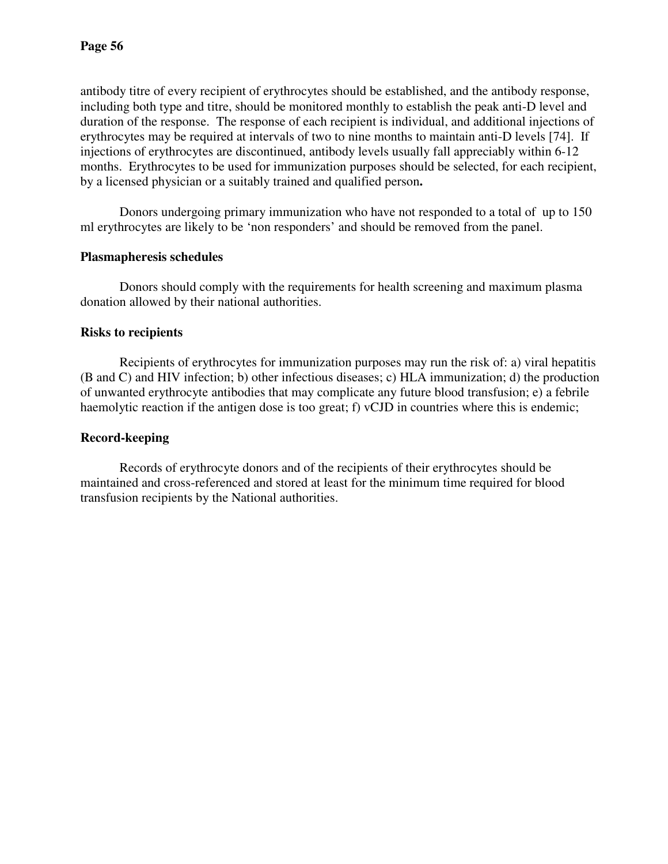antibody titre of every recipient of erythrocytes should be established, and the antibody response, including both type and titre, should be monitored monthly to establish the peak anti-D level and duration of the response. The response of each recipient is individual, and additional injections of erythrocytes may be required at intervals of two to nine months to maintain anti-D levels [74]. If injections of erythrocytes are discontinued, antibody levels usually fall appreciably within 6-12 months. Erythrocytes to be used for immunization purposes should be selected, for each recipient, by a licensed physician or a suitably trained and qualified person**.**

Donors undergoing primary immunization who have not responded to a total of up to 150 ml erythrocytes are likely to be 'non responders' and should be removed from the panel.

### **Plasmapheresis schedules**

Donors should comply with the requirements for health screening and maximum plasma donation allowed by their national authorities.

### **Risks to recipients**

Recipients of erythrocytes for immunization purposes may run the risk of: a) viral hepatitis (B and C) and HIV infection; b) other infectious diseases; c) HLA immunization; d) the production of unwanted erythrocyte antibodies that may complicate any future blood transfusion; e) a febrile haemolytic reaction if the antigen dose is too great; f) vCJD in countries where this is endemic;

### **Record-keeping**

Records of erythrocyte donors and of the recipients of their erythrocytes should be maintained and cross-referenced and stored at least for the minimum time required for blood transfusion recipients by the National authorities.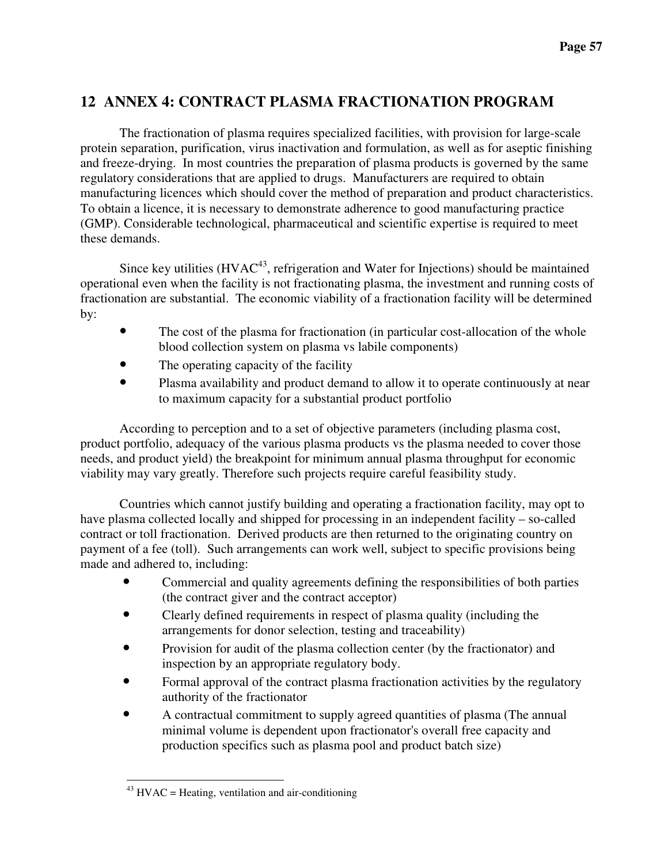# **12 ANNEX 4: CONTRACT PLASMA FRACTIONATION PROGRAM**

The fractionation of plasma requires specialized facilities, with provision for large-scale protein separation, purification, virus inactivation and formulation, as well as for aseptic finishing and freeze-drying. In most countries the preparation of plasma products is governed by the same regulatory considerations that are applied to drugs. Manufacturers are required to obtain manufacturing licences which should cover the method of preparation and product characteristics. To obtain a licence, it is necessary to demonstrate adherence to good manufacturing practice (GMP). Considerable technological, pharmaceutical and scientific expertise is required to meet these demands.

Since key utilities ( $HVAC^{43}$ , refrigeration and Water for Injections) should be maintained operational even when the facility is not fractionating plasma, the investment and running costs of fractionation are substantial. The economic viability of a fractionation facility will be determined by:

- The cost of the plasma for fractionation (in particular cost-allocation of the whole blood collection system on plasma vs labile components)
- The operating capacity of the facility
- Plasma availability and product demand to allow it to operate continuously at near to maximum capacity for a substantial product portfolio

According to perception and to a set of objective parameters (including plasma cost, product portfolio, adequacy of the various plasma products vs the plasma needed to cover those needs, and product yield) the breakpoint for minimum annual plasma throughput for economic viability may vary greatly. Therefore such projects require careful feasibility study.

Countries which cannot justify building and operating a fractionation facility, may opt to have plasma collected locally and shipped for processing in an independent facility – so-called contract or toll fractionation. Derived products are then returned to the originating country on payment of a fee (toll). Such arrangements can work well, subject to specific provisions being made and adhered to, including:

- Commercial and quality agreements defining the responsibilities of both parties (the contract giver and the contract acceptor)
- Clearly defined requirements in respect of plasma quality (including the arrangements for donor selection, testing and traceability)
- Provision for audit of the plasma collection center (by the fractionator) and inspection by an appropriate regulatory body.
- Formal approval of the contract plasma fractionation activities by the regulatory authority of the fractionator
- A contractual commitment to supply agreed quantities of plasma (The annual minimal volume is dependent upon fractionator's overall free capacity and production specifics such as plasma pool and product batch size)

 $^{43}$  HVAC = Heating, ventilation and air-conditioning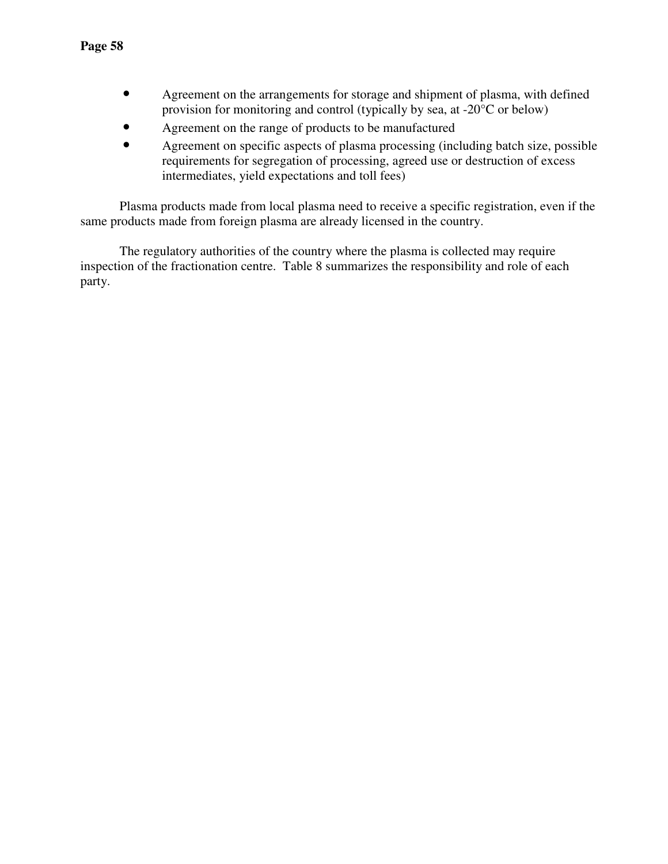- Agreement on the arrangements for storage and shipment of plasma, with defined provision for monitoring and control (typically by sea, at -20°C or below)
- Agreement on the range of products to be manufactured
- Agreement on specific aspects of plasma processing (including batch size, possible requirements for segregation of processing, agreed use or destruction of excess intermediates, yield expectations and toll fees)

Plasma products made from local plasma need to receive a specific registration, even if the same products made from foreign plasma are already licensed in the country.

The regulatory authorities of the country where the plasma is collected may require inspection of the fractionation centre. Table 8 summarizes the responsibility and role of each party.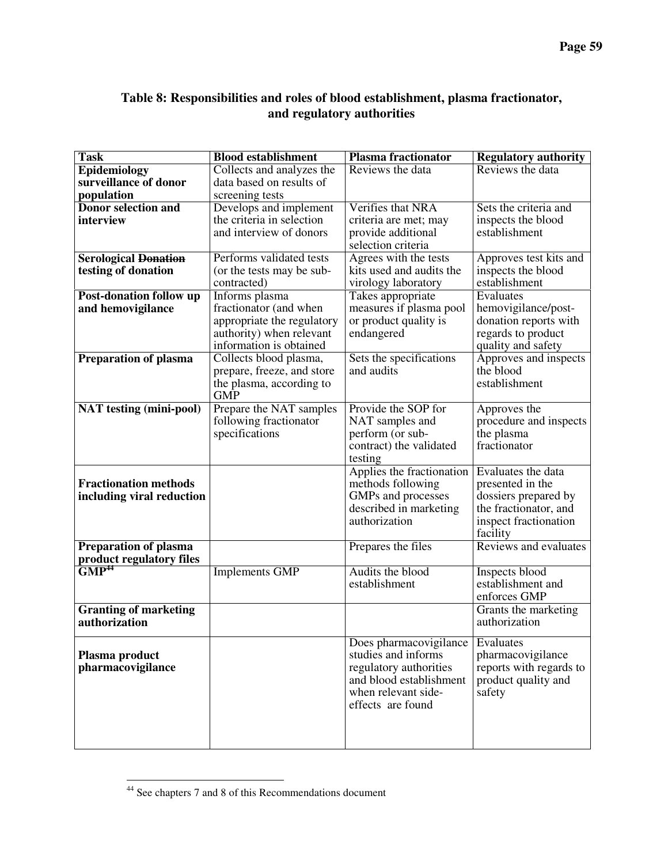# **Table 8: Responsibilities and roles of blood establishment, plasma fractionator, and regulatory authorities**

| <b>Task</b>                    | <b>Blood establishment</b>             | <b>Plasma fractionator</b>            | <b>Regulatory authority</b>        |
|--------------------------------|----------------------------------------|---------------------------------------|------------------------------------|
| <b>Epidemiology</b>            | Collects and analyzes the              | Reviews the data                      | Reviews the data                   |
| surveillance of donor          | data based on results of               |                                       |                                    |
| population                     | screening tests                        |                                       |                                    |
| <b>Donor</b> selection and     | Develops and implement                 | Verifies that NRA                     | Sets the criteria and              |
| interview                      | the criteria in selection              | criteria are met; may                 | inspects the blood                 |
|                                | and interview of donors                | provide additional                    | establishment                      |
|                                |                                        | selection criteria                    |                                    |
| <b>Serological Donation</b>    | Performs validated tests               | Agrees with the tests                 | Approves test kits and             |
| testing of donation            | (or the tests may be sub-              | kits used and audits the              | inspects the blood                 |
|                                | contracted)                            | virology laboratory                   | establishment                      |
| Post-donation follow up        | Informs plasma                         | Takes appropriate                     | Evaluates                          |
| and hemovigilance              | fractionator (and when                 | measures if plasma pool               | hemovigilance/post-                |
|                                | appropriate the regulatory             | or product quality is                 | donation reports with              |
|                                | authority) when relevant               | endangered                            | regards to product                 |
|                                | information is obtained                |                                       | quality and safety                 |
| <b>Preparation of plasma</b>   | Collects blood plasma,                 | Sets the specifications<br>and audits | Approves and inspects<br>the blood |
|                                | prepare, freeze, and store             |                                       | establishment                      |
|                                | the plasma, according to<br><b>GMP</b> |                                       |                                    |
| <b>NAT</b> testing (mini-pool) | Prepare the NAT samples                | Provide the SOP for                   | Approves the                       |
|                                | following fractionator                 | NAT samples and                       | procedure and inspects             |
|                                | specifications                         | perform (or sub-                      | the plasma                         |
|                                |                                        | contract) the validated               | fractionator                       |
|                                |                                        | testing                               |                                    |
|                                |                                        | Applies the fractionation             | Evaluates the data                 |
| <b>Fractionation methods</b>   |                                        | methods following                     | presented in the                   |
| including viral reduction      |                                        | GMPs and processes                    | dossiers prepared by               |
|                                |                                        | described in marketing                | the fractionator, and              |
|                                |                                        | authorization                         | inspect fractionation              |
|                                |                                        |                                       | facility                           |
| <b>Preparation of plasma</b>   |                                        | Prepares the files                    | Reviews and evaluates              |
| product regulatory files       |                                        |                                       |                                    |
| $GMP^{44}$                     | <b>Implements GMP</b>                  | Audits the blood                      | Inspects blood                     |
|                                |                                        | establishment                         | establishment and                  |
|                                |                                        |                                       | enforces GMP                       |
| <b>Granting of marketing</b>   |                                        |                                       | Grants the marketing               |
| authorization                  |                                        |                                       | authorization                      |
|                                |                                        | Does pharmacovigilance                | Evaluates                          |
| Plasma product                 |                                        | studies and informs                   | pharmacovigilance                  |
| pharmacovigilance              |                                        | regulatory authorities                | reports with regards to            |
|                                |                                        | and blood establishment               | product quality and                |
|                                |                                        | when relevant side-                   | safety                             |
|                                |                                        | effects are found                     |                                    |
|                                |                                        |                                       |                                    |
|                                |                                        |                                       |                                    |
|                                |                                        |                                       |                                    |

<sup>&</sup>lt;sup>44</sup> See chapters 7 and 8 of this Recommendations document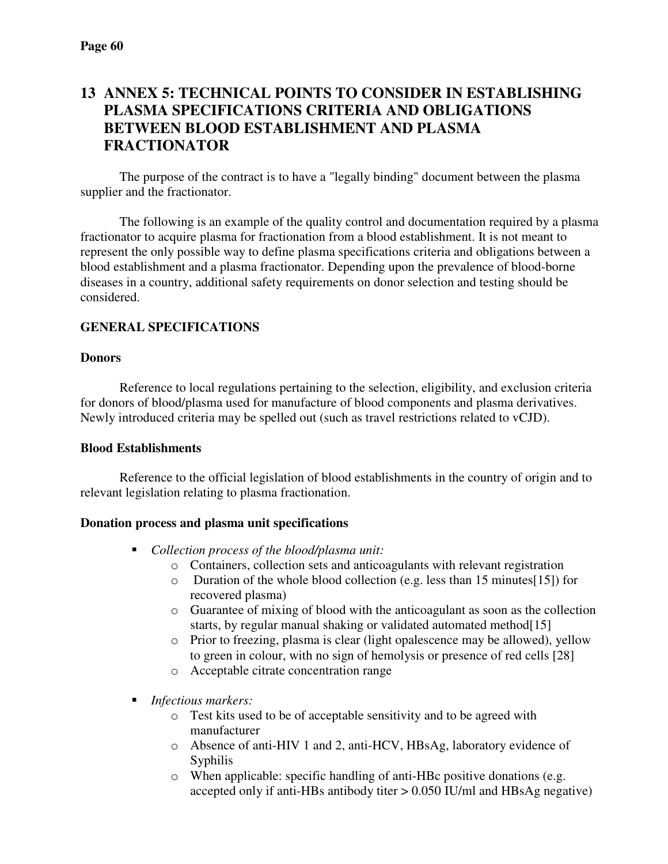# **13 ANNEX 5: TECHNICAL POINTS TO CONSIDER IN ESTABLISHING PLASMA SPECIFICATIONS CRITERIA AND OBLIGATIONS BETWEEN BLOOD ESTABLISHMENT AND PLASMA FRACTIONATOR**

The purpose of the contract is to have a "legally binding" document between the plasma supplier and the fractionator.

The following is an example of the quality control and documentation required by a plasma fractionator to acquire plasma for fractionation from a blood establishment. It is not meant to represent the only possible way to define plasma specifications criteria and obligations between a blood establishment and a plasma fractionator. Depending upon the prevalence of blood-borne diseases in a country, additional safety requirements on donor selection and testing should be considered.

# **GENERAL SPECIFICATIONS**

## **Donors**

Reference to local regulations pertaining to the selection, eligibility, and exclusion criteria for donors of blood/plasma used for manufacture of blood components and plasma derivatives. Newly introduced criteria may be spelled out (such as travel restrictions related to vCJD).

## **Blood Establishments**

Reference to the official legislation of blood establishments in the country of origin and to relevant legislation relating to plasma fractionation.

## **Donation process and plasma unit specifications**

- *Collection process of the blood/plasma unit:*
	- o Containers, collection sets and anticoagulants with relevant registration
	- o Duration of the whole blood collection (e.g. less than 15 minutes[15]) for recovered plasma)
	- o Guarantee of mixing of blood with the anticoagulant as soon as the collection starts, by regular manual shaking or validated automated method [15]
	- o Prior to freezing, plasma is clear (light opalescence may be allowed), yellow to green in colour, with no sign of hemolysis or presence of red cells [28]
	- o Acceptable citrate concentration range
- *Infectious markers:*
	- o Test kits used to be of acceptable sensitivity and to be agreed with manufacturer
	- o Absence of anti-HIV 1 and 2, anti-HCV, HBsAg, laboratory evidence of Syphilis
	- o When applicable: specific handling of anti-HBc positive donations (e.g. accepted only if anti-HBs antibody titer > 0.050 IU/ml and HBsAg negative)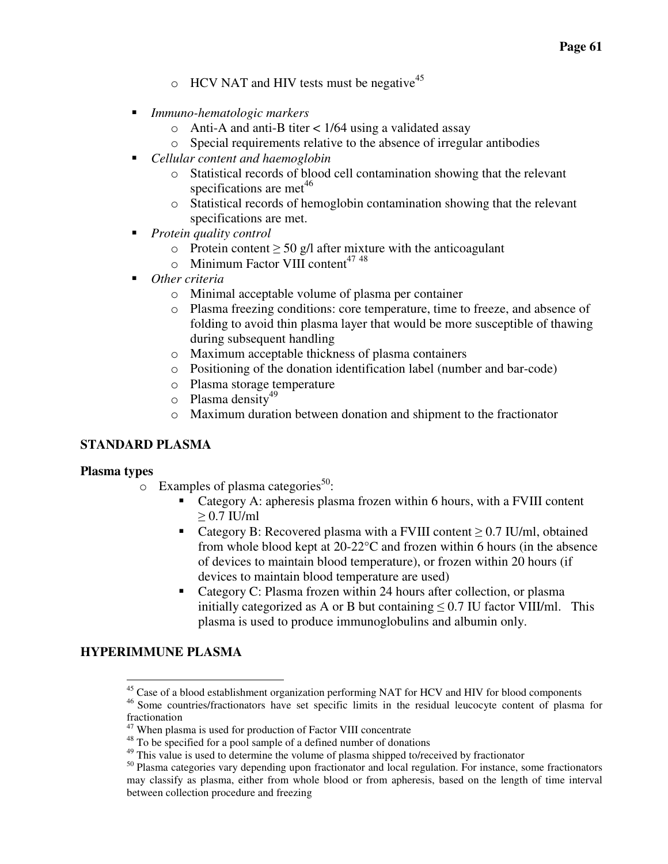- $\circ$  HCV NAT and HIV tests must be negative<sup>45</sup>
- *Immuno-hematologic markers*
	- $\circ$  Anti-A and anti-B titer < 1/64 using a validated assay
	- o Special requirements relative to the absence of irregular antibodies
- *Cellular content and haemoglobin*
	- o Statistical records of blood cell contamination showing that the relevant specifications are met<sup>46</sup>
	- o Statistical records of hemoglobin contamination showing that the relevant specifications are met.
- *Protein quality control*
	- o Protein content  $\geq 50$  g/l after mixture with the anticoagulant
	- o Minimum Factor VIII content<sup>47 48</sup>
- *Other criteria*
	- o Minimal acceptable volume of plasma per container
	- o Plasma freezing conditions: core temperature, time to freeze, and absence of folding to avoid thin plasma layer that would be more susceptible of thawing during subsequent handling
	- o Maximum acceptable thickness of plasma containers
	- o Positioning of the donation identification label (number and bar-code)
	- o Plasma storage temperature
	- $\circ$  Plasma density<sup>49</sup>
	- o Maximum duration between donation and shipment to the fractionator

### **STANDARD PLASMA**

#### **Plasma types**

- $\circ$  Examples of plasma categories<sup>50</sup>:
	- Category A: apheresis plasma frozen within 6 hours, with a FVIII content  $> 0.7$  IU/ml
	- Category B: Recovered plasma with a FVIII content  $\geq$  0.7 IU/ml, obtained from whole blood kept at 20-22°C and frozen within 6 hours (in the absence of devices to maintain blood temperature), or frozen within 20 hours (if devices to maintain blood temperature are used)
	- Category C: Plasma frozen within 24 hours after collection, or plasma initially categorized as A or B but containing  $\leq 0.7$  IU factor VIII/ml. This plasma is used to produce immunoglobulins and albumin only.

### **HYPERIMMUNE PLASMA**

<sup>45</sup> Case of a blood establishment organization performing NAT for HCV and HIV for blood components

<sup>&</sup>lt;sup>46</sup> Some countries/fractionators have set specific limits in the residual leucocyte content of plasma for fractionation

 $47$  When plasma is used for production of Factor VIII concentrate

<sup>&</sup>lt;sup>48</sup> To be specified for a pool sample of a defined number of donations

<sup>&</sup>lt;sup>49</sup> This value is used to determine the volume of plasma shipped to/received by fractionator

<sup>&</sup>lt;sup>50</sup> Plasma categories vary depending upon fractionator and local regulation. For instance, some fractionators may classify as plasma, either from whole blood or from apheresis, based on the length of time interval between collection procedure and freezing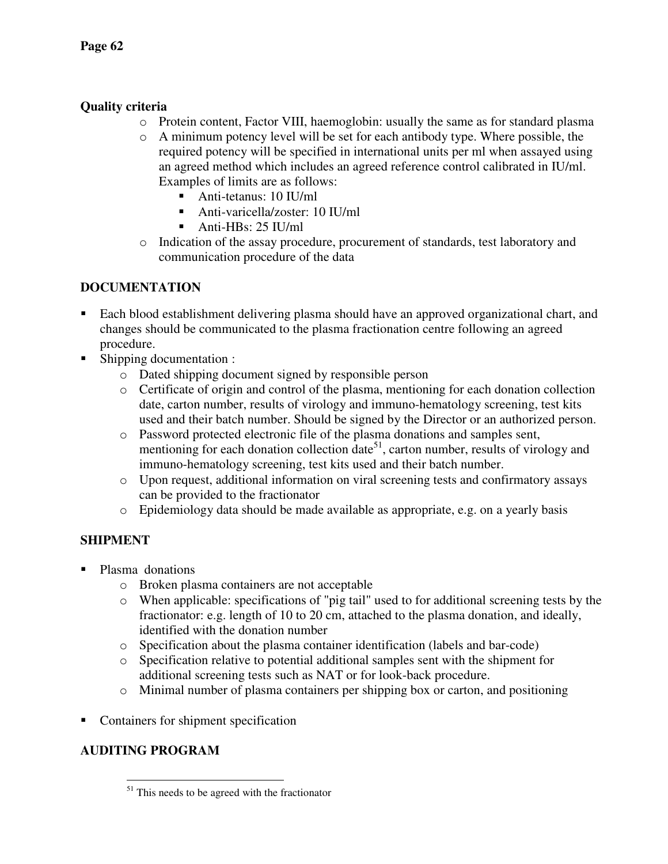## **Quality criteria**

- o Protein content, Factor VIII, haemoglobin: usually the same as for standard plasma
- o A minimum potency level will be set for each antibody type. Where possible, the required potency will be specified in international units per ml when assayed using an agreed method which includes an agreed reference control calibrated in IU/ml. Examples of limits are as follows:
	- Anti-tetanus: 10 IU/ml
	- Anti-varicella/zoster: 10 IU/ml
	- $\blacksquare$  Anti-HBs: 25 IU/ml
- o Indication of the assay procedure, procurement of standards, test laboratory and communication procedure of the data

## **DOCUMENTATION**

- Each blood establishment delivering plasma should have an approved organizational chart, and changes should be communicated to the plasma fractionation centre following an agreed procedure.
- Shipping documentation :
	- o Dated shipping document signed by responsible person
	- o Certificate of origin and control of the plasma, mentioning for each donation collection date, carton number, results of virology and immuno-hematology screening, test kits used and their batch number. Should be signed by the Director or an authorized person.
	- o Password protected electronic file of the plasma donations and samples sent, mentioning for each donation collection date<sup>51</sup>, carton number, results of virology and immuno-hematology screening, test kits used and their batch number.
	- o Upon request, additional information on viral screening tests and confirmatory assays can be provided to the fractionator
	- o Epidemiology data should be made available as appropriate, e.g. on a yearly basis

# **SHIPMENT**

- Plasma donations
	- o Broken plasma containers are not acceptable
	- o When applicable: specifications of "pig tail" used to for additional screening tests by the fractionator: e.g. length of 10 to 20 cm, attached to the plasma donation, and ideally, identified with the donation number
	- o Specification about the plasma container identification (labels and bar-code)
	- o Specification relative to potential additional samples sent with the shipment for additional screening tests such as NAT or for look-back procedure.
	- o Minimal number of plasma containers per shipping box or carton, and positioning
- Containers for shipment specification

# **AUDITING PROGRAM**

 $<sup>51</sup>$  This needs to be agreed with the fractionator</sup>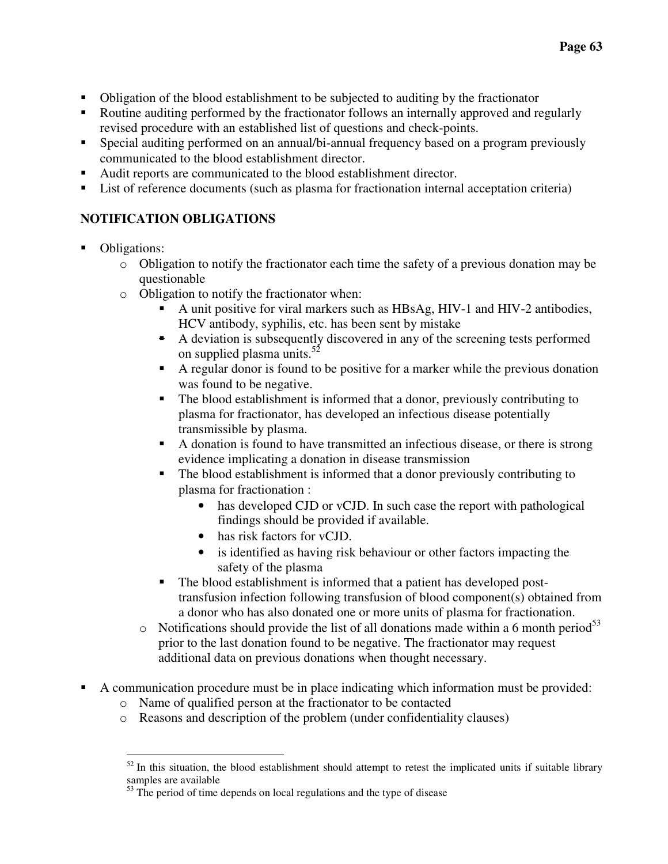- Obligation of the blood establishment to be subjected to auditing by the fractionator
- Routine auditing performed by the fractionator follows an internally approved and regularly revised procedure with an established list of questions and check-points.
- Special auditing performed on an annual/bi-annual frequency based on a program previously communicated to the blood establishment director.
- Audit reports are communicated to the blood establishment director.
- List of reference documents (such as plasma for fractionation internal acceptation criteria)

# **NOTIFICATION OBLIGATIONS**

- Obligations:
	- o Obligation to notify the fractionator each time the safety of a previous donation may be questionable
	- o Obligation to notify the fractionator when:
		- A unit positive for viral markers such as HBsAg, HIV-1 and HIV-2 antibodies, HCV antibody, syphilis, etc. has been sent by mistake
		- A deviation is subsequently discovered in any of the screening tests performed on supplied plasma units.<sup>52</sup>
		- A regular donor is found to be positive for a marker while the previous donation was found to be negative.
		- The blood establishment is informed that a donor, previously contributing to plasma for fractionator, has developed an infectious disease potentially transmissible by plasma.
		- A donation is found to have transmitted an infectious disease, or there is strong evidence implicating a donation in disease transmission
		- The blood establishment is informed that a donor previously contributing to plasma for fractionation :
			- has developed CJD or vCJD. In such case the report with pathological findings should be provided if available.
			- has risk factors for vCJD.
			- is identified as having risk behaviour or other factors impacting the safety of the plasma
		- The blood establishment is informed that a patient has developed posttransfusion infection following transfusion of blood component(s) obtained from a donor who has also donated one or more units of plasma for fractionation.
		- $\circ$  Notifications should provide the list of all donations made within a 6 month period<sup>53</sup> prior to the last donation found to be negative. The fractionator may request additional data on previous donations when thought necessary.
- A communication procedure must be in place indicating which information must be provided:
	- o Name of qualified person at the fractionator to be contacted
	- o Reasons and description of the problem (under confidentiality clauses)

 $52$  In this situation, the blood establishment should attempt to retest the implicated units if suitable library samples are available

 $53$  The period of time depends on local regulations and the type of disease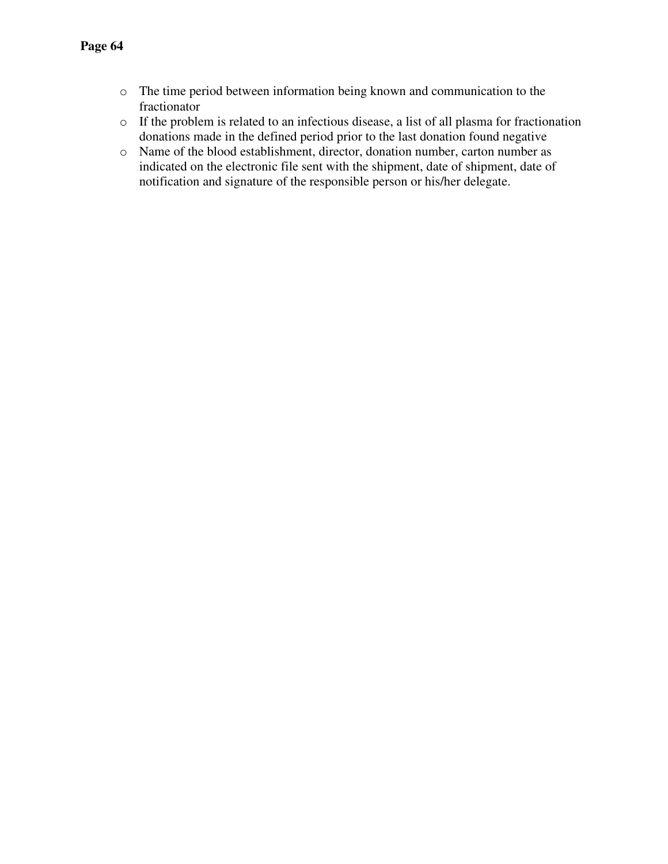- o The time period between information being known and communication to the fractionator
- o If the problem is related to an infectious disease, a list of all plasma for fractionation donations made in the defined period prior to the last donation found negative
- o Name of the blood establishment, director, donation number, carton number as indicated on the electronic file sent with the shipment, date of shipment, date of notification and signature of the responsible person or his/her delegate.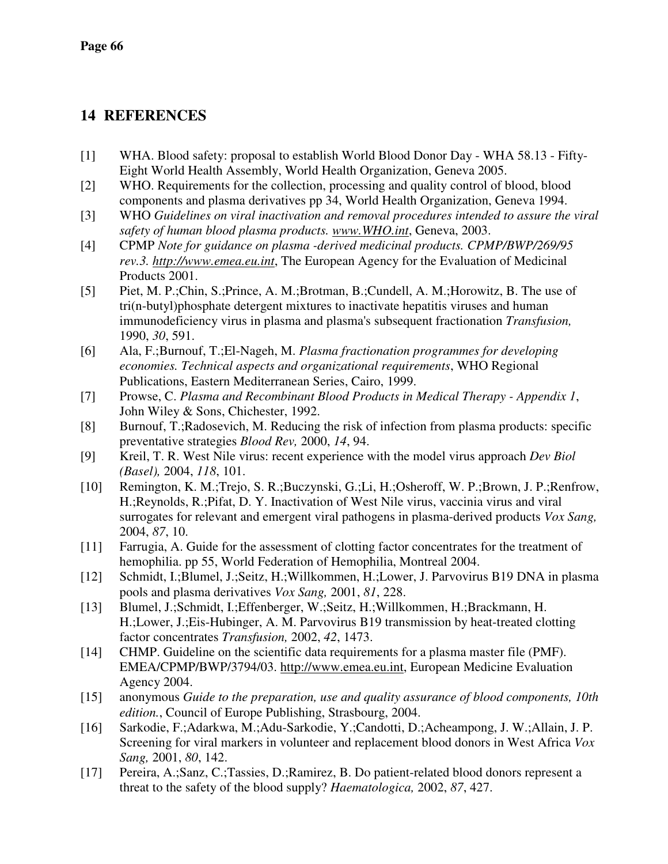# **14 REFERENCES**

- [1] WHA. Blood safety: proposal to establish World Blood Donor Day WHA 58.13 Fifty-Eight World Health Assembly, World Health Organization, Geneva 2005.
- [2] WHO. Requirements for the collection, processing and quality control of blood, blood components and plasma derivatives pp 34, World Health Organization, Geneva 1994.
- [3] WHO *Guidelines on viral inactivation and removal procedures intended to assure the viral safety of human blood plasma products. www.WHO.int*, Geneva, 2003.
- [4] CPMP *Note for guidance on plasma -derived medicinal products. CPMP/BWP/269/95 rev.3. http://www.emea.eu.int*, The European Agency for the Evaluation of Medicinal Products 2001.
- [5] Piet, M. P.;Chin, S.;Prince, A. M.;Brotman, B.;Cundell, A. M.;Horowitz, B. The use of tri(n-butyl)phosphate detergent mixtures to inactivate hepatitis viruses and human immunodeficiency virus in plasma and plasma's subsequent fractionation *Transfusion,* 1990, *30*, 591.
- [6] Ala, F.;Burnouf, T.;El-Nageh, M. *Plasma fractionation programmes for developing economies. Technical aspects and organizational requirements*, WHO Regional Publications, Eastern Mediterranean Series, Cairo, 1999.
- [7] Prowse, C. *Plasma and Recombinant Blood Products in Medical Therapy - Appendix 1*, John Wiley & Sons, Chichester, 1992.
- [8] Burnouf, T.;Radosevich, M. Reducing the risk of infection from plasma products: specific preventative strategies *Blood Rev,* 2000, *14*, 94.
- [9] Kreil, T. R. West Nile virus: recent experience with the model virus approach *Dev Biol (Basel),* 2004, *118*, 101.
- [10] Remington, K. M.;Trejo, S. R.;Buczynski, G.;Li, H.;Osheroff, W. P.;Brown, J. P.;Renfrow, H.;Reynolds, R.;Pifat, D. Y. Inactivation of West Nile virus, vaccinia virus and viral surrogates for relevant and emergent viral pathogens in plasma-derived products *Vox Sang,* 2004, *87*, 10.
- [11] Farrugia, A. Guide for the assessment of clotting factor concentrates for the treatment of hemophilia. pp 55, World Federation of Hemophilia, Montreal 2004.
- [12] Schmidt, I.;Blumel, J.;Seitz, H.;Willkommen, H.;Lower, J. Parvovirus B19 DNA in plasma pools and plasma derivatives *Vox Sang,* 2001, *81*, 228.
- [13] Blumel, J.;Schmidt, I.;Effenberger, W.;Seitz, H.;Willkommen, H.;Brackmann, H. H.;Lower, J.;Eis-Hubinger, A. M. Parvovirus B19 transmission by heat-treated clotting factor concentrates *Transfusion,* 2002, *42*, 1473.
- [14] CHMP. Guideline on the scientific data requirements for a plasma master file (PMF). EMEA/CPMP/BWP/3794/03. http://www.emea.eu.int, European Medicine Evaluation Agency 2004.
- [15] anonymous *Guide to the preparation, use and quality assurance of blood components, 10th edition.*, Council of Europe Publishing, Strasbourg, 2004.
- [16] Sarkodie, F.;Adarkwa, M.;Adu-Sarkodie, Y.;Candotti, D.;Acheampong, J. W.;Allain, J. P. Screening for viral markers in volunteer and replacement blood donors in West Africa *Vox Sang,* 2001, *80*, 142.
- [17] Pereira, A.;Sanz, C.;Tassies, D.;Ramirez, B. Do patient-related blood donors represent a threat to the safety of the blood supply? *Haematologica,* 2002, *87*, 427.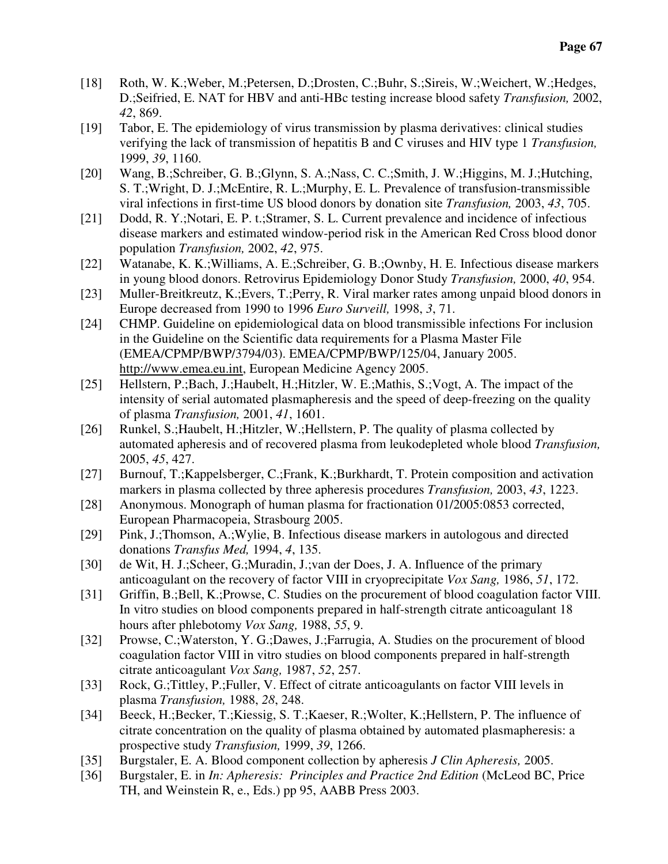- [18] Roth, W. K.;Weber, M.;Petersen, D.;Drosten, C.;Buhr, S.;Sireis, W.;Weichert, W.;Hedges, D.;Seifried, E. NAT for HBV and anti-HBc testing increase blood safety *Transfusion,* 2002, *42*, 869.
- [19] Tabor, E. The epidemiology of virus transmission by plasma derivatives: clinical studies verifying the lack of transmission of hepatitis B and C viruses and HIV type 1 *Transfusion,* 1999, *39*, 1160.
- [20] Wang, B.;Schreiber, G. B.;Glynn, S. A.;Nass, C. C.;Smith, J. W.;Higgins, M. J.;Hutching, S. T.;Wright, D. J.;McEntire, R. L.;Murphy, E. L. Prevalence of transfusion-transmissible viral infections in first-time US blood donors by donation site *Transfusion,* 2003, *43*, 705.
- [21] Dodd, R. Y.; Notari, E. P. t.; Stramer, S. L. Current prevalence and incidence of infectious disease markers and estimated window-period risk in the American Red Cross blood donor population *Transfusion,* 2002, *42*, 975.
- [22] Watanabe, K. K.;Williams, A. E.;Schreiber, G. B.;Ownby, H. E. Infectious disease markers in young blood donors. Retrovirus Epidemiology Donor Study *Transfusion,* 2000, *40*, 954.
- [23] Muller-Breitkreutz, K.;Evers, T.;Perry, R. Viral marker rates among unpaid blood donors in Europe decreased from 1990 to 1996 *Euro Surveill,* 1998, *3*, 71.
- [24] CHMP. Guideline on epidemiological data on blood transmissible infections For inclusion in the Guideline on the Scientific data requirements for a Plasma Master File (EMEA/CPMP/BWP/3794/03). EMEA/CPMP/BWP/125/04, January 2005. http://www.emea.eu.int, European Medicine Agency 2005.
- [25] Hellstern, P.;Bach, J.;Haubelt, H.;Hitzler, W. E.;Mathis, S.;Vogt, A. The impact of the intensity of serial automated plasmapheresis and the speed of deep-freezing on the quality of plasma *Transfusion,* 2001, *41*, 1601.
- [26] Runkel, S.; Haubelt, H.; Hitzler, W.; Hellstern, P. The quality of plasma collected by automated apheresis and of recovered plasma from leukodepleted whole blood *Transfusion,* 2005, *45*, 427.
- [27] Burnouf, T.;Kappelsberger, C.;Frank, K.;Burkhardt, T. Protein composition and activation markers in plasma collected by three apheresis procedures *Transfusion,* 2003, *43*, 1223.
- [28] Anonymous. Monograph of human plasma for fractionation 01/2005:0853 corrected, European Pharmacopeia, Strasbourg 2005.
- [29] Pink, J.;Thomson, A.;Wylie, B. Infectious disease markers in autologous and directed donations *Transfus Med,* 1994, *4*, 135.
- [30] de Wit, H. J.;Scheer, G.;Muradin, J.;van der Does, J. A. Influence of the primary anticoagulant on the recovery of factor VIII in cryoprecipitate *Vox Sang,* 1986, *51*, 172.
- [31] Griffin, B.;Bell, K.;Prowse, C. Studies on the procurement of blood coagulation factor VIII. In vitro studies on blood components prepared in half-strength citrate anticoagulant 18 hours after phlebotomy *Vox Sang,* 1988, *55*, 9.
- [32] Prowse, C.;Waterston, Y. G.;Dawes, J.;Farrugia, A. Studies on the procurement of blood coagulation factor VIII in vitro studies on blood components prepared in half-strength citrate anticoagulant *Vox Sang,* 1987, *52*, 257.
- [33] Rock, G.;Tittley, P.;Fuller, V. Effect of citrate anticoagulants on factor VIII levels in plasma *Transfusion,* 1988, *28*, 248.
- [34] Beeck, H.;Becker, T.;Kiessig, S. T.;Kaeser, R.;Wolter, K.;Hellstern, P. The influence of citrate concentration on the quality of plasma obtained by automated plasmapheresis: a prospective study *Transfusion,* 1999, *39*, 1266.
- [35] Burgstaler, E. A. Blood component collection by apheresis *J Clin Apheresis,* 2005.
- [36] Burgstaler, E. in *In: Apheresis: Principles and Practice 2nd Edition* (McLeod BC, Price TH, and Weinstein R, e., Eds.) pp 95, AABB Press 2003.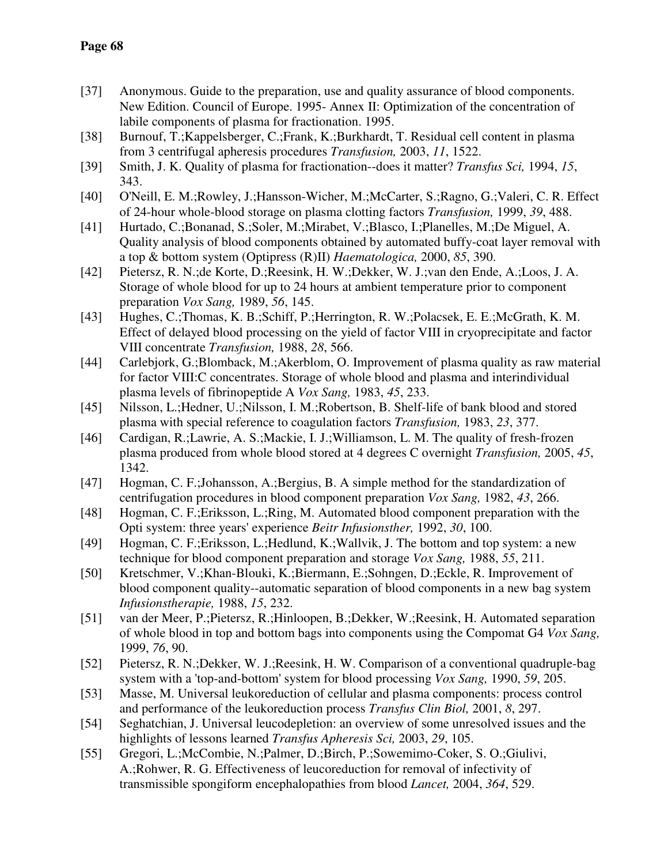- [37] Anonymous. Guide to the preparation, use and quality assurance of blood components. New Edition. Council of Europe. 1995- Annex II: Optimization of the concentration of labile components of plasma for fractionation. 1995.
- [38] Burnouf, T.;Kappelsberger, C.;Frank, K.;Burkhardt, T. Residual cell content in plasma from 3 centrifugal apheresis procedures *Transfusion,* 2003, *11*, 1522.
- [39] Smith, J. K. Quality of plasma for fractionation--does it matter? *Transfus Sci,* 1994, *15*, 343.
- [40] O'Neill, E. M.;Rowley, J.;Hansson-Wicher, M.;McCarter, S.;Ragno, G.;Valeri, C. R. Effect of 24-hour whole-blood storage on plasma clotting factors *Transfusion,* 1999, *39*, 488.
- [41] Hurtado, C.;Bonanad, S.;Soler, M.;Mirabet, V.;Blasco, I.;Planelles, M.;De Miguel, A. Quality analysis of blood components obtained by automated buffy-coat layer removal with a top & bottom system (Optipress (R)II) *Haematologica,* 2000, *85*, 390.
- [42] Pietersz, R. N.;de Korte, D.;Reesink, H. W.;Dekker, W. J.;van den Ende, A.;Loos, J. A. Storage of whole blood for up to 24 hours at ambient temperature prior to component preparation *Vox Sang,* 1989, *56*, 145.
- [43] Hughes, C.;Thomas, K. B.;Schiff, P.;Herrington, R. W.;Polacsek, E. E.;McGrath, K. M. Effect of delayed blood processing on the yield of factor VIII in cryoprecipitate and factor VIII concentrate *Transfusion,* 1988, *28*, 566.
- [44] Carlebjork, G.;Blomback, M.;Akerblom, O. Improvement of plasma quality as raw material for factor VIII:C concentrates. Storage of whole blood and plasma and interindividual plasma levels of fibrinopeptide A *Vox Sang,* 1983, *45*, 233.
- [45] Nilsson, L.;Hedner, U.;Nilsson, I. M.;Robertson, B. Shelf-life of bank blood and stored plasma with special reference to coagulation factors *Transfusion,* 1983, *23*, 377.
- [46] Cardigan, R.;Lawrie, A. S.;Mackie, I. J.;Williamson, L. M. The quality of fresh-frozen plasma produced from whole blood stored at 4 degrees C overnight *Transfusion,* 2005, *45*, 1342.
- [47] Hogman, C. F.;Johansson, A.;Bergius, B. A simple method for the standardization of centrifugation procedures in blood component preparation *Vox Sang,* 1982, *43*, 266.
- [48] Hogman, C. F.;Eriksson, L.;Ring, M. Automated blood component preparation with the Opti system: three years' experience *Beitr Infusionsther,* 1992, *30*, 100.
- [49] Hogman, C. F.; Eriksson, L.; Hedlund, K.; Wallvik, J. The bottom and top system: a new technique for blood component preparation and storage *Vox Sang,* 1988, *55*, 211.
- [50] Kretschmer, V.;Khan-Blouki, K.;Biermann, E.;Sohngen, D.;Eckle, R. Improvement of blood component quality--automatic separation of blood components in a new bag system *Infusionstherapie,* 1988, *15*, 232.
- [51] van der Meer, P.;Pietersz, R.;Hinloopen, B.;Dekker, W.;Reesink, H. Automated separation of whole blood in top and bottom bags into components using the Compomat G4 *Vox Sang,* 1999, *76*, 90.
- [52] Pietersz, R. N.;Dekker, W. J.;Reesink, H. W. Comparison of a conventional quadruple-bag system with a 'top-and-bottom' system for blood processing *Vox Sang,* 1990, *59*, 205.
- [53] Masse, M. Universal leukoreduction of cellular and plasma components: process control and performance of the leukoreduction process *Transfus Clin Biol,* 2001, *8*, 297.
- [54] Seghatchian, J. Universal leucodepletion: an overview of some unresolved issues and the highlights of lessons learned *Transfus Apheresis Sci,* 2003, *29*, 105.
- [55] Gregori, L.;McCombie, N.;Palmer, D.;Birch, P.;Sowemimo-Coker, S. O.;Giulivi, A.;Rohwer, R. G. Effectiveness of leucoreduction for removal of infectivity of transmissible spongiform encephalopathies from blood *Lancet,* 2004, *364*, 529.